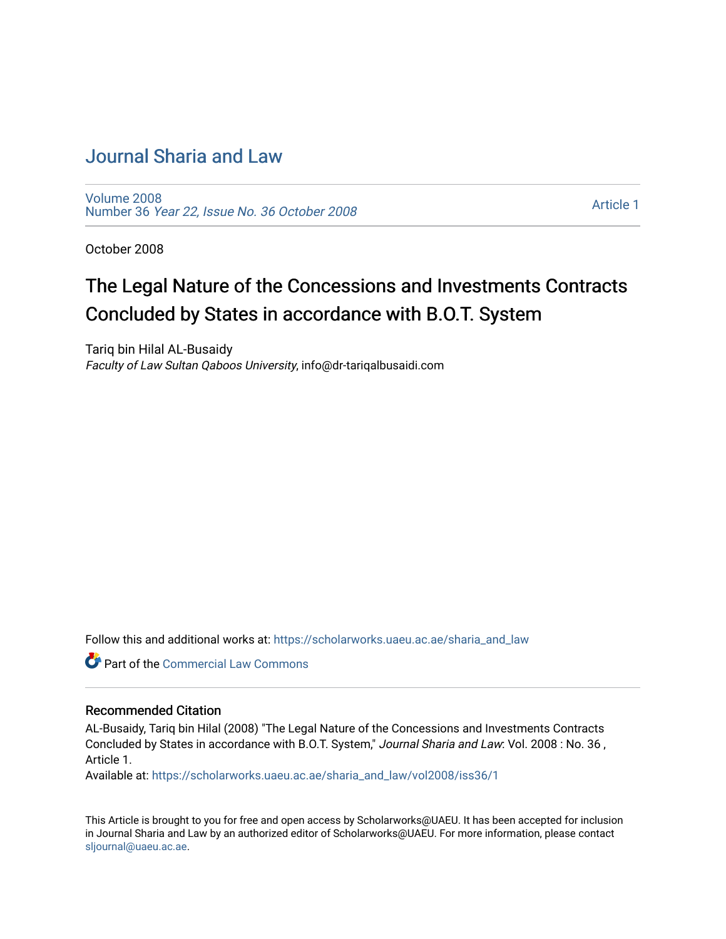### [Journal Sharia and Law](https://scholarworks.uaeu.ac.ae/sharia_and_law)

[Volume 2008](https://scholarworks.uaeu.ac.ae/sharia_and_law/vol2008)  Number 36 [Year 22, Issue No. 36 October 2008](https://scholarworks.uaeu.ac.ae/sharia_and_law/vol2008/iss36) 

[Article 1](https://scholarworks.uaeu.ac.ae/sharia_and_law/vol2008/iss36/1) 

October 2008

# The Legal Nature of the Concessions and Investments Contracts Concluded by States in accordance with B.O.T. System

Tariq bin Hilal AL-Busaidy Faculty of Law Sultan Qaboos University, info@dr-tariqalbusaidi.com

Follow this and additional works at: [https://scholarworks.uaeu.ac.ae/sharia\\_and\\_law](https://scholarworks.uaeu.ac.ae/sharia_and_law?utm_source=scholarworks.uaeu.ac.ae%2Fsharia_and_law%2Fvol2008%2Fiss36%2F1&utm_medium=PDF&utm_campaign=PDFCoverPages) 

**C** Part of the [Commercial Law Commons](http://network.bepress.com/hgg/discipline/586?utm_source=scholarworks.uaeu.ac.ae%2Fsharia_and_law%2Fvol2008%2Fiss36%2F1&utm_medium=PDF&utm_campaign=PDFCoverPages)

#### Recommended Citation

AL-Busaidy, Tariq bin Hilal (2008) "The Legal Nature of the Concessions and Investments Contracts Concluded by States in accordance with B.O.T. System," Journal Sharia and Law: Vol. 2008 : No. 36 , Article 1.

Available at: [https://scholarworks.uaeu.ac.ae/sharia\\_and\\_law/vol2008/iss36/1](https://scholarworks.uaeu.ac.ae/sharia_and_law/vol2008/iss36/1?utm_source=scholarworks.uaeu.ac.ae%2Fsharia_and_law%2Fvol2008%2Fiss36%2F1&utm_medium=PDF&utm_campaign=PDFCoverPages)

This Article is brought to you for free and open access by Scholarworks@UAEU. It has been accepted for inclusion in Journal Sharia and Law by an authorized editor of Scholarworks@UAEU. For more information, please contact [sljournal@uaeu.ac.ae.](mailto:sljournal@uaeu.ac.ae)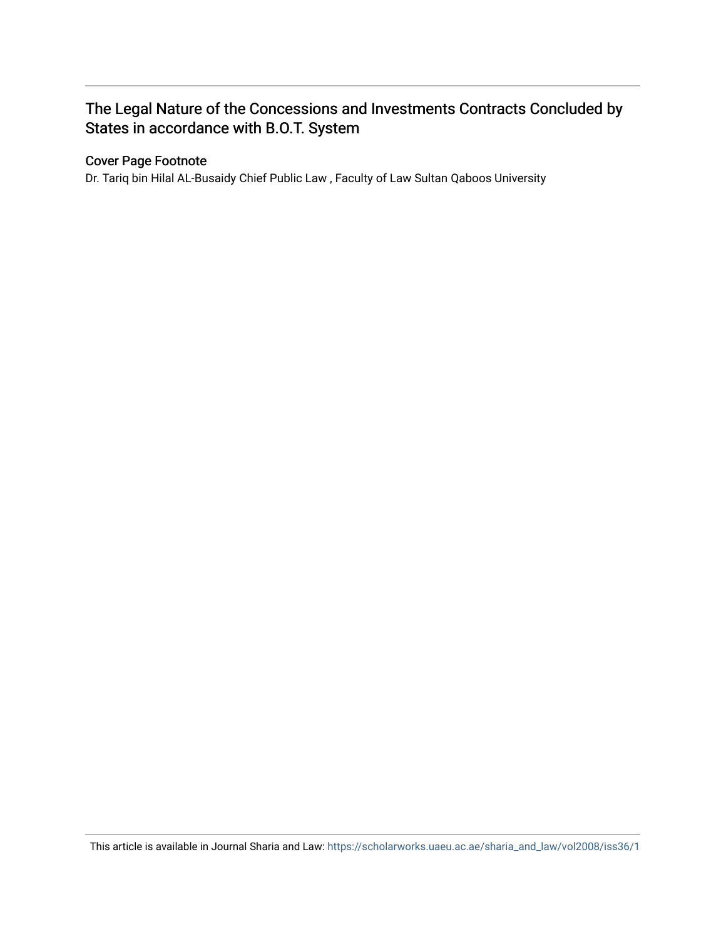### The Legal Nature of the Concessions and Investments Contracts Concluded by States in accordance with B.O.T. System

#### Cover Page Footnote

Dr. Tariq bin Hilal AL-Busaidy Chief Public Law , Faculty of Law Sultan Qaboos University

This article is available in Journal Sharia and Law: [https://scholarworks.uaeu.ac.ae/sharia\\_and\\_law/vol2008/iss36/1](https://scholarworks.uaeu.ac.ae/sharia_and_law/vol2008/iss36/1)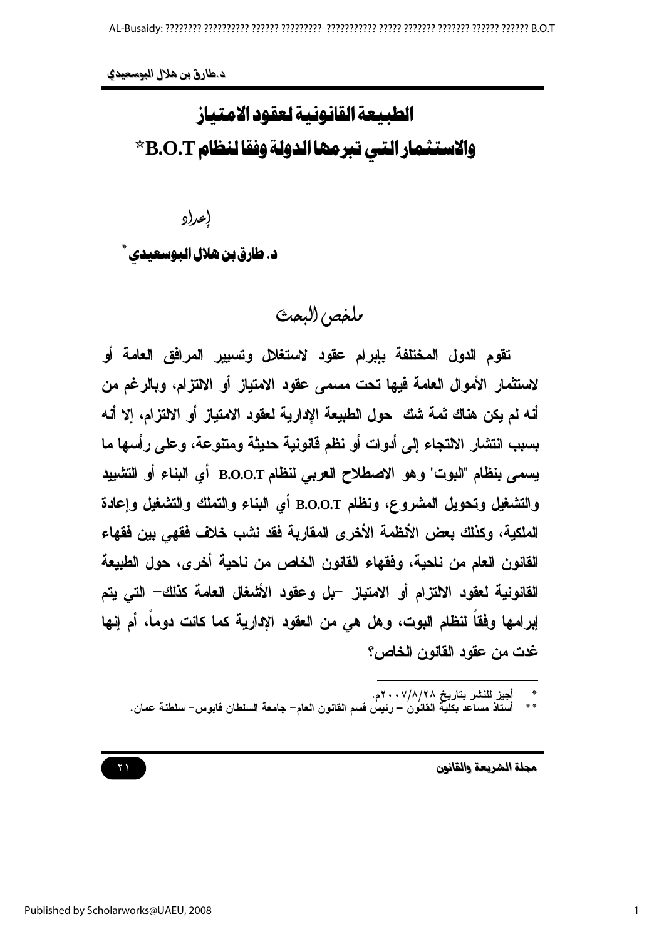الطبيعة القانونية لعقود الامتياز والاستثمار التي تبرمها الدولة وفقا لنظام B.O.T \*

إعراو

د. طارق بن هلال البوسعيدي ٔ

بلخص (لبعث

تقوم الدول المختلفة بإبرام عقود لاستغلال وتسبير المرافق العامة أو لاستثمار الأموال العامة فيها تحت مسمى عقود الامتياز أو الالتزام، ويالرغم من أنه لم يكن هناك ثمة شك \_ حول الطبيعة الإدارية لعقود الامتياز أو الالتزام، إلا أنه بسبب انتشار الالتجاء إلى أدوات أو نظم قانونية حديثة ومتنوعة، وعلى رأسها ما يسمى بنظام "البوت" وهو الاصطلاح العربي لنظام B.O.O.T أي البناء أو التشبيد والتشغيل وتحويل المشروع، ونظام B.O.O.T أي البناء والتملك والتشغيل وإعادة الملكية، وكذلك بعض الأنظمة الأخرى المقارية فقد نشب خلاف فقهي بين فقهاء القانون العام من ناحية، وفقهاء القانون الخاص من ناحية أخرى، حول الطبيعة القانونية لعقود الالتزام أو الامتياز. –بل وعقود الأشغال العامة كذلك– التي يتم إبرامها وفقا لنظام البوت، وهل هي من العقود الإدارية كما كانت دوما، أم إنها غدت من عقود القانون الخاص؟

أجيز للنشر بتاريخ ٢٠٧/٨/٢٨.<br>أستاذ مساعد بكلية القانون – رئيس قسم القانون العام– جامعة السلطان قابوس– سلطنة عمان.

مجلة الشريعة والقانون

 $\gamma \gamma$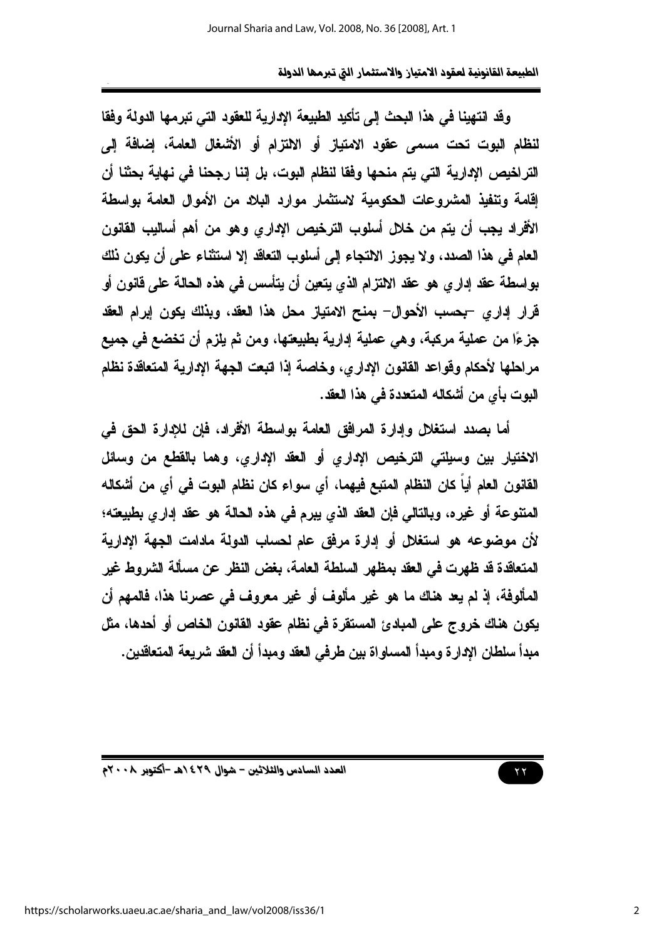وقد انتهينا في هذا البحث إلى تأكيد الطبيعة الإدارية للعقود التي تبرمها الدولة وفقا لنظام البوت تحت مسمى عقود الامتياز أو الالتزام أو الأشغال العامة، إضافة إلى التراخيص الإدارية التي يتم منحها وفقا لنظام البوت، بل إننا رجحنا في نهاية بحثنا أن اقامة وتنفيذ المشروعات الحكومية لاستثمار موارد البلاد من الأموال العامة بواسطة الأفراد يجب أن يتم من خلال أسلوب الترخيص الإداري وهو من أهم أساليب القانون العام في هذا الصدد، ولا يجوز الالتجاء إلى أسلوب التعاقد إلا استثناء على أن يكون نلك بواسطة عقد إدار ي هو عقد الالتزام الذي يتعين أن يتأسس في هذه الحالة على قانون أو قرار إداري -بحسب الأحوال- بمنح الامتياز محل هذا العقد، وبذلك يكون إبرام العقد جزءًا من عملية مركبة، وهي عملية إدارية بطبيعتها، ومن ثم يلزم أن تخضع في جميع مراحلها لأحكام وقواعد القانون الإداري، وخاصة إذا اتبعت الجهة الإدارية المتعاقدة نظام البوت بأي من أشكاله المتعدة في هذا العقد.

أما بصدد استغلل وإدارة المرافق العامة بواسطة الأفراد، فإن للإدارة الحق في الاختيار بين وسيلتي الترخيص الإداري أو العقد الإداري، وهما بالقطع من وسائل القانون العام أياً كان النظام المتبع فيهما، أي سواء كان نظام البوت في أي من أشكاله المتنوعة أو غيره، وبالتالي فإن العقد الذي يبرم في هذه الحالة هو عقد إداري بطبيعته؛ لأن موضوعه هو استغلال أو إدارة مرفق عام لحساب الدولة مادامت الجهة الإدارية المتعاقدة قد ظهرت في العقد بمظهر السلطة العامة، بغض النظر عن مسألة الشروط غير المألوفة، إذ لم يعد هناك ما هو غير مألوف أو غير معروف في عصرنا هذا، فالمهم أن يكون هناك خروج على المبادئ المستقرة في نظام عقود القانون الخاص أو أحدها، مثل ميداً سلطان الإدار ة وميداً المساو اة بين طرفي العقد وميداً أن العقد شريعة المتعاقدين.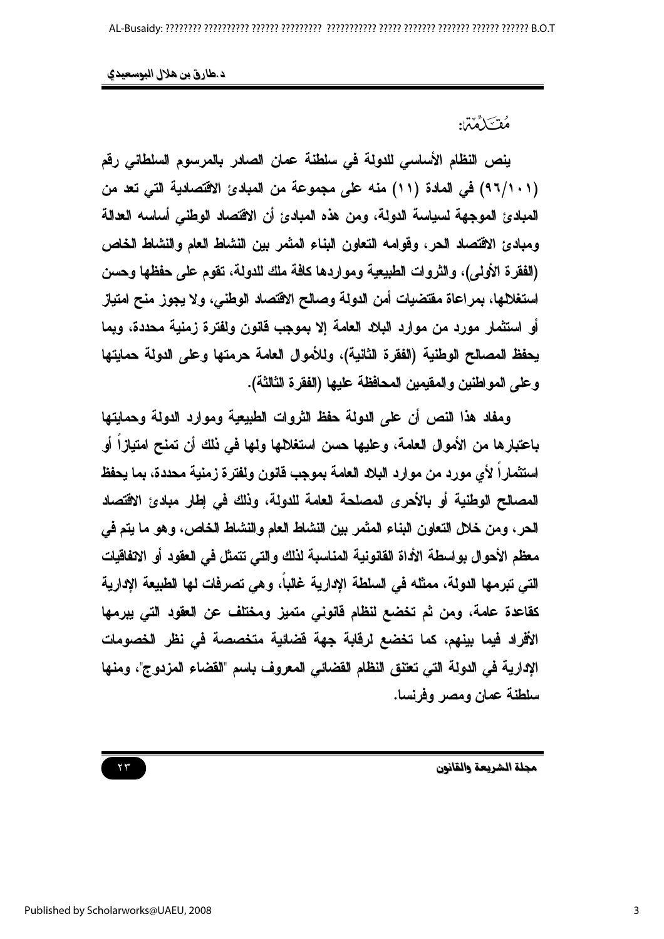مُقْ َكَمَّمْنَ:

ينص النظام الأساسي للدولة في سلطنة عمان الصادر بالمرسوم السلطاني رقم (٩٦/١٠١) في المادة (١١) منه على مجموعة من المبادئ الاقتصادية التي تعد من المبادئ الموجهة لسياسة الدولة، ومن هذه المبادئ أن الاقتصاد الوطني أساسه العدالة ومبادئ الاقتصاد الحر، وقوامه التعاون البناء المثمر بين النشاط العام والنشاط الخاص (الفقرة الأولى)، والثروات الطبيعية ومواردها كافة ملك للدولة، تقوم على حفظها وحسن استغلالها، بمراعاة مقتضيات أمن الدولة وصالح الاقتصاد الوطني، ولا يجوز منح امتياز أو استثمار مورد من موارد البلاد العامة إلا بموجب قانون ولفترة زمنية محددة، وبما يحفظ المصالح الوطنية (الفقرة الثانية)، وللأموال العامة حرمتها وعلى الدولة حمايتها وعلى المواطنين والمقيمين المحافظة عليها (الفقرة الثالثة).

ومفاد هذا النص أن على الدولة حفظ الثروات الطبيعية وموارد الدولة وحمايتها باعتبارها من الأموال العامة، وعليها حسن استغلالها ولها في ذلك أن تمنح امتيازا أو استثماراً لأي مورد من موارد البلاد العامة بموجب فانون ولفترة زمنية محددة، بما يحفظ المصالح الوطنية أو بالأحرى المصلحة العامة للدولة، وذلك في إطار مبادئ الاڤتصاد الحر ، ومن خلال التعاون البناء المثمر بين النشاط العام والنشاط الخاص، وهو ما يتم في معظم الأحوال بواسطة الأداة القانونية المناسبة لذلك والتي تتمثل في العقود أو الانفاقيات التي تبرمها الدولة، ممثله في السلطة الإدارية غالباً، وهي تصرفات لها الطبيعة الإدارية كقاعدة عامة، ومن ثم تخضع لنظام فانونى متميز ومختلف عن العقود التي يبرمها الأفراد فيما بينهم، كما تخضع لرفابة جهة فضائية متخصصة في نظر الخصومات الإدارية في الدولة التي تعتنق النظام القضائي المعروف باسم "القضاء المزدوج"، ومنها سلطنة عمان ومصر وفرنسا.

مجلة الشريعة والقانون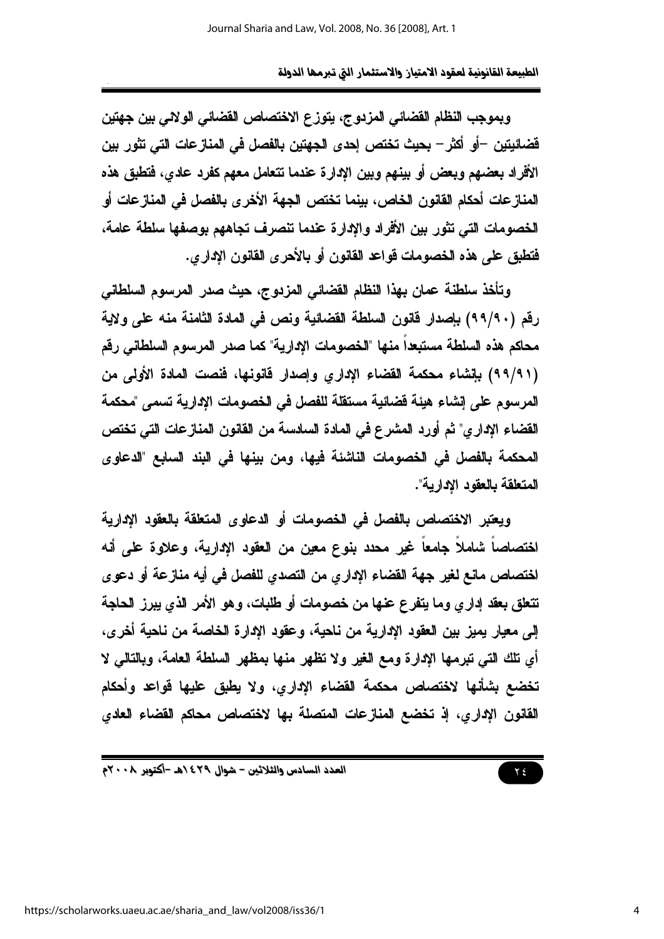وبموجب النظام القضائي المزدوج، يتوزع الاختصاص القضائي الولائي بين جهتين فَضائيتين –أو أكثر – بحيث تختص إحدى الجهتين بالفصل في المنازعات التي تثور بين الأفراد بعضهم وبعض أو بينهم وبين الإدارة عندما تتعامل معهم كفرد عادى، فتطبق هذه المنازعات أحكام القانون الخاص، بينما تختص الجهة الأخرى بالفصل في المنازعات أو الخصومات التي تثور بين الأفراد والإدارة عندما تنصرف تجاههم بوصفها سلطة عامة، فتطبق على هذه الخصومات قواعد القانون أو بالأحرى القانون الإدارى.

وتأخذ سلطنة عمان بهذا النظام القضائي المزدوج، حيث صدر المرسوم السلطاني رقع (٩٩/٩٠) بإصدار فانون السلطة القضائية ونص في المادة الثامنة منه على ولاية محاكم هذه السلطة مستبعداً منها "الخصومات الإدارية" كما صدر المرسوم السلطاني رقم (٩٩/٩١) بِلِنشاءِ محكمة القضاءِ الإداري وإصدار فانونها، فنصت المادة الأولى من المرسوم على إنشاء هيئة فضائية مستقلة للفصل في الخصومات الإدارية تسمى "محكمة القضاء الإداري" ثم أورد المشرع في المادة السادسة من القانون المنازعات التي تختص المحكمة بالفصل في الخصومات الناشئة فيها، ومن بينها في البند السابع "الدعاوي المتعلقة بالعقود الادارية".

ويعتبر الاختصاص بالفصل في الخصومات أو الدعاوى المتعلقة بالعقود الإدارية اختصاصاً شاملاً جامعاً غير محدد بنوع معين من العقود الإدارية، وعلاوة علم أنه اختصاص مانع لغير جهة القضاء الإداري من التصدي للفصل في أيه منازعة أو دعوى تتعلق بعقد إداري وما يتفرع عنها من خصومات أو طلبات، وهو الأمر الذي يبرز الحاجة إلى معيار يميز بين العقود الإدارية من ناحية، وعقود الإدارة الخاصة من ناحية أخرى، أى تلك التي تبرمها الإدارة ومع الغير ولا تظهر منها بمظهر السلطة العامة، وبالتالي لا تخضع بشأنها لاختصاص محكمة القضاء الإداري، ولا يطبق عليها قواعد وأحكام القانون الإداري، إذ تخضع المنازعات المتصلة بها لاختصاص محاكم القضاء العادي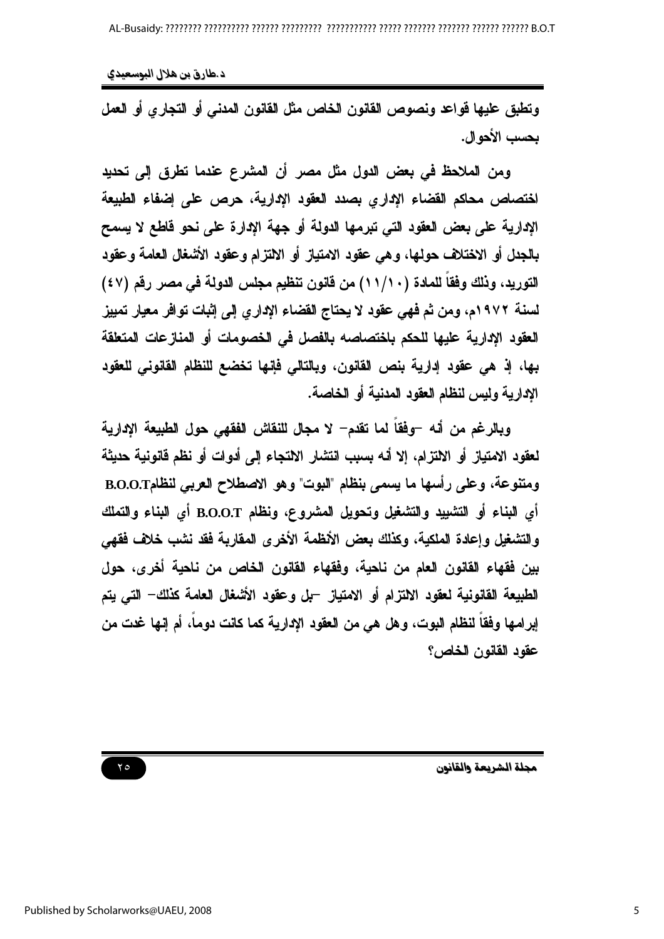د طارق بن هلال البوسعيدي

وتطيق عليها قواعد ونصوص القانون الخاص مثل القانون المدني أو التجاري أو العمل بحسب الأحو ال.

ومن الملاحظ في بعض الدول مثل مصر أن المشرع عندما تطرق إلى تحديد اختصاص محاكم القضاء الإدارى بصدد العقود الإدارية، حرص على إضفاء الطبيعة الإدارية على بعض العقود التي تبرمها الدولة أو جهة الإدارة على نحو قاطع لا يسمح بالجدل أو الاختلاف حولها، وهي عقود الامتياز أو الالتزام وعقود الأشغال العامة وعقود التوريد، وذلك وفقاً للمادة (١١/١٠) من قانون تنظيم مجلس الدولة في مصر رقم (٤٧) لسنة ١٩٧٢م، ومن ثم فهي عقود لا يحتاج القضاء الإداري إلى إثبات توافر معيار تمييز العقود الإدارية عليها للحكم باختصاصه بالفصل فى الخصومات أو المنازعات المتعلقة بها، إذ هي عقود إدارية بنص القانون، وبالتالي فإنها تخضع للنظام القانوني للعقود الإدارية وليس لنظام العقود المدنية أو الخاصة.

وبالرغم من أنه –وفقاً لما تقدم– لا مجال للنقاش الفقهي حول الطبيعة الإدارية لعقود الامتياز أو الالتزام، إلا أنه بسبب انتشار الالتجاء إلى أدوات أو نظم فانونية حديثة ومتنوعة، وعلى رأسها ما يسمى بنظام "البوت" وهو الاصطلاح العربي لنظامB.O.O.T أي البناء أو التشييد والتشغيل وتحويل المشروع، ونظام B.O.O.T أي البناء والتملك والتشغيل وإعادة الملكية، وكذلك بعض الأنظمة الأخرى المقاربة فقد نشب خلاف فقهي بين فقهاء القانون العام من ناحية، وفقهاء القانون الخاص من ناحية أخرى، حول الطبيعة القانونية لعقود الالتزام أو الامتياز. –بل وعقود الأشغال العامة كذلك– التي يتم إبرامها وفقًا لنظام البوت، وهل هي من العقود الإدارية كما كانت دوماً، أم إنها غدت من عقود القانون الخاص؟

مجلة الشريعة والقانون

 $Y \circ$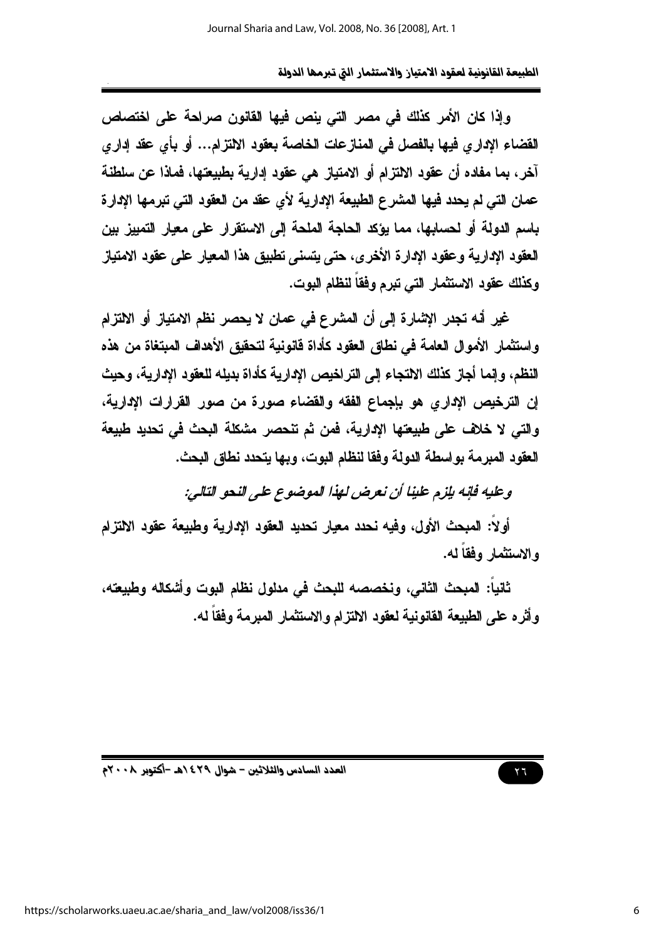وإذا كان الأمر كذلك في مصر التي ينص فيها القانون صراحة على اختصاص القضاء الإدارى فيها بالفصل في المنازعات الخاصة بعقود الالتزام... أو بأى عقد إدارى آخر ، بما مفاده أن عقود الالتزام أو الامتياز هي عقود إدارية بطبيعتها، فماذا عن سلطنة عمان التي لم يحدد فيها المشرع الطبيعة الإدارية لأي عقد من العقود التي تبرمها الإدارة باسم الدولة أو لحسابها، مما يؤكد الحاجة الملحة إلى الاستقرار على معيار التمييز بين العقود الإدارية وعقود الإدارة الأخرى، حتى يتسنى تطبيق هذا المعيار على عقود الامتياز وكذلك عقود الاستثمار التي تبرم وفقاً لنظام البوت.

غير أنه تجدر الإشارة إلى أن المشرع في عمان لا يحصر نظم الامتياز أو الالتزام و استثمار الأموال العامة في نطاق العقود كأداة فانونية لتحقيق الأهداف المبتغاة من هذه النظم، وإنما أجاز كذلك الالتجاء إلى التر اخيص الادارية كأداة بديله للعقود الادارية، وحيث إن الترخيص الإداري هو بإجماع الفقه والقضاء صورة من صور القرارات الإدارية، والتي لا خلاف على طبيعتها الإدارية، فمن ثم تنحصر مشكلة البحث في تحديد طبيعة العقود المبرمة بواسطة الدولة وفقا لنظام البوت، وبها بتحدد نطاق البحث.

وعليه فإنه بإزم علينا أن نعرض لهذا الموضوع على النحو التالي:

أولاً: المبحث الأول، وفيه نحدد معيار تحديد العقود الإدارية وطبيعة عقود الالتزام والاستثمار وفقاً له.

ثانياً: المبحث الثاني، ونخصصه للبحث في مدلول نظام البوت وأشكاله وطبيعته، وأثر ه على الطبيعة القانونية لعقود الالتزام والاستثمار المبرمة وفقاً له.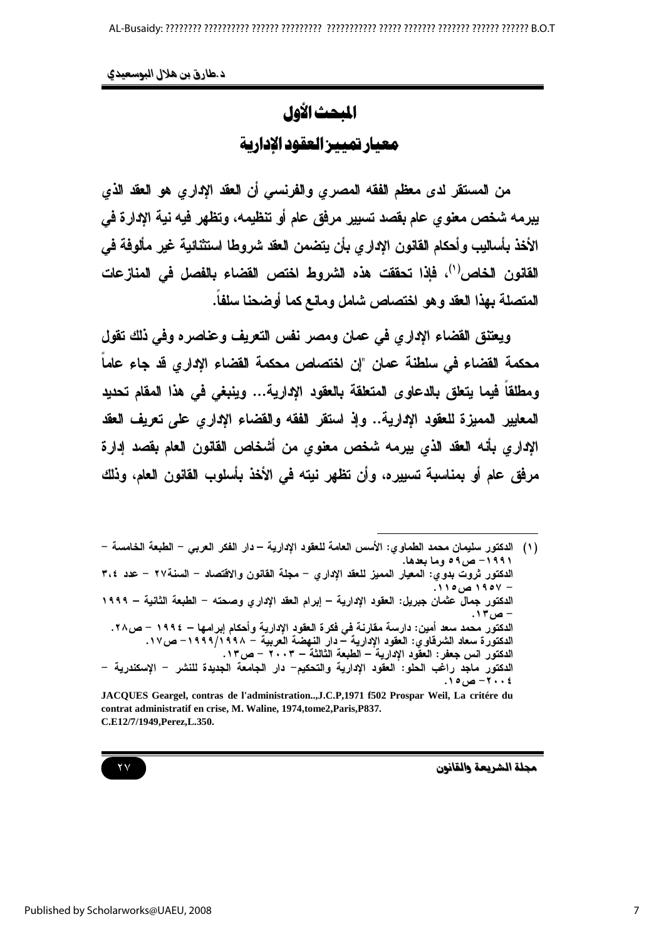المحث الأول معيار تميير العقود الادارية

من المستقر لدى معظم الفقه المصرى والفرنسي أن العقد الإداري هو العقد الذي يبرمه شخص معنوى عام بقصد تسبير مرفق عام أو تنظيمه، وتظهر فيه نية الإدارة في الأخذ بأساليب وأحكام القانون الإداري بأن يتضمن العقد شروطا استثنائية غير مألوفة في القانون الخاص'')، فإذا تحققت هذه الشروط اختص القضاء بالفصل في المنازعات المتصلة بهذا العقد وهو اختصاص شامل ومانع كما أوضحنا سلفاً.

ويعتنق القضاء الإداري في عمان ومصر نفس التعريف وعناصره وفي ذلك تقول محكمة القضاء في سلطنة عمان "إن اختصاص محكمة القضاء الاداري قد جاء عاماً ومطلقا فيما يتعلق بالدعاوى المتعلقة بالعقود الإدارية... وينبغي في هذا المقام تحديد المعايير المميزة للعقود الإدارية.. وإذ استقر الفقه والقضاء الإداري علم تعريف العقد الإداري بأنه العقد الذي يبرمه شخص معنوى من أشخاص القانون العام بقصد إدارة مرفق عام أو بمناسبة تسييره، وأن تظهر نيته في الأخذ بأسلوب القانون العام، وذلك

(١) الدكتور سليمان محمد الطماوي: الأسس العامة للعقود الإدارية – دار الفكر العربي – الطبعة الخامسة – ۱۹۹۱ – ص۹۰ وما بعدها. الدكتور ثروت بدوي: المعيار المميز للعقد الإداري – مجلة القانون والاقتصاد – السنة٢٧ – عدد ٣،٤ – ۱۹*۰۷ ص ۱۱*۰. الدكتور جمال عثمان جبريل: العقود الإدارية – إبرام العقد الإداري وصحته – الطبعة الثانية – ١٩٩٩ - ص۱۳. الدكتور محمد سعد أمين: دارسة مقارنة في فكرة العقود الإدارية وأحكام إبرامها – ١٩٩٤ – ص٢٨. الدكتورة سعاد الشرقاوي: العقود الإدارية – دار النهضة العربية – ١٩٩٩/١٩٩٨– ص١٧. الدكتور انس جعفر: العقُّود الإدارية – الطبعة الثالثة – ٢٠٠٣ – ص ١٣. الدكتور ماجد راغب الحلو: العقود الإدارية والتحكيم– دار الجامعة الجديدة للنشر – الإسكندرية – ٠٠٤ - ص ١٥. JACQUES Geargel, contras de l'administration...,J.C.P,1971 f502 Prospar Weil, La critére du

contrat administratif en crise, M. Waline, 1974, tome2, Paris, P837. C.E12/7/1949, Perez, L.350.

مجلة الشريعة والقانون

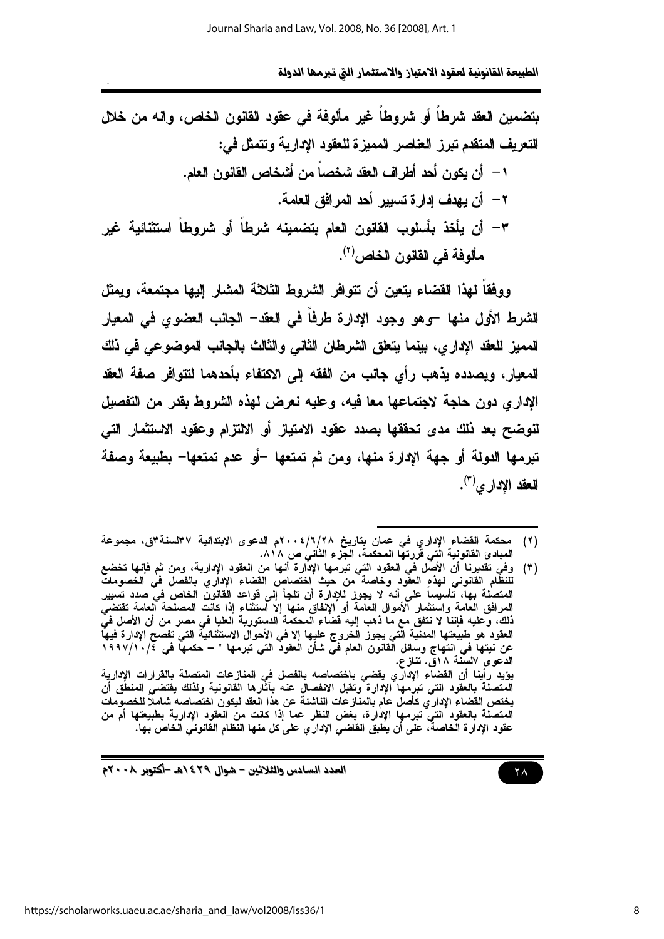بتضمين العقد شرطاً أو شروطاً غير مألوفة في عقود القانون الخاص، وانه من خلال التعريف المتقدم تبرز العناصر الممبزة للعقود الادارية وتتمثل في:

١ – أن بكون أحد أطراف العقد شخصاً من أشخاص القانون العام. ٢ – أن يهدف ادارة تسبير أحد المرافق العامة. ٣- أن يأخذ بأسلوب القانون العام بتضمينه شرطاً أو شروطاً استثنائية غير مألوفة في القانون الخاص<sup>(٢)</sup>.

ووفقاً لهذا القضاء يتعين أن تتوافر الشروط الثلاثة المشار إليها مجتمعة، ويمثل الشرط الأول منها -وهو وجود الإدارة طرفاً في العقد- الجانب العضوى في المعيار المميز للعقد الادار ي، بينما يتعلق الشرطان الثاني والثالث بالجانب الموضوعي في ذلك المعيار، ويصدده يذهب رأى جانب من الفقه إلى الاكتفاء بأحدهما لتتوافر صفة العقد الإداري دون حاجة لاجتماعها معا فيه، وعليه نعرض لهذه الشروط بقدر من التفصيل لنوضح بعد ذلك مدى تحققها بصدد عقود الامتياز أو الالتزام وعقود الاستثمار التي تبرمها الدولة أو جهة الإدارة منها، ومن ثم تمتعها –أو عدم تمتعها– بطبيعة وصفة العقد الاداري<sup>(٣)</sup>.

العدد السادس والثلاثين – شوال ٢٩٤/هـ -أكتوبر ٢٠٠٨م

<sup>(</sup>٢) محكمة القضاء الإداري في عمان بتاريخ ٢/٦/٢٨م الدعوى الابتدائية ٣٧لسنة٣ق، مجموعة المبادئ القانونية الّتى فَررتها المحكمة، الجّزء الثّانى ص ٨١٨.

وفي تقديرنا أن الأصل في العقود التي تبرمها الإدارة أنها من العقود الإدارية، ومن ثم فإنها تخضع<br>للنظام القانوني لهذه العقود وخاصة من حيث اختصاص القضاء الإداري بالفصل في الخصومات  $(\tilde{r})$ المتصلة بها، تأسيساً على أنه لا يجوز للإدارة أن تلجأ إلى قواعد القانون الخاص في صدد تسيير المرافق العامة واستثمار آلأموال العامة أو الإنفاق منها إلا آستثناء إذا كانت المصلحة العامة تقتضى ذلك، وكليه فإننا لا نتفق مع ما ذهب إليه فضاء المحكمة الدستورية العليا في مصر من أن الأصل في العقود هو طبيعتها المدنية الّتي يجوز الخروج عليها إلا في الأحوال الاستثنائية التي تفصح الإدارة فيها عن نيتها في انتهاج وسائل الْقانون العام في شأن العقود التي تبرمها " – حكمها في ١٩٩٧/١٠/٤ الدعوى السُّنة ١٨قَّ. تنازع. يؤيد رأينا أن القضاء الإداري يقضي باختصاصه بالفصل في المنازعات المتصلة بالقرارات الإدارية<br>المتصلة بالعقود التي تبرمها الإدارة وتقبل الانفصال عنه بآثارها القانونية ولذلك يقتضي المنطق أن يختص القضاء الإدارَى كأصل عَام بالمنازعات الناشئة عن هذا العقد ليكون اختصاصه شاملًا للخصوِّمات المتصلة بالعقود التي تبرمها الإدارة، بغض النظر عما إذا كانت من العقود الإدارية بطبيعتها أم من عقود الإدارة الخاصة، على أن يطبق القاضي الإدار ي على كل منها النظام القانوني الخاص بها.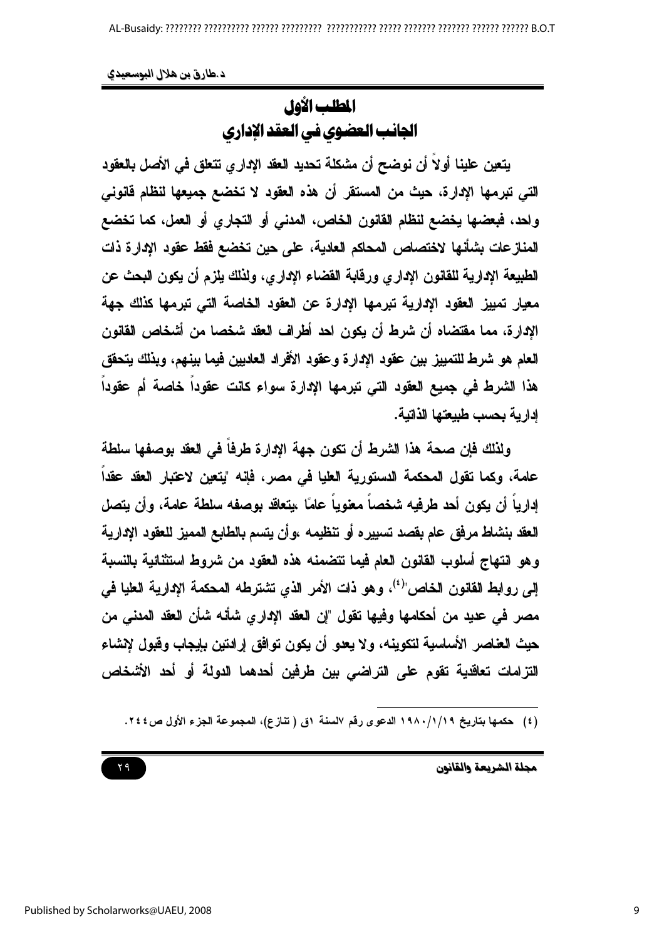المطلب الأول الجانب العضوي في العقد الإداري

يتعين علينا أولاً أن نوضح أن مشكلة تحديد العقد الإدار ي تتعلق في الأصل بالعقود التي تبرمها الإدارة، حيث من المستقر أن هذه العقود لا تخضع جميعها لنظام قانوني واحد، فبعضها يخضع لنظام القانون الخاص، المدنى أو التجاري أو العمل، كما تخضع المنازعات بشأنها لاختصاص المحاكم العادية، على حين تخضع فقط عقود الإدارة ذات الطبيعة الادارية للقانون الاداري ورقابة القضاء الاداري، ولذلك بلزم أن يكون البحث عن معيار تمييز العقود الإدارية تبرمها الإدارة عن العقود الخاصة التي تبرمها كذلك جهة الإدارة، مما مقتضاه أن شرط أن يكون احد أطراف العقد شخصا من أشخاص القانون العام هو شرط للتمييز بين عقود الإدارة وعقود الأفراد العاديين فيما بينهم، وبذلك يتحقق هذا الشرط فى جميع العقود التى تبرمها الإدارة سواء كانت عقوداً خاصة أم عقوداً إدارية بحسب طبيعتها الذاتية.

ولذلك فإن صحة هذا الشرط أن تكون جهة الإدارة طرفاً في العقد بوصفها سلطة عامة، وكما تقول المحكمة الدستورية العليا في مصر، فإنه "يتعين لاعتبار العقد عقداً إدارياً أن يكون أحد طرفيه شخصاً معنوياً علمًا ،يتعاقد بوصفه سلطة علمة، وأن يتصل العقد بنشاط مرفق عام بقصد تسبيره أو تنظيمه ،وأن يتسم بالطابع المميز للعقود الإدارية وهو انتهاج أسلوب القانون العام فيما تتضمنه هذه العقود من شروط استثنائية بالنسبة إلى روابط القانون الخاص"<sup>(٤)</sup>، وهو ذات الأمر الذي نشترطه المحكمة الإدارية العليا ف*ي* مصر في عديد من أحكامها وفيها تقول "إن العقد الاداري شأنه شأن العقد المدنى من حيث العناصر الأساسية لتكوينه، ولا يعدو أن يكون توافق إرادتين بإيجاب وقبول لإنشاء التزامات تعاقدية تقوم على التراضى بين طرفين أحدهما الدولة أو أحد الأشخاص

<sup>(</sup>٤) حكمها بتاريخ ١٩٨٠/١/١٩ الدعوى رفَّم السنة ١ق ( تنازع)، المجموعة الجزء الأول ص ٢٤٤.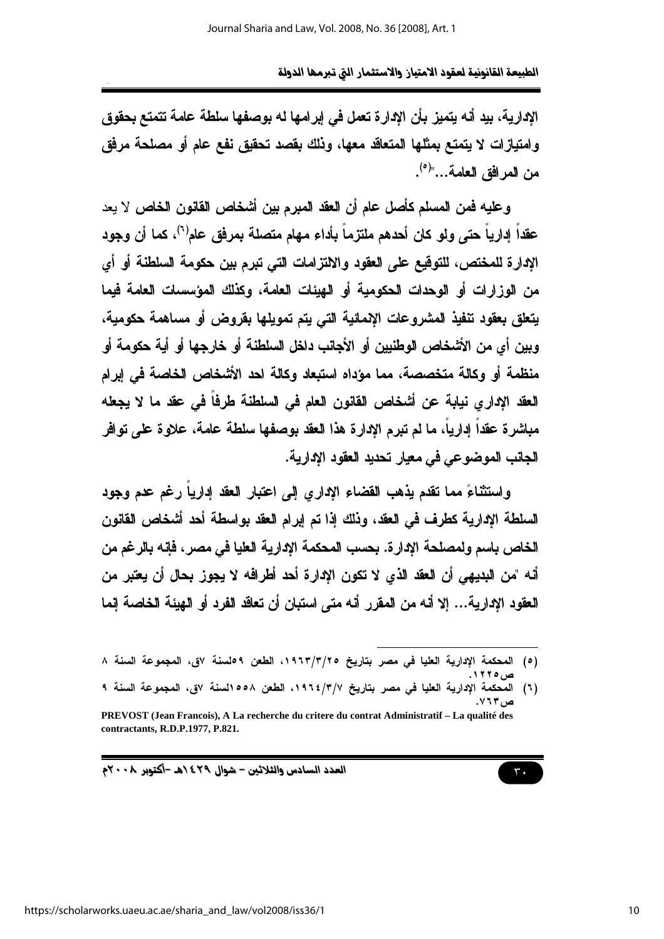الإدارية، بيد أنه يتميز بأن الإدارة تعمل في إبرامها له بوصفها سلطة عامة تتمتع بحقوق وامتيازات لا يتمتع بمثلها المتعاقد معها، وذلك بقصد تحقيق نفع عام أو مصلحة مرفق من المرافق العلمة..."<sup>(٥)</sup>.

وعليه فمن المسلم كأصل عام أن العقد المبرم بين أشخاص القانون الخاص لا يعد عقداً إدارياً حتى ولو كان أحدهم ملتزماً بأداء مهام متصلة بمرفق عام<sup>(٦)</sup>، كما أن وجود الإدارة للمختص، للتوقيع على العقود والالتزامات التي تبرم بين حكومة السلطنة أو أي من الوزارات أو الوحدات الحكومية أو الهيئات العامة، وكذلك المؤسسات العامة فيما يتعلق بعقود ننفيذ المشروعات الإممائية التى يتم تمويلها بقروض أو مساهمة حكومية، ويين أي من الأشخاص الوطنيين أو الأجانب داخل السلطنة أو خارجها أو أية حكومة أو منظمة أو وكالة متخصصة، مما مؤداه استبعاد وكالة احد الأشخاص الخاصة في إبرام العقد الإدار ي نيابة عن أشخاص القانون العام في السلطنة طرفاً في عقد ما لا يجعله مباشرة عقداً إدارياً، ما لم تبرم الإدارة هذا العقد بوصفها سلطة عامة، علاوة على توافر الجانب الموضوعي في معيار تحديد العقود الإدارية.

واستثناءً مما تقدم يذهب القضاء الإداري إلى اعتبار العقد إداريا رغم عدم وجود السلطة الإدارية كطرف في العقد، وذلك إذا تم إبرام العقد بواسطة أحد أشخاص القانون الخاص باسم ولمصلحة الإدارة. بحسب المحكمة الإدارية العليا في مصر، فإنه بالرغم من أنه "من البديهي أن العقد الذي لا تكون الإدارة أحد أطرافه لا يجوز بحال أن يعتبر من العقود الادارية... إلا أنه من المقرر أنه متى استبان أن تعاقد الفرد أو الهيئة الخاصة إنما

العدد السادس والثلاثين - شوال ٢٩٤/هـ -أكتوبر ٢٠٠٨م



<sup>(</sup>٥) المحكمة الإدارية العليا في مصر بتاريخ ١٩٦٣/٣/٢٥، الطعن ٩٥لسنة ٧ق، المجموعة السنة ٨ ص ۲*۹۰* ۱.

<sup>(</sup>٦) المحكمة الإدارية العليا في مصر بتاريخ ١٩٦٤/٣/٧، الطعن ٥٥٨السنة ٧ق، المجموعة السنة ٩ ص ۲۲۳.

PREVOST (Jean Francois), A La recherche du critere du contrat Administratif - La qualité des contractants, R.D.P.1977, P.821.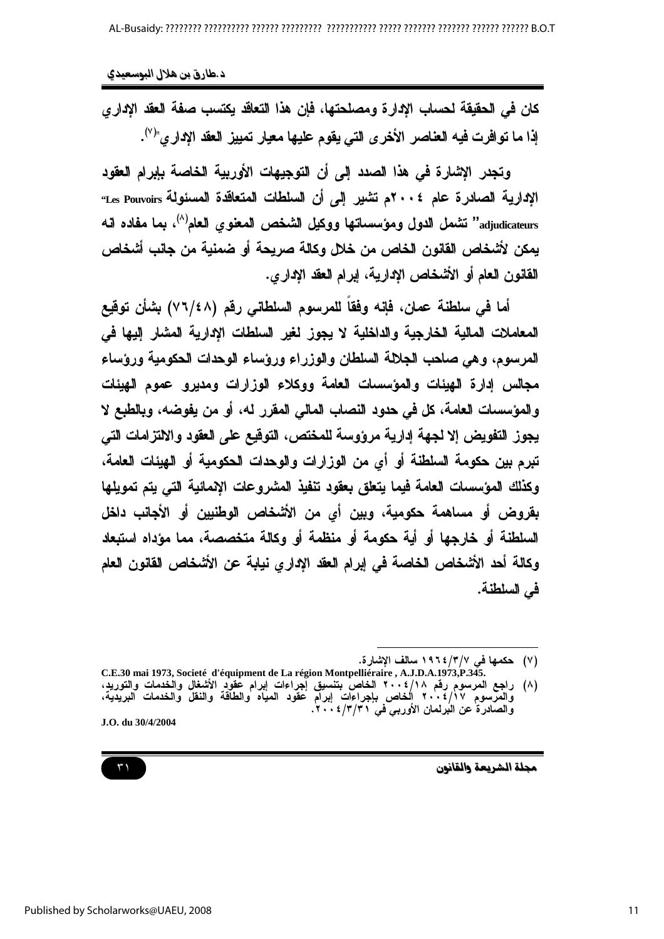كان في الحقيقة لحساب الإدارة ومصلحتها، فإن هذا التعاقد يكتسب صفة العقد الإداري إذا ما توافرت فيه العناصر الأخرى التي يقوم عليها معيار تمييز العقد الإداري"<sup>(٧)</sup>.

وتجدر الاشارة في هذا الصدد إلى أن التوجيهات الأوربية الخاصة بإبرام العقود الإدارية الصادرة عام ٢٠٠٤م تشير إلى أن السلطات المتعاقدة المسئولة Les Pouvoirs adjudicateurs" تشمل الدول ومؤسساتها ووكيل الشخص المعنوي العام<sup>(٨)</sup>، بما مفاده انه يمكن لأشخاص القانون الخاص من خلال وكالة صريحة أو ضمنية من جانب أشخاص القانون العام أو الأشخاص الإدارية، ايرام العقد الإداري.

أما في سلطنة عمان، فإنه وفقاً للمرسوم السلطاني رقم (٧٦/٤٨) بشأن توقيع المعاملات المالية الخارجية والداخلية لا يجوز لغير السلطات الادارية المشار إليها في المرسوم، وهي صاحب الجلالة السلطان والوزراء ورؤساء الوحدات الحكومية ورؤساء مجالس ادارة الهيئات والمؤسسات العامة ووكلاء الوزارات ومدبرو عموم الهيئات و المؤسسات العامة، كل في حدود النصاب المالي المقرر له، أو من يفوضه، ويالطبع لا يجوز التفويض إلا لجهة إدارية مرؤوسة للمختص، التوقيع على العقود والالتزامات التي تبرم بين حكومة السلطنة أو أي من الوزارات والوحدات الحكومية أو الهيئات العامة، وكذلك المؤسسات العامة فيما يتعلق بعقود تنفيذ المشروعات الاممائية التي يتم تمويلها بقروض أو مساهمة حكومية، وبين أي من الأشخاص الوطنيين أو الأجانب داخل السلطنة أو خارجها أو أية حكومة أو منظمة أو وكالة متخصصة، مما مؤداه استبعاد وكالة أحد الأشخاص الخاصة في إبرام العقد الإداري نيابة عن الأشخاص القانون العام في السلطنة.

J.O. du 30/4/2004



<sup>(</sup>٧) حكمها في ٣/٣/ ١٩٦٤ سالف الإشارة.

C.E.30 mai 1973, Societé d'équipment de La région Montpelliéraire, A.J.D.A.1973,P.345. (۸) راجع المرسوم رقم ۶۰۰۸/۱۸۰۸ الخاص بتنسيق إجراءات إبرام عقود الأشغال والخدمات والتوريد،<br>والمرسوم رقم ۶۰۰۶/۱۸ الخاص بتنسيق إجراءات إبرام عقود الأشغال والخدمات والتوريد،<br>والمرسوم ۲۰۰۶/۱۷ الخاص بإجراءات إبرام عقود المياه و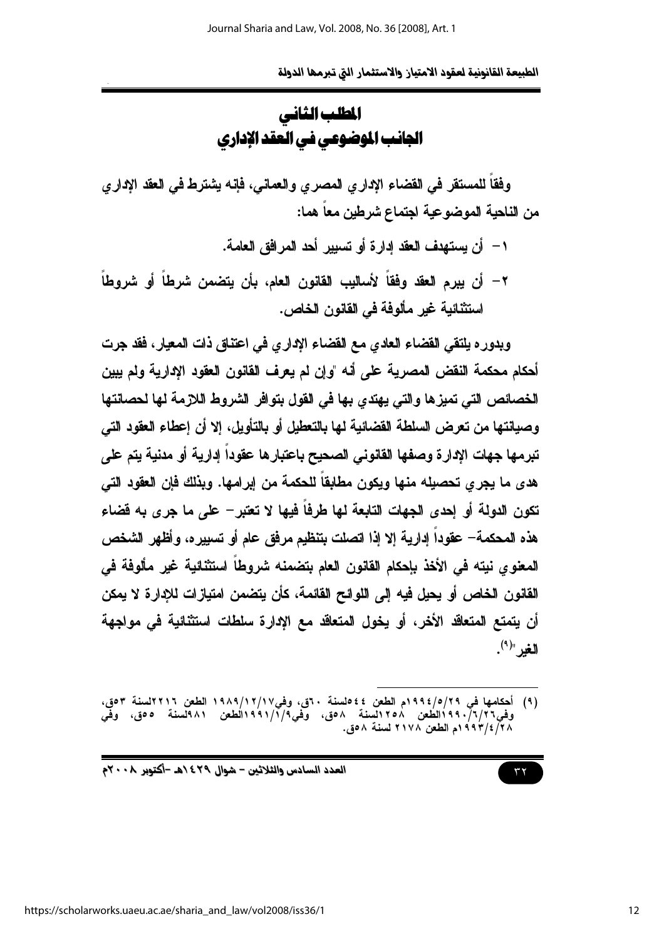# المطلب الثاني الجانب الموضوعي في العقد الإداري

وفقاً للمستقر في القضاء الإداري المصري والعماني، فإنه يشترط في العقد الإداري من الناحية الموضوعية اجتماع شرطين معا هما:

- ١ أن يستهدف العقد إدارة أو تسبير أحد المرافق العامة.
- ٢ أن يبرم العقد وفقاً لأساليب القانون العام، بأن يتضمن شرطاً أو شروطاً استثنائية غير مألوفة في القانون الخاص.

وبدوره يلتقي القضاء العادي مع القضاء الإداري في اعتناق ذات المعيار، فقد جرت أحكام محكمة النقض المصرية على أنه "وإن لم يعرف القانون العقود الإدارية ولم يبين الخصائص التي تميزها والتي يهتدي بها في القول بتوافر الشروط اللازمة لها لحصانتها وصيانتها من تعرض السلطة القضائية لها بالتعطيل أو بالتأويل، إلا أن إعطاء العقود التي تبرمها جهات الإدارة وصفها القانوني الصحيح باعتبارها عقوداً إدارية أو مدنية يتم على هدي ما يجرى تحصيله منها ويكون مطابقاً للحكمة من إبرامها. ويذلك فإن العقود التي تكون الدولة أو إحدى الجهات التابعة لها طرفاً فيها لا تعتبر – على ما جرى به قضاء هذه المحكمة— عقوداً إدارية إلا إذا اتصلت بتنظيم مرفق عام أو تسبيره، وأظهر الشخص المعنوى نيته في الأخذ بإحكام القانون العام بتضمنه شروطاً استثنائية غير مألوفة في القانون الخاص أو يحيل فيه إلى اللوائح القائمة، كأن يتضمن امتيازات للإدارة لا يمكن أن يتمتع المتعاقد الأخر، أو يخول المتعاقد مع الإدارة سلطات استثنائية في مواجهة الغد "(٩).

<sup>(</sup>٩) أحكامها في ١٩٩٤/٥/٢٩ ام الطعن ٤٤٥لسنة ٣٠ق، وفي١٩/١٧/١٧/١٩ الطعن ٢٢١٦لسنة ٥٣ق، وفي ١/٢/٦/٢/٢ ١٩٩١لطعن ١٢٥٨لسنة ٨٥ق، وفي ١/١/١٩٩١الطعن ١٨٩لسنة ٥٥ق، وفي ٢٨/ ٢/ ٢٩٣٩م الطعن ٢١٧٨ لسنة ٥٨.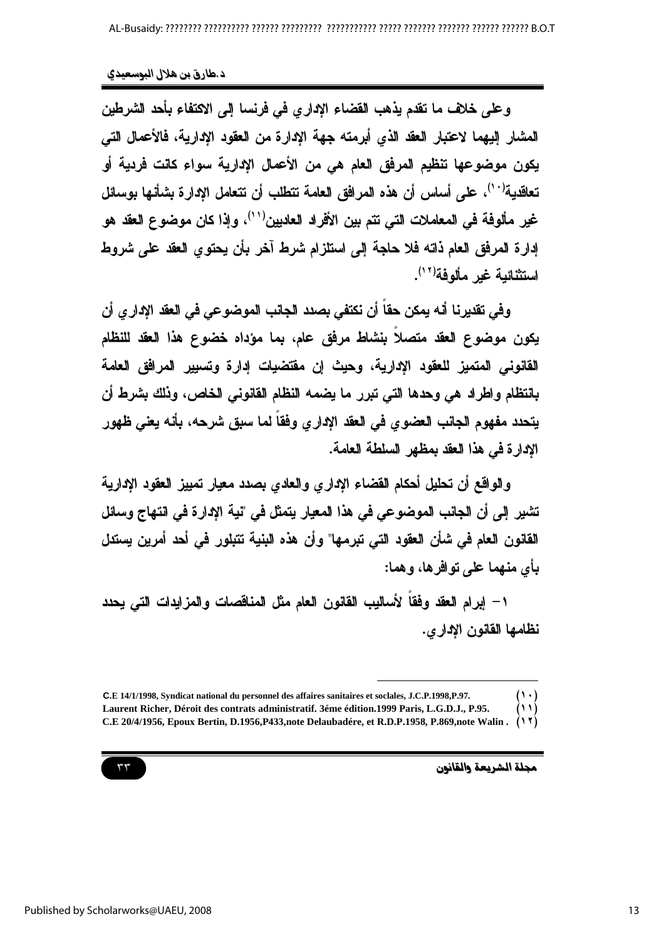وعلى خلاف ما تقدم يذهب القضاء الإداري في فرنسا إلى الاكتفاء بأحد الشرطين المشار إليهما لاعتبار العقد الذي أبرمته جهة الإدارة من العقود الإدارية، فالأعمال التي يكون موضوعها تنظيم المرفق العام هي من الأعمال الادارية سواء كانت فردية أو تعاقدية<sup>(١٠)</sup>، على أساس أن هذه المرافق العامة تتطلب أن تتعامل الإدارة بشأنها بوسائل غير مألوفة في المعاملات التي تتم بين الأفراد العاديين<sup>(١٠)</sup>، وإذا كان موضوع العقد هو إدارة المرفق العام ذاته فلا حاجة إلى استلزام شرط آخر بأن يحتوى العقد على شروط استثنائية غير مألوفة(\* ').

وفي تقدير نا أنه بمكن حقاً أن نكتفي بصدد الجانب الموضوعي في العقد الإدار ي أن يكون موضوع العقد متصلاً بنشاط مرفق عام، بما مؤداه خضوع هذا العقد للنظام القانوني المتميز للعقود الإدارية، وحيث إن مقتضيات إدارة وتسبير المرافق العامة بانتظام واطراد هي وحدها التي تبرر ما يضمه النظام القانوني الخاص، وذلك بشرط أن يتحدد مفهوم الجانب العضوي في العقد الإداري وفقاً لما سبق شرحه، بأنه يعني ظهور الإدارة في هذا العقد بمظهر السلطة العامة.

والواقع أن تحليل أحكام القضاع الاداري والعادي بصدد معيار تمييز العقود الادارية تشير إلى أن الجانب الموضوعي في هذا المعيار يتمثل في "نية الإدارة في انتهاج وسائل القانون العام في شأن العقود التي تبرمها" وأن هذه البنية تتبلور في أحد أمرين يستدل بأي منهما على توافر ها، وهما:

١– اِبِرام العقد وفقاً لأساليب القانون العام مثل المناقصات والمزايدات التي يحدد نظامها القانون الإداري.



 $(1 \cdot)$ C.E 14/1/1998, Syndicat national du personnel des affaires sanitaires et soclales, J.C.P.1998,P.97.  $(11)$ Laurent Richer, Déroit des contrats administratif. 3éme édition.1999 Paris, L.G.D.J., P.95.

C.E 20/4/1956, Epoux Bertin, D.1956, P433, note Delaubadére, et R.D.P.1958, P.869, note Walin.  $(11)$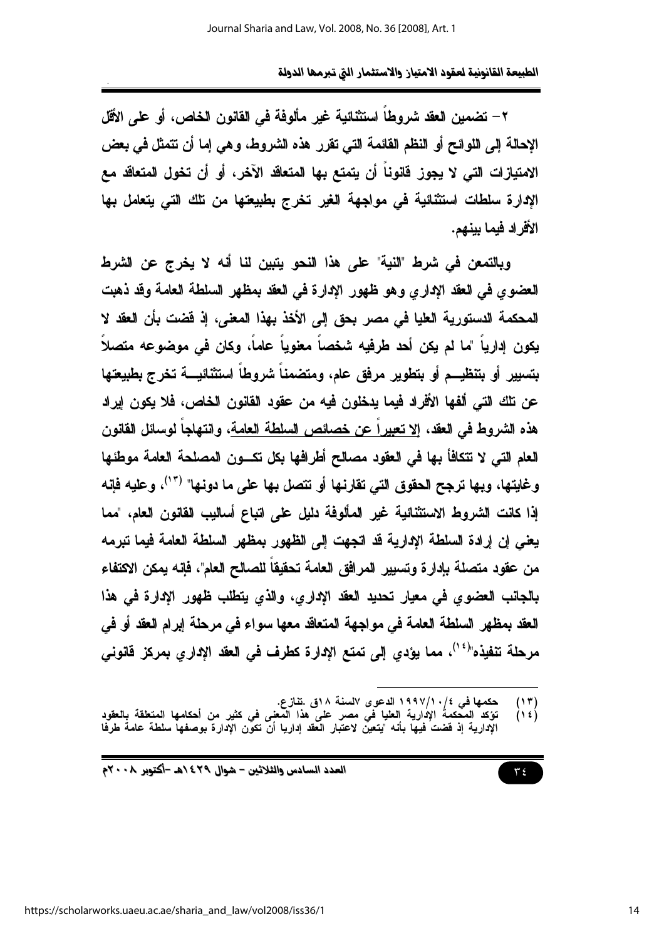٢ – تضمين العقد شروطاً استثنائية غير مألوفة في القانون الخاص، أو على الأقل الإحالة إلى اللوائح أو النظم القائمة التي تقرر هذه الشروط، وهي إما أن نتمثل في بعض الامتيازات التي لا يجوز فانوناً أن يتمتع بها المتعاقد الآخر، أو أن تخول المتعاقد مع الإدارة سلطات استثنائية في مواجهة الغير تخرج بطبيعتها من تلك التي يتعامل بها الأفر اد فيما ببنهم.

وبالتمعن في شرط "النية" على هذا النحو يتبين لنا أنه لا يخرج عن الشرط العضوى في العقد الإداري وهو ظهور الإدارة في العقد بمظهر السلطة العامة وقد ذهبت المحكمة الدستورية العليا في مصر بحق إلى الأخذ بهذا المعنى، إذ فضت بأن العقد لا يكون إدارياً "ما لم يكن أحد طرفيه شخصاً معنوياً عاماً، وكان في موضوعه متصلاً بتسيير أو بتنظيــم أو بتطوير مرفق عام، ومتضمناً شروطاً استثنائيـــة تخرج بطبيعتها عن تلك التي ألفها الأفراد فيما يدخلون فيه من عقود القانون الخاص، فلا يكون إيراد هذه الشروط في العقد، <u>إلا تعبيراً عن خصائص السلطة العامة</u>، وانتهاجاً لوسائل القانون العام التي لا تتكافأ بها في العقود مصالح أطرافها بكل تكسون المصلحة العامة موطئها وغايتها، وبها ترجح الحقوق التي تقارنها أو تتصل بها على ما دونها" ("')، وعليه فإنه إذا كانت الشروط الاستثنائية غير المألوفة دليل على اتباع أساليب القانون العام، "مما يعني إن إرادة السلطة الإدارية قد اتجهت إلى الظهور بمظهر السلطة العامة فيما تبرمه من عقود متصلة بإدارة وتسبير المرافق العامة تحقيقاً للصالح العام"، فإنه يمكن الاكتفاء بالجانب العضوى في معيار تحديد العقد الإداري، والذي يتطلب ظهور الإدارة في هذا العقد بمظهر السلطة العامة في مواجهة المتعاقد معها سواء في مرحلة إبرام العقد أو في مرحلة تنفيذه"<sup>(٢٠)</sup>، مما يؤدي إلى تمتع الإدارة كطرف في العقد الإداري بمركز فانوني

العدد السادس والثلاثين - شوال ٢٩٤/هـ -أكتوبر ٢٠٠٨م

 $\mathbf{r}$  {

حكمها في ١٩٩٧/١٠/٤ الدعوى السنة ١٨ق .تنازع.  $\binom{1 \space \tau}{1 \space \epsilon}$ 

تؤكد المعّكمةُ الإدارية العليا في مصر على هذا المّعلى في كثير من أحكامها المتعلقة بالعقود الْإِدارِية إِذْ فَضتُ فِيهَا بِأَنه "يتعين لاعتبار العقد إداريا أن تكون الْإِدارة بوصفها سلطة عامةً طرفا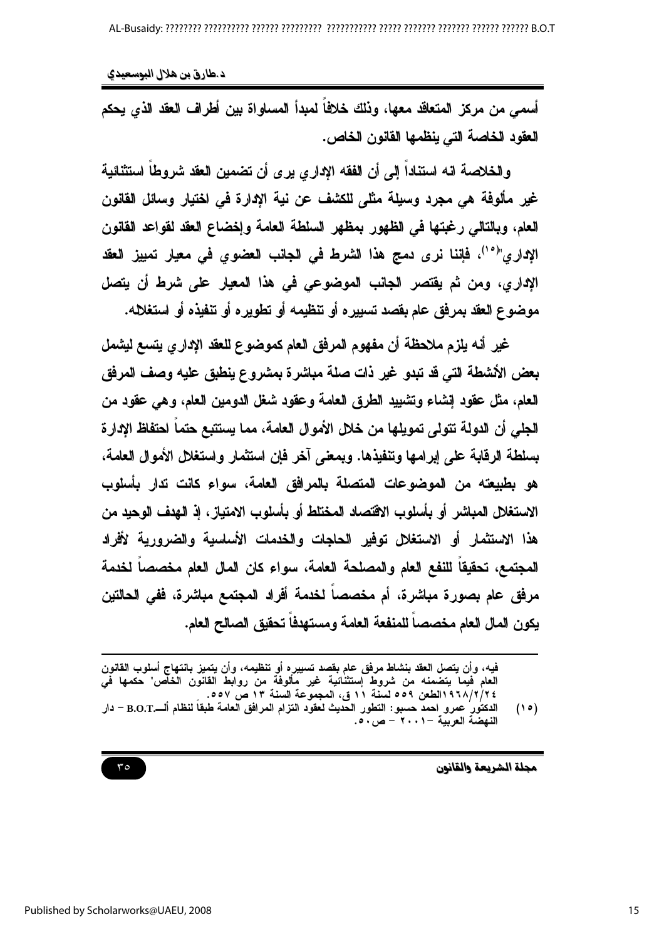أسمى من مركز المتعاقد معها، وذلك خلافاً لمبدأ المساواة بين أطراف العقد الذي يحكم العقود الخاصة التي ينظمها القانون الخاص.

والخلاصة انه استناداً إلى أن الفقه الاداري بري أن تضمين العقد شروطاً استثنائية غير مألوفة هي مجرد وسيلة مثلي للكشف عن نية الإدارة في اختيار وسائل القانون العام، وبالتالي رغبتها في الظهور بمظهر السلطة العامة وإخضاع العقد لقواعد القانون الإداري"<sup>(١٠)</sup>، فإننا نرى دمج هذا الشرط فى الجانب العضوى فى معيار تمييز العقد الإداري، ومن ثم يقتصر الجانب الموضوعى في هذا المعيار على شرط أن يتصل موضوع العقد بمرفق عام بقصد تسبيره أو تنظيمه أو تطويره أو تنفيذه أو استغلاله.

غير أنه يلزم ملاحظة أن مفهوم المرفق العام كموضوع للعقد الإداري يتسع ليشمل بعض الأشطة التي قد تبدو غير ذات صلة مباشرة بمشروع ينطبق عليه وصف المرفق العام، مثل عقود إنشاء وتشييد الطرق العامة وعقود شغل الدومين العام، وهي عقود من الجلى أن الدولة تتولى تمويلها من خلال الأموال العامة، مما يستتبع حتماً احتفاظ الإدارة بسلطة الرقابة على إبرامها وتنفيذها. ويمعني آخر فإن استثمار واستغلل الأموال العامة، هو بطبيعته من الموضوعات المتصلة بالمرافق العامة، سواء كانت تدار بأسلوب الاستغلال المباشر أو بأسلوب الاقتصاد المختلط أو بأسلوب الامتياز، إذ الهدف الوحيد من هذا الاستثمار أو الاستغلال توفير الحاجات والخدمات الأساسية والضرورية لأفراد المجتمع، تحقيقا للنفع العام والمصلحة العامة، سواء كان المال العام مخصصا لخدمة مرفق عام بصورة مباشرة، أم مخصصاً لخدمة أفراد المجتمع مباشرة، ففي الحالتين يكون المال العام مخصصا للمنفعة العامة ومستهدفا تحقيق الصالح العام.

فيه، وأن يتصل العقد بنشاط مرفق عام بقصد تسييره أو تنظيمه، وأن يتميز بانتهاج أسلوب القانون<br>العام فيما يتضمنه من شروط إستثنائية غير مألوفة من روابط القانون الخاص" حكمها في<br>٢٩/١/٢/٢٤لطعن ٥٥٩ لسنة ١١ ق، المجموعة السنة ١٣ ص ٥٥

مجلة الشريعة والقانون

 $50$ 

الدكتور عمرو احمد حسبو: النطور الحديث لعقود النزام المرافق العامة طبقا لنظام ألــــB.O.T - دار  $(10)$ النهضَة العربية - ٢٠٠١ - ص ٥٠.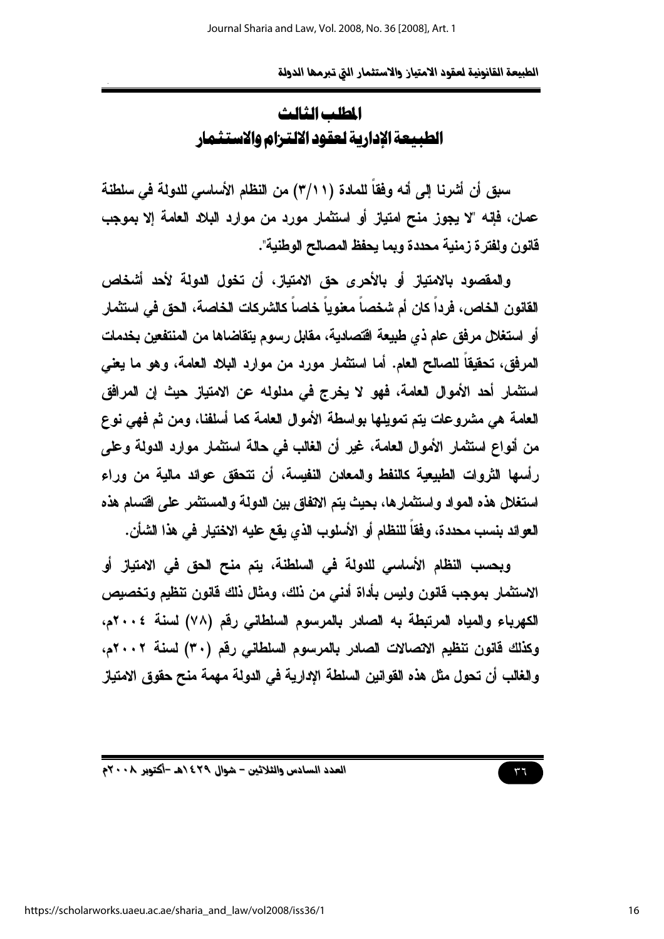المطلب الثالث الطبيعة الإدارية لعقود الالترام والاستثمار

سيق أن أشرنا إلى أنه وفقاً للمادة (٢/١١) من النظام الأساسي للدولة في سلطنة عمان، فإنه "لا يجوز منح امتياز أو استثمار مورد من موارد البلاد العامة إلا بموجب قانون ولفتر ة زمنية محددة ويما يحفظ المصالح الوطنية".

والمقصود بالامتياز أو بالأحرى حق الامتياز، أن تخول الدولة لأحد أشخاص القانون الخاص، فرداً كان أم شخصاً معنوياً خاصاً كالشركات الخاصة، الحق في استثمار أو استغلال مرفق عام ذي طبيعة اقتصادية، مقابل رسوم يتقاضاها من المنتفعين بخدمات المرفق، تحقيقاً للصالح العام. أما استثمار مورد من موارد البلاد العامة، وهو ما يعني استثمار أحد الأموال العامة، فهو لا يخرج في مدلوله عن الامتياز حيث إن المرافق العامة هي مشروعات يتم تمويلها بواسطة الأموال العامة كما أسلفنا، ومن ثم فهي نوع من أنواع استثمار الأموال العامة، غير أن الغالب في حالة استثمار موارد الدولة وعلى رأسها الثروات الطبيعية كالنفط والمعادن النفيسة، أن تتحقق عوائد مالية من وراء استغلال هذه المواد واستثمارها، بحيث يتم الاتفاق بين الدولة والمستثمر على اقتسام هذه العوائد بنسب محددة، وفقاً للنظام أو الأسلوب الذي يقع عليه الاختيار في هذا الشأن.

وبحسب النظام الأساسي للدولة في السلطنة، يتم منح الحق في الامتياز أو الاستثمار بموجب قانون وليس بأداة أدنى من ذلك، ومثال ذلك قانون تنظيم وتخصيص الكهرباء والمياه المرتبطة به الصادر بالمرسوم السلطاني رقم (٧٨) لسنة ٢٠٠٤م، وكذلك فانون تنظيم الاتصالات الصادر بالمرسوم السلطاني رقم (٣٠) لسنة ٢٠٠٢م، و الغالب أن تحول مثل هذه القوانين السلطة الإدارية في الدولة مهمة منح حقوق الامتياز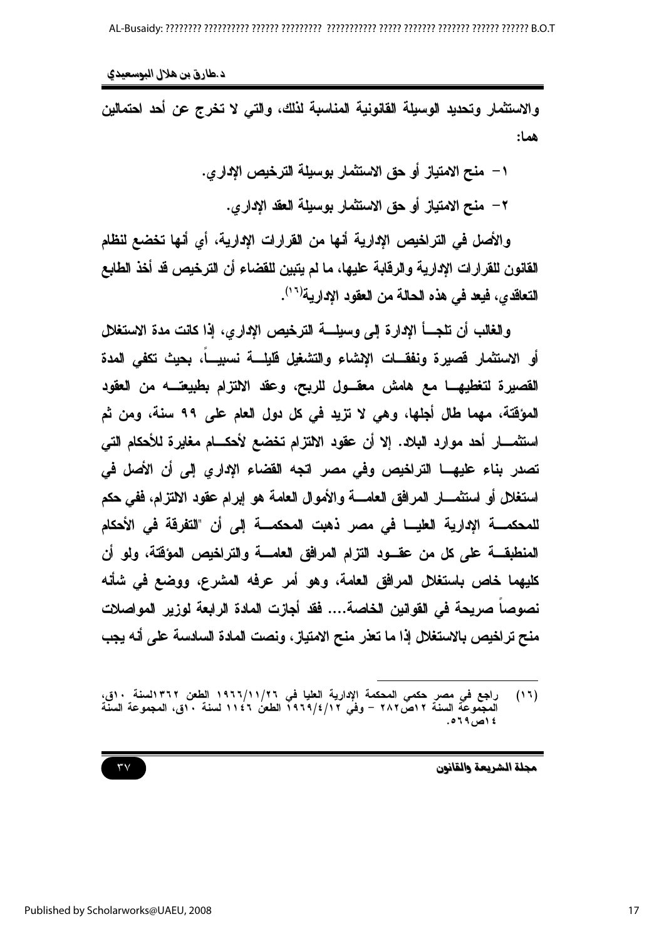د طارق بن هلال البوسعيدي

والاستثمار وتحديد الوسيلة القانونية المناسبة لذلك، والتي لا تخرج عن أحد احتمالين هما:

١ – منح الامتياز أو حق الاستثمار بوسيلة الترخيص الإدار ي.

٢ – منح الامتياز أو حق الاستثمار بوسيلة العقد الإدارى.

والأصل في التراخيص الإدارية أنها من القرارات الإدارية، أي أنها تخضع لنظام القانون للقرارات الإدارية والرقابة عليها، ما لم يتبين للقضاء أن الترخيص قد أخذ الطابع التعاقدي، فيعد في هذه الحالة من العقود الإدارية<sup>(١٦)</sup>.

والغالب أن تلجساً الإدارة إلى وسيلسة الترخيص الإداري، إذا كانت مدة الإستغلل أو الاستثمار فصيرة ونفقـــات الإشاء والتشغيل فليلـــة نسبيــــاً، بحيث تكفي المدة القصيرة لتغطيهـــا مـع هامش معقـــول للربـح، وعقد الالتزام بطبيعتـــه من العقود المؤقتة، مهما طال أجلها، وهي لا تزيد في كل دول العام على ٩٩ سنة، ومن ثم استثمــــار أحد موارد البلاد. إلا أن عقود الالتزام تخضع لأحكــــام مغايرة للأحكام التي تصدر بناء عليهـــا التراخيص وفي مصر اتجه القضاء الإداري إلى أن الأصل في استغلل أو استثمــــار المرافق العامـــــة والأموال العامـة هو إبرام عقود الالتزام، ففي حكم للمحكمــــــــــة الإداريـــة الـعليـــــــــا في مصر ذهبت المحكمـــــــة إلى أن "التفرقة في الأحكام المنطبقـــــة على كل من عقــــود التزام المرافق العامـــــة والتراخيص المؤقتة، ولو أن كليهما خاص باستغلال المرافق العامة، وهو أمر عرفه المشرع، ووضع في شأنه نصوصاً صريحة في القوانين الخاصة.... فقد أجازت المادة الرابعة لوزير المواصلات منح تراخيص بالاستغلال إذا ما تعذر منح الامتياز ، ونصت المادة السادسة على أنه يجب

مجلة الشريعة والقانون

 $\mathsf{r}\mathsf{v}$ 

راجع في مصر حكمي المحكمة الإدارية العليا في ١٩٦٦/١١/٢٦ الطعن ١٣٦٢لسنة ٥٠ق،<br>المجموعة السنة ١٢ص٢٨٢ – وفي ١٩٦٩/٤/١٢ الطعن ١١٤٦ لسنة ٥٠ق، المجموعة السنة  $(11)$ ٤ ١ص ٦٩، ٥.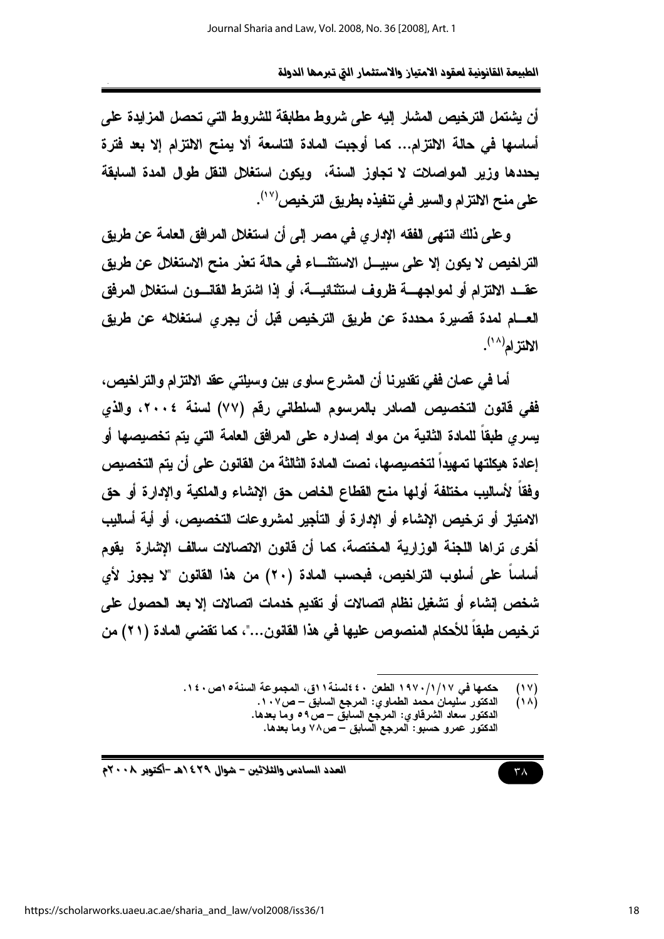أن يشتمل الترخيص المشار إليه على شروط مطابقة للشروط التي تحصل المزايدة على أساسها في حالة الالتزام... كما أوجبت المادة التاسعة ألا يمنح الالتزام إلا بعد فترة يحددها وزير المواصلات لا تجاوز السنة، ويكون استغلال النقل طوال المدة السابقة على منح الالتزام والسير في تنفيذه بطريق الترخيص'``.

وعلى ذلك انتهى الفقه الإداري في مصر إلى أن استغلال المرافق العامة عن طريق التراخيص لا يكون إلا على سبيـــل الاستثنــــاء في حالة تعنر منح الاستغلال عن طريق عقــد الالتزام أو لمواجهــــة ظروف استثنائيــــة، أو إذا اشترط القانــــون استغلال المرفق العـــام لمدة فصيرة محددة عن طريق الترخيص قبل أن يجرى استغلاله عن طريق  $\mathbb{M}^{(\wedge)}$ الالتز ام

أما في عمان ففي تقديرنا أن المشرع ساوي بين وسيلتي عقد الالتزام والتراخيص، ففي فانون التخصيص الصادر بالمرسوم السلطاني رقع (٧٧) لسنة ٢٠٠٤، والذي يسرى طبقاً للمادة الثانية من مواد إصداره على المرافق العامة التي يتم تخصيصها أو إعادة هيكلتها تمهيداً لتخصيصها، نصت المادة الثالثة من القانون على أن يتم التخصيص وفقاً لأساليب مختلفة أولها منح القطاع الخاص حق الإشاء والملكية والإدارة أو حق الامتباز أو ترخيص الاشاء أو الادارة أو التأجير لمشروعات التخصيص، أو أية أساليب أخرى تراها اللجنة الوزارية المختصة، كما أن فانون الاتصالات سالف الإشارة يقوم أساساً على أسلوب التراخيص، فبحسب المادة (٢٠) من هذا القانون "لا يجوز لأي شخص إنشاء أو تشغيل نظام اتصالات أو تقديم خدمات اتصالات إلا بعد الحصول على ترخيص طبقاً للأحكام المنصوص عليها في هذا القانون..."، كما تقضي المادة (٢١) من

> حكمها في ١٩٧٠/١/١٧ الطعن ٤٠ £لسنة١١ق، المجموعة السنة١٥ص ١٤٠.  $(1V)$

 $(\lambda)$ الدكتور سليمان محمد الطماوي: المرجع السابق – ص١٠٧. الدكتور سعاد الشرقاوي: المرجِّع السابقِّ – صْ٥٩ وما بعدها. الدكتور عمرو حسبو: آلمرجع السابق – ص٧٨ وما بعدها.

العدد السادس والثلاثين – شوال ٤٢٩ ١هـ -أكتوبر ٢٠٠٨م

$$
\tau\wedge
$$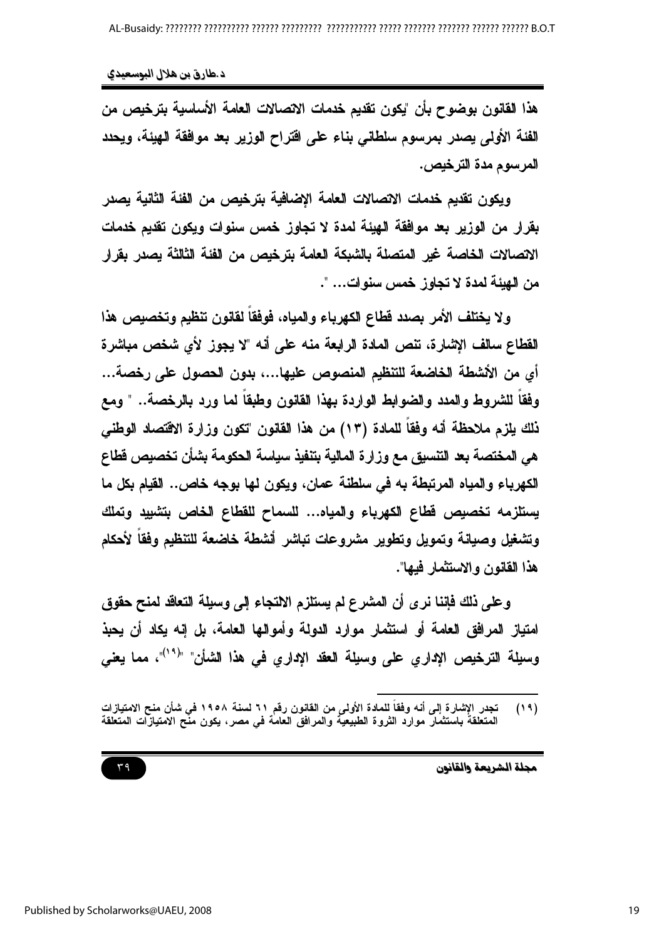هذا القانون بوضوح بأن "يكون تقديم خدمات الاتصالات العامة الأساسية بترخيص من الفئة الأولى يصدر بمرسوم سلطاني بناء على اقتراح الوزير بعد موافقة الهيئة، ويحدد المرسوم مدة الترخيص.

ويكون تقديم خدمات الاتصالات العامة الإضافية بترخيص من الفئة الثانية يصدر بقرار من الوزير بعد موافقة الهيئة لمدة لا تجاوز خمس سنوات ويكون تقديم خدمات الاتصالات الخاصة غير المتصلة بالشبكة العامة بترخيص من الفئة الثالثة يصدر بقرار من الهيئة لمدة لا تجاوز خمس سنوات... ".

ولا يختلف الأمر بصدد قطاع الكهرباء والمياه، فوفقا لقانون تنظيم وتخصيص هذا القطاع سالف الإشارة، تنص المادة الرابعة منه على أنه "لا يجوز لأى شخص مباشرة أي من الأشطة الخاضعة للتنظيم المنصوص عليها...، بدون الحصول على رخصة... وفقاً للشروط والمدد والضوابط الواردة بهذا القانون وطبقاً لما ورد بالرخصة.. " ومع ذلك يلزم ملاحظة أنه وفقاً للمادة (١٣) من هذا القانون "تكون وزارة الاقتصاد الوطني هي المختصة بعد التنسيق مع وزارة المالية بتنفيذ سياسة الحكومة بشأن تخصيص قطاع الكهرباء والمياه المرتبطة به في سلطنة عمان، ويكون لها بوجه خاص.. القيام بكل ما يستلزمه تخصيص قطاع الكهرباء والمياه... للسماح للقطاع الخاص بتشييد وتملك ونشغيل وصيانة وتمويل ونطوير مشروعات تباشر أنشطة خاضعة للتنظيم وفقا لأحكام هذا القانون و الاستثمار فبها".

وعلى ذلك فإننا نرى أن المشرع لم يستلزم الالتجاء إلى وسيلة التعاقد لمنح حقوق امتياز المرافق العامة أو استثمار موارد الدولة وأموالها العامة، بل إنه يكاد أن يحبذ وسيلة الترخيص الإداري على وسيلة العقد الإداري في هذا الشأن" "("')"، مما يعني

مجلة الشريعة والقانون

تجدر الإشارة إلى أنه وفقاً للمادة الأولى من القانون رقم ٢١ لسنة ١٩٥٨ في شأن منح الامتيازات<br>المتعلقة باستثمار موارد الثروة الطبيعية والمرافق العامة في مصر ، يكون منح الامتيازات المتعلقة  $(19)$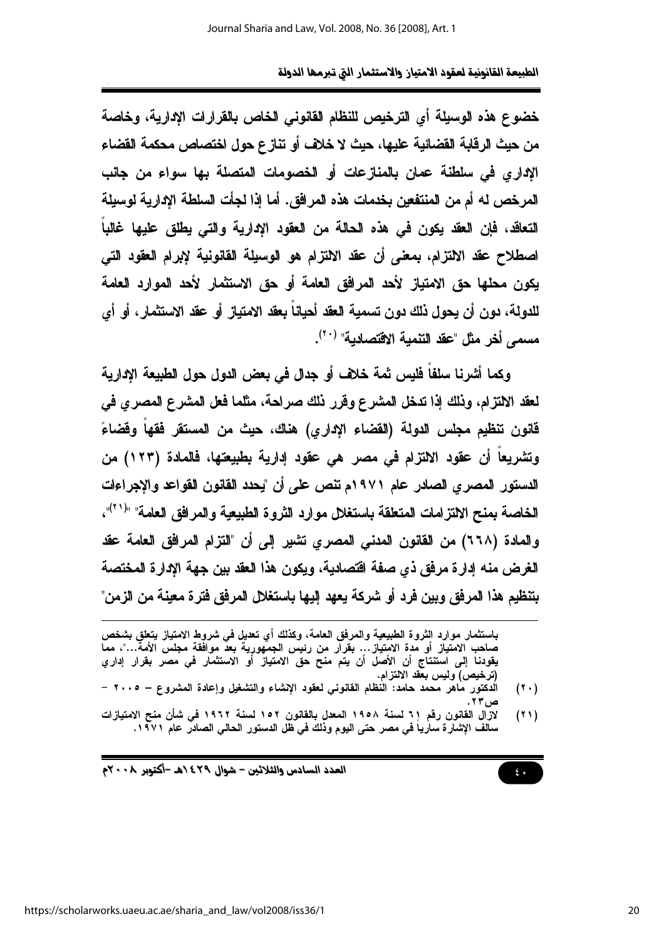خضوع هذه الوسيلة أي الترخيص للنظام القانوني الخاص بالقرارات الادارية، وخاصة من حيث الرقابة القضائية عليها، حيث لا خلاف أو تنازع حول اختصاص محكمة القضاء الإداري في سلطنة عمان بالمنازعات أو الخصومات المتصلة بها سواء من جانب المر خص له أم من المنتفعين بخدمات هذه المر افق. أما إذا لجأت السلطة الإدارية لوسيلة التعاقد، فإن العقد يكون في هذه الحالة من العقود الادارية والتي يطلق عليها غالباً اصطلاح عقد الالتزام، بمعنى أن عقد الالتزام هو الوسيلة القانونية لإبرام العقود التي يكون محلها حق الامتياز لأحد المرافق العامة أو حق الاستثمار لأحد الموارد العامة للدولة، دون أن يحول ذلك دون تسمية العقد أحيانا بعقد الامتياز أو عقد الاستثمار، أو أي مسمى أخر مثل "عقد التنمية الاقتصادية" <sup>(٢٠)</sup>.

وكما أشرنا سلفاً فليس ثمة خلاف أو جدل في بعض الدول حول الطبيعة الإدارية لعقد الالتزام، وذلك إذا تدخل المشرع وفرر ذلك صراحة، مثلما فعل المشرع المصرى في قانون تنظيم مجلس الدولة (القضاء الإداري) هناك، حيث من المستقر فقهاً وقضاءً وتشريعاً أن عقود الالتزام في مصر هي عقود إدارية بطبيعتها، فالمادة (١٢٣) من الدستور المصري الصادر عام ١٩٧١م تنص على أن "يحدد القانون القواعد والإجراءات الخاصة بمنح الالتزامات المتعلقة باستغلال موارد الثروة الطبيعية والمرافق العامة" "<sup>(٢١</sup>)"، والمادة (٦٦٨) من القانون المدنى المصرى نشير إلى أن "التزام المرافق العامة عقد الغرض منه إدارة مرفق ذي صفة اقتصادية، ويكون هذا العقد بين جهة الإدارة المختصة بتنظيم هذا المرفق وبين فرد أو شركة يعهد إليها باستغلال المرفق فترة معينة من الزمن"

باستثمار موارد الثروة الطبيعية والمرفق العامة، وكذلك أي تعديل في شروط الامتياز يتعلق بشخص صاحب الامتياز أو مدة الامتياز… بقرار من رئيس الجمهورية بعد موافقة مجلس الأمة…"، مما يقودنا إلى استنتاج أن الأصل أن يتم منح حق الامتياز أو الاستثمار في مصر بقرار إداري (ترخيص) وليس بعقد الالتزام.

- الدكتور ماهر معمد حامد: النظام القانونى لعقود الإنشاء والتشغيل وإعادة المشروع ٢٠٠٥  $(1 \cdot)$
- لازال القانون رقم ٢١ لسنة ١٩٥٨ المعدل بالقانون ١٥٢ لسنة ١٩٦٢ في شأن منح الامتيازات  $(11)$ سالف الإشارة سارياً في مصر حتى اليوم وذلك في ظل الدستور الحالي الصادر عام ١٩٧١.

العدد السادس والثلاثين - شوال ٢٩٤/هـ -أكتوبر ٢٠٠٨م

 $\epsilon$ .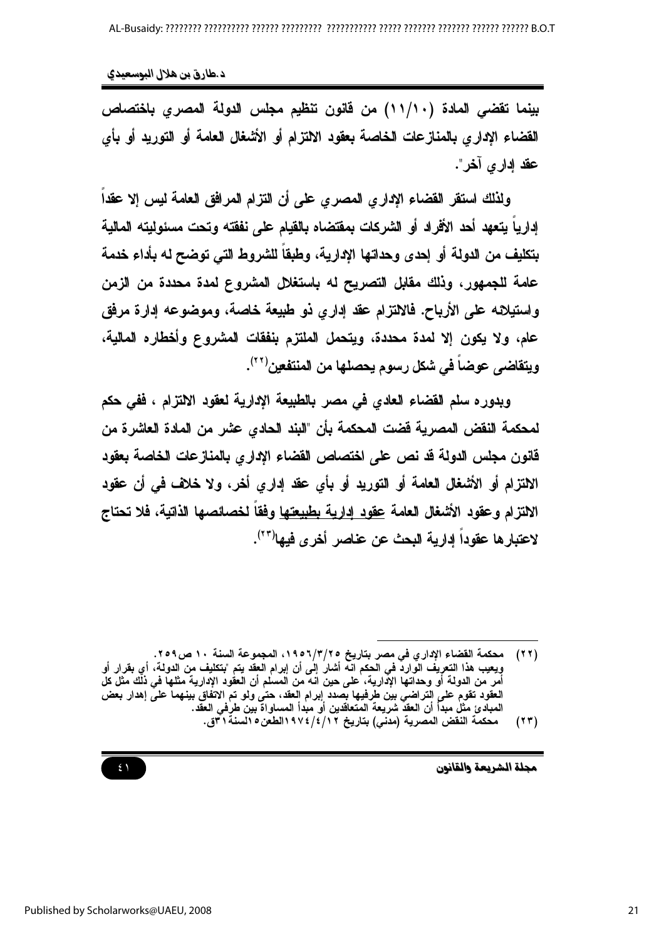بينما تقضى المادة (١١/١٠) من قانون تنظيم مجلس الدولة المصرى باختصاص القضاء الإدار ي بالمنازعات الخاصة بعقود الالتزام أو الأشغال العامة أو التوريد أو بأي عقد اداري آخر ".

ولذلك استقر القضاء الإداري المصري على أن التزام المرافق العامة ليس إلا عقدا اداريا بتعهد أحد الأفراد أو الشركات بمقتضاه بالقبام على نفقته وتحت مسئوليته المالية بتكليف من الدولة أو إحدى وحداتها الإدارية، وطبقاً للشروط التي توضح له بأداء خدمة عامة للجمهور، وذلك مقابل التصريح له باستغلال المشروع لمدة محددة من الزمن واستيلائه على الأرياح. فالالتزام عقد إداري ذو طبيعة خاصة، وموضوعه إدارة مرفق عام، ولا يكون إلا لمدة محددة، ويتحمل الملتزم بنفقات المشروع وأخطاره المالية، ويتقاضى عوضاً في شكل رسوم يحصلها من المنتفعين<sup>(٢٢</sup>).

وبدوره سلم القضاء العادي في مصر بالطبيعة الإدارية لعقود الالتزام ، ففي حكم لمحكمة النقض المصرية فضت المحكمة بأن "البند الحادي عثىر من المادة العاشرة من قانون مجلس الدولة قد نص على اختصاص القضاء الإداري بالمنازعات الخاصة بعقود الالتزام أو الأشغال العامة أو التوريد أو بأي عقد إداري أخر، ولا خلاف في أن عقود الالتزام وعقود الأشغال العامة عقود إدارية بطبيعتها وفقا لخصائصها الذاتية، فلا تحتاج لاعتبار ها عقوداً ادارية البحث عن عناصر أخرى فبها(\*\*).

مجلة الشريعة والقانون



<sup>(</sup>٢٢) محكمة القضاء الإداري في مصر بتاريخ ٢/٣/٢٥٦، المجموعة السنة ١٠ ص٢٥٩. ويعيب هذا التعريف الوارد في الحكم انه أشار إلى أن إبرام العقد يتم "بتكليف من الدولة، أي بقرار أو<br>أمر من الدولة أو وحداتها الإدارية، على حين انه من المسلم أن العقود الإدارية مثلها في ذلك مثل كل العقود تقوم على التراضي بيّن طرفيها بصدد إبرام العقد، حتّى ولو تم الاتفّاق بينهما علىّ إهدار بعض<br>المبادئ مثل مبدأ أن العقد شريعة المتعاقدين أو مبدأ المساواة بين طرفي العقد.

محكمة النقض المصرية (مدنى) بتاريخ ١٢/٤/٤/١٩٧الطعن٥ السنة ا َّاق.  $(55)$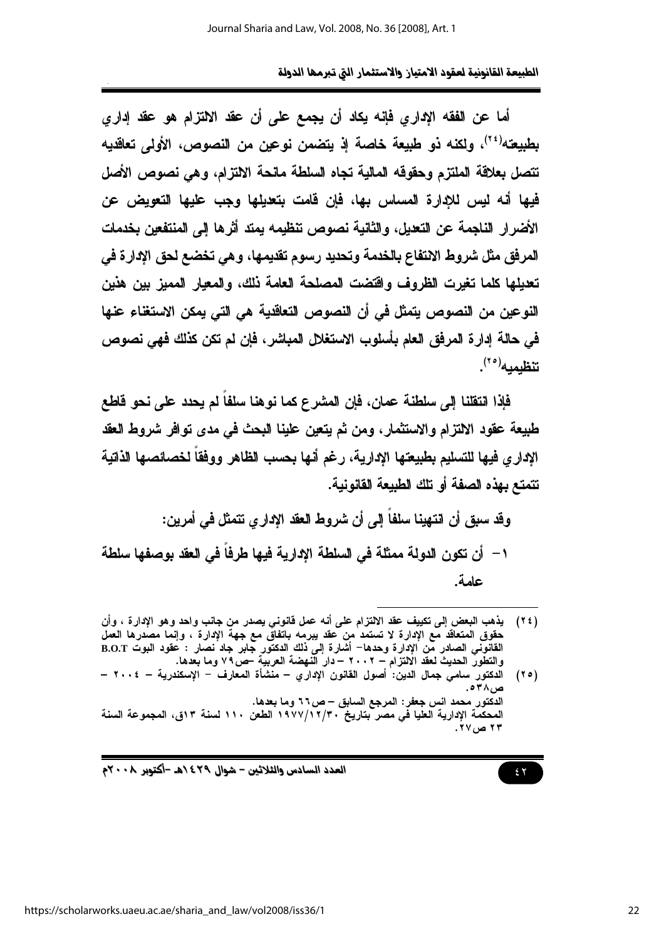أما عن الفقه الإداري فإنه يكاد أن يجمع على أن عقد الإلتزام هو عقد إداري بطبيعته<sup>(٢٤)</sup>، ولكنه ذو طبيعة خاصة إذ يتضمن نوعين من النصوص، الأول*ى* تعاقديه تتصل بعلاقة الملتزم وحقوقه المالية تجاه السلطة مانحة الالتزام، وهي نصوص الأصل فيها أنه نبس نلادارة المساس بها، فإن قامت بتعبلها وجب عليها التعويض عن الأضرار الناجمة عن التعيل، والثانية نصوص تنظيمه يمتد أثرها إلى المنتفعين بخدمات المرفق مثل شروط الانتفاع بالخدمة وتحديد رسوم تقديمها، وهي تخضع لحق الإدارة في تعديلها كلما تغيرت الظروف واقتضت المصلحة العامة ذلك، والمعيار المميز بين هذين النوعين من النصوص يتمثل في أن النصوص التعاقدية هي التي يمكن الاستغناء عنها في حالة إدار ة المرفق العام بأسلوب الاستغلال المباشر ، فإن لم تكن كذلك فهي نصوص ت**نظيميه**(° <sup>۲</sup>).

فإذا انتقلنا إلى سلطنة عمان، فإن المشرع كما نوهنا سلفاً لم يحدد على نحو قاطع طبيعة عقود الالتزام والاستثمار، ومن ثم يتعين علينا البحث في مدى توافر شروط العقد الإداري فيها للتسليم بطبيعتها الإدارية، رغم أنها بحسب الظاهر ووفقا لخصائصها الذاتية تتمتع بهذه الصفة أو تلك الطبيعة القانونية.

وقد سبق أن انتهينا سلفاً إلى أن شروط العقد الإداري نتمثل في أمرين:

عامة.

العدد السادس والثلاثين – شوال ٢٩٤ ٥هـ -أكتوبر ٢٠٠٨م

<sup>(</sup>٢٤) يذهب البعض إلى نكييف عقد الالتزام على أنه عمل قانوني يصدر من جانب واحد وهو الإدارة ، وأن حقوق المتعاقد مع الإدارة لا تستمد من عقد يبرمه باتفاق مع جهة الإدارة ، وإنما مصدرها العمل القانوني الصادر من الإدارة وحدها– أشارة إلى ذلك الدكتور جابر جاد نصار : عقود البوت B.O.T والتطور الحديث لعقد الالتزام – ٢٠٠٢ – دار الَّنهضة العربيَّة حصٌّ ٧٩ وما بعدها.

الدكتور سامي جمال الدين: أصول القانون الإداري – منشأة المعارف – الإسكندرية – ٢٠٠٤ –  $(50)$ الدكتور محمد انس جعفر : المرجع السابق – ص٢٦ وما بعدها. المحكمة الإدارية العليا في مصر بتاريخ ١٩٧٧/١٢/٣٠ الطعن ١١٠ لسنة ١٣ق، المجموعة السنة ۲۳ ص ۲۷.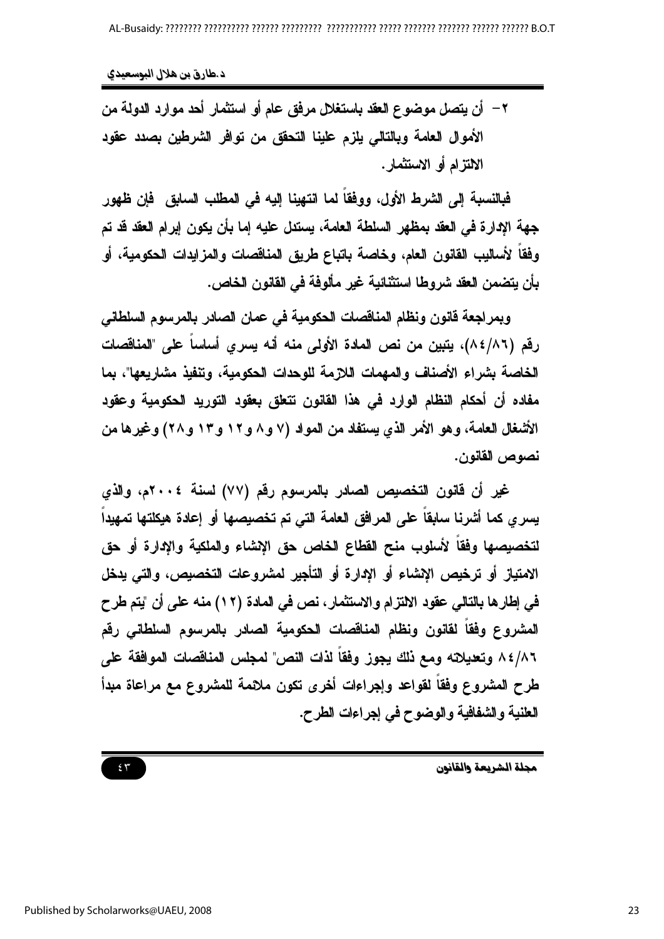٢ – أن يتصل موضوع العقد باستغلال مرفق عام أو استثمار أحد موارد الدولة من الأموال العامة وبالتالي يلزم علينا التحقق من توافر الشرطين بصدد عقود الالتزام أو الاستثمار .

فبالنسبة إلى الشرط الأول، ووفقا لما انتهينا إليه في المطلب السابق فإن ظهور جهة الإدارة في العقد بمظهر السلطة العامة، يستدل عليه إما بأن يكون إبرام العقد قد تم وفقاً لأساليب القانون العام، وخاصة باتباع طريق المناقصات والمزايدات الحكومية، أو بأن يتضمن العقد شروطا استثنائية غير مألوفة في القانون الخاص.

ويمراجعة فانون ونظام المناقصات الحكومية في عمان الصادر بالمرسوم السلطاني رفَم (٨٤/٨٦)، يتبين من نص المادة الأولى منه أنه يسرى أساساً على "المناقصات الخاصية بشر اء الأصناف والمهمات اللازمة للوحدات الحكومية، وتنفيذ مشاريعها"، يما مفاده أن أحكام النظام الوارد في هذا القانون نتعلق بعقود التوريد الحكومية وعقود الأشغال العامة، وهو الأمر الذي يستفاد من المواد (٧ و ٨ و ١٢ و ١٣ و ٢٨) وغيرها من نصوص القانون.

غير أن قانون التخصيص الصادر بالمرسوم رقم (٧٧) لسنة ٢٠٠٤م، والذي يسرى كما أشرنا سابقاً على المرافق العامة التي تم تخصيصها أو إعادة هيكلتها تمهيداً لتخصيصها وفقاً لأسلوب منح القطاع الخاص حق الإشاء والملكية والإدارة أو حق الامتياز أو ترخيص الإشاء أو الإدارة أو التأجير لمشروعات التخصيص، والتي يدخل في إطارها بالتالي عقود الالتزام والاستثمار، نص في المادة (١٢) منه على أن "يتم طرح المشروع وفقآ لقانون ونظام المناقصات الحكومية الصادر بالمرسوم السلطاني رقم ٨٤/٨٦ وتعديلاته ومع ذلك يجوز وفقاً لذات النص" لمجلس المناقصات الموافقة على طرح المشروع وفقاً لقواعد وإجراءات أخرى تكون ملائمة للمشروع مع مراعاة مبدأ العلنية والشفافية والوضوح في إجراءات الطرح.

مجلة الشريعة والقانون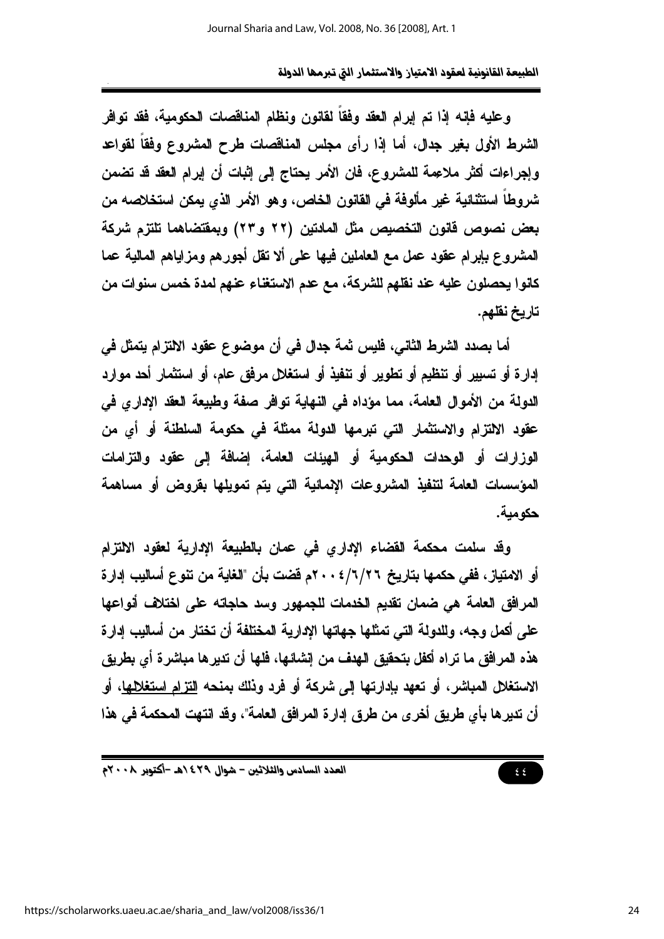وعليه فإنه إذا تم إبرام العقد وفقاً لقانون ونظام المناقصات الحكومية، فقد توافر الشرط الأول بغير جدال، أما إذا رأى مجلس المناقصات طرح المشروع وفقاً لقواعد وإجراءات أكثر ملاعِمة للمشروع، فان الأمر يحتاج إلى إثبات أن إبرام العقد قد تضمن شروطاً استثنائية غير مألوفة في القانون الخاص، وهو الأمر الذي يمكن استخلاصه من بعض نصوص قانون التخصيص مثل المادتين (٢٢ و٢٣) وبمقتضاهما تلتزم شركة المشروع بإبرام عقود عمل مع العاملين فيها على ألا تقل أجورهم ومزاياهم المالية عما كانوا يحصلون عليه عند نقلهم للشركة، مع عدم الاستغناء عنهم لمدة خمس سنوات من تاريخ نقلهم.

أما بصدد الشرط الثاني، فليس ثمة جدال في أن موضوع عقود الالتزام بتمثل في إدارة أو تسبير أو تنظيم أو تطوير أو تنفيذ أو استغلال مرفق عام، أو استثمار أحد موارد الدولة من الأموال العامة، مما مؤداه في النهاية توافر صفة وطبيعة العقد الإدارى في عقود الالتزام والاستثمار التى تبرمها الدولة ممثلة فى حكومة السلطنة أو أي من الوزارات أو الوحدات الحكومية أو الهيئات العامة، إضافة إلى عقود والتزامات المؤسسات العامة لتنفيذ المشروعات الإنمائية التي يتم تمويلها بقروض أو مساهمة حكومية.

وقد سلمت محكمة القضاء الإداري في عمان بالطبيعة الإدارية لعقود الالتزام أو الامتياز ، ففي حكمها بتاريخ ٢/٦/٢٦ . ٢٠م قضت بأن "الغاية من تنوع أساليب إدارة المرافق العامة هي ضمان تقديم الخدمات للجمهور وسد حاجاته على اختلاف أنواعها على أكمل وجه، وللدولة التي تمثلها جهاتها الإدارية المختلفة أن تختار من أساليب إدارة هذه المرافق ما تراه أكفل بتحقيق الهدف من إنشائها، فلها أن تدير ها مباشر ة أي بطريق الاستغلال المباشر ، أو تعهد بإدارتها إلى شركة أو فرد وذلك بمنحه <u>التزام استغلام</u>ها، أو أن تدير ها بأي طريق أخرى من طرق إدارة المرافق العامة"، وقد انتهت المحكمة في هذا

 $\xi$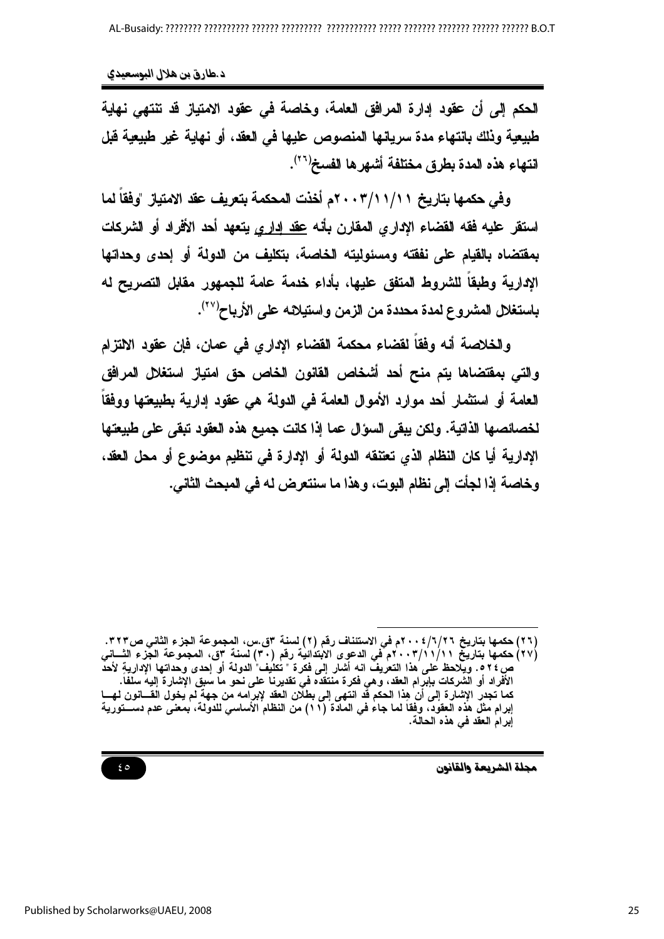الحكم إلى أن عقود إدارة المرافق العامة، وخاصة في عقود الامتياز قد تنتهي نهاية طبيعية وذلك بانتهاء مدة سريانها المنصوص عليها في العقد، أو نهاية غير طبيعية قبل انتهاء هذه المدة بطرق مختلفة أشهرها الفسخ<sup>(٢٦)</sup>.

وفي حكمها بتاريخ ٢٠١/١١/١١ م أخذت المحكمة بتعريف عقد الامتياز "وفقا لما استقر عليه فقه القضاء الإداري المقارن بأنه عقد إداري يتعهد أحد الأفراد أو الشركات بمقتضاه بالقيام على نفقته ومسئوليته الخاصة، بتكليف من الدولة أو إحدى وحداتها الإدارية وطبقا للشروط المتفق عليها، بأداء خدمة عامة للجمهور مقابل التصريح له باستغلال المشروع لمدة محددة من الزمن واستيلائه على الأرباح''').

والخلاصة أنه وفقاً لقضاء محكمة القضاء الإداري في عمان، فإن عقود الالتزام والتي بمقتضاها بتم منح أحد أشخاص القانون الخاص حق امتياز استغلال المرافق العامة أو استثمار أحد موارد الأموال العامة في الدولة هي عقود إدارية بطبيعتها ووفقا لخصائصها الذاتية. ولكن يبقى السؤال عما إذا كانت جميع هذه العقود تبقى على طبيعتها الإدارية أيا كان النظام الذي تعتنقه الدولة أو الإدارة في تنظيم موضوع أو محل العقد، وخاصة إذا لجأت إلى نظام البوت، وهذا ما سنتعرض له في المبحث الثاني.

مجلة الشريعة والقانون

 $\epsilon$  0

<sup>(</sup>٢٦) حكمها بتاريخ ٢٦/٢٦؛ ٢٠٠ه في الاستئناف رقم (٢) لسنة ٣ق.س، المجموعة الجزء الثاني ص٣٢٣. (٢٧) حكمها بتاريخ ٢٠١/١١/١١م في الدعوى الابتدائية رقم (٣٠) لسنة ٣ق، المجموعة الجَّزء الثـــانى ص ٢٤ ه . ويلاحظ على ُهذا النعريف انـه أشار إِنّـى فكّرة " تُكلُّيف" الدولة أو إحدى وحداتها الإدارية لأحد<br>الأفراد أو الشركات بإبرام العقد، وهي فكرة منتقده في تقديرنا على نحو ما سبق الإشارة إليه سلفاً.<br>الأفراد أو الشركات بإ كما تجدر الإشارة إلى أن هِذا الحكم قد انتهى إلى بطلان العقد لإبرامه من جهة لم يخول القـــانون لهـــا إبرام مثل هذه العقود، وفقا لما جاء في المادة (١١) من النظام الأساسي للدولة، بمعنى عدم دســـتورية إبرام العقد في هذه الحالة.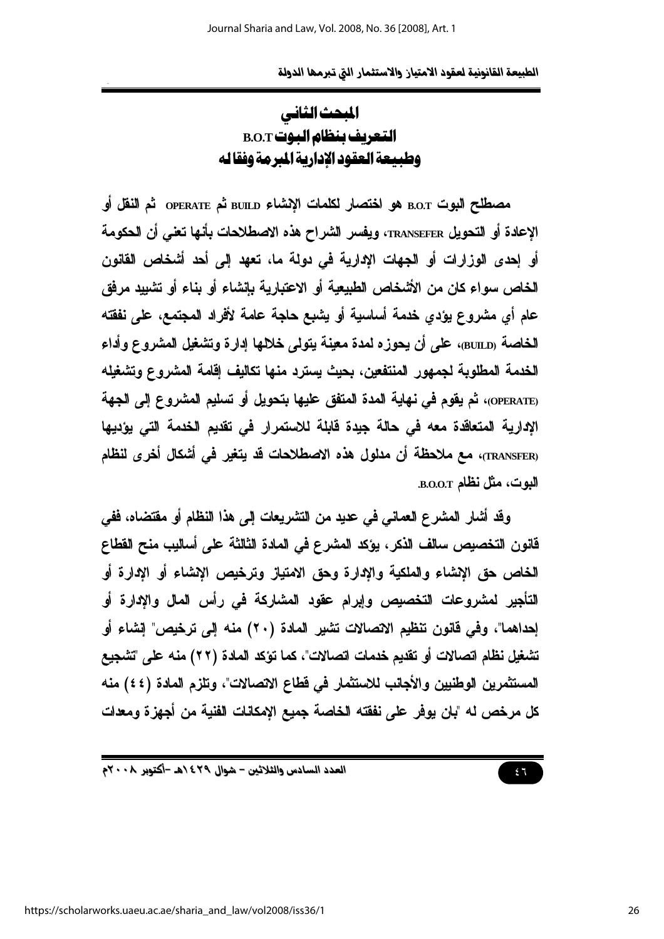## المحث الثاني التعريف بنظام البوت B.O.T وطبيعة العقود الإدارية المبرمة وفقاله

مصطلح البوت B.O.T هو اختصار لكلمات الإنشاء BUILD ثم OPERATE ثم النقل أو الإعادة أو التحويل TRANSEFER، ويفسر الشراح هذه الاصطلاحات بأنها تعني أن الحكومة أو إحدى الوزارات أو الجهات الإدارية في دولة ما، تعهد إلى أحد أشخاص القانون الخاص سواء كان من الأشخاص الطبيعية أو الاعتبارية بإنشاء أو بناء أو تشبيد مرفق عام أي مشروع يؤدي خدمة أساسية أو يشبع حاجة عامة لأفراد المجتمع، على نفقته الخاصة <sub>(BUILD</sub>)، على أن يحوزه لمدة معينة يتولى خلالها إدارة وتشغيل المشروع وأداء الخدمة المطلوبة لجمهور المنتفعين، بحيث يسترد منها تكاليف إقامة المشروع وتشغيله OPERATE)، ثم يقوم في نهاية المدة المتفق عليها بتحويل أو تسليم المشروع إلى الجهة الإدارية المتعاقدة معه في حالة جيدة فابلة للاستمرار في تقديم الخدمة التي يؤديها (TRANSFER)، مع ملاحظة أن مدلول هذه الاصطلاحات قد يتغير في أشكال أخرى لنظام البوت، مثل نظام B.O.O.T.

وفَّد أشار المشرع العماني في عديد من التشريعات إلى هذا النظام أو مفتضاه، ففي فانون التخصيص سالف الذكر ، يؤكد المشرع في المادة الثالثة على أساليب منح الفطاع الخاص حق الإشاء والملكية والإدارة وحق الامتياز وترخيص الإشاء أو الإدارة أو التأجير لمشروعات التخصيص وإبرام عقود المشاركة في رأس المال والإدارة أو إحداهما"، وفي قانون ننظيم الاتصالات نشير المادة (٢٠) منه إلى ترخيص" إنشاء أو تشغيل نظام اتصالات أو تقديم خدمات اتصالات"، كما تؤكد المادة (٢٢) منه على 'تشجيع المستثمرين الوطنيين والأجانب للاستثمار في فطاع الاتصالات"، وتلزم المادة (٤٤) منه كل مرخص له "بان يوفر على نفقته الخاصة جميع الإمكانات الفنية من أجهزة ومعدات

 $57$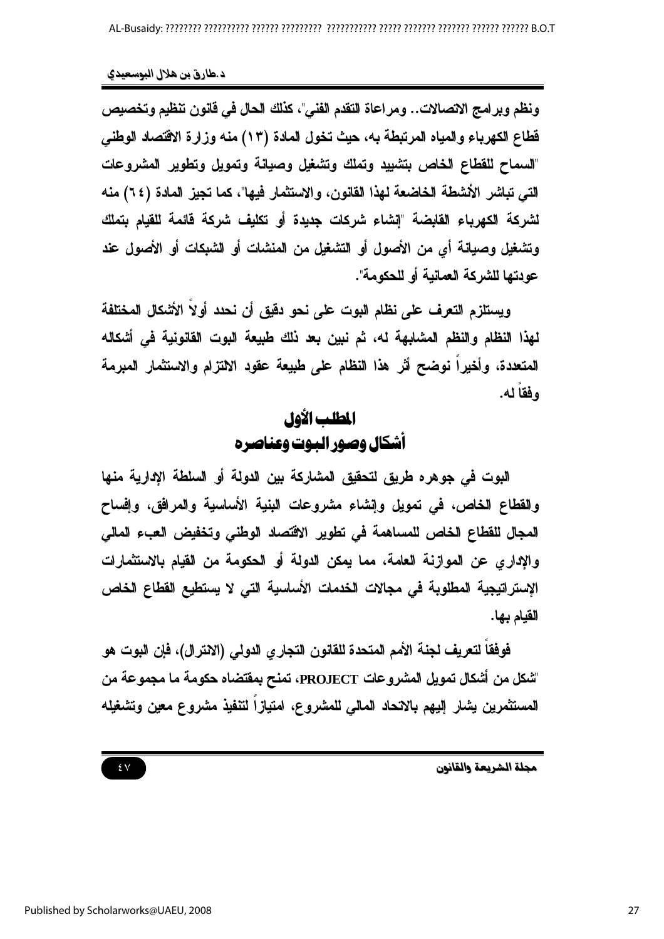ونظم وبرامج الاتصالات.. ومراعاة التقدم الفني"، كذلك الحال في فانون تنظيم وتخصيص فَطاع الكهرباء والمياه المرتبطة به، حيث تخول المادة (١٣) منه وزارة الاقتصاد الوطني "لسماح للقطاع الخاص بتثبيد وتملك وتشغيل وصيانة وتمويل وتطوير المشروعات التي تباشر الأشطة الخاضعة لهذا القانون، والاستثمار فيها"، كما تجيز المادة (٢٤) منه لشركة الكهرياء القابضة "إنشاء شركات جديدة أو تكليف شركة فآئمة للقيام بتملك وتشغيل وصيانة أي من الأصول أو التشغيل من المنشات أو الشبكات أو الأصول عند عودتها للشركة العمانية أو للحكومة".

ويستلزم التعرف على نظام البوت على نحو دقيق أن نحدد أولاً الأشكال المختلفة لهذا النظام والنظم المشابهة له، ثم نبين بعد ذلك طبيعة البوت القانونية في أشكاله المتعدة، وأخيراً نوضح أثر هذا النظام على طبيعة عقود الالتزام والاستثمار المبرمة وفقا له.

## المطلب الأول أشكال وصور اليوت وعناصره

البوت في جوهره طريق لتحقيق المشاركة بين الدولة أو السلطة الإدارية منها والقطاع الخاص، في تمويل وإنشاء مشروعات البنية الأساسية والمرافق، وإفساح المجال للقطاع الخاص للمساهمة في تطوير الاقتصاد الوطني وتخفيض العبء المالي والإدار ٍ عن الموازنة العامة، مما يمكن الدولة أو الحكومة من القيام بالاستثمارات الإستراتيجية المطلوبة في مجالات الخدمات الأساسية التي لا يستطيع الفطاع الخاص القيام بها.

فوفقا لتعريف لجنة الأمم المتحدة للقانون التجاري الدولي (الانترال)، فإن البوت هو "شكل من أشكال تمويل المشروعات PROJECT، تمنح بمفتضاه حكومة ما مجموعة من المستثمرين يشار إليهم بالاتحاد المالى للمشروع، امتيازاً لتنفيذ مشروع معين وتشغيله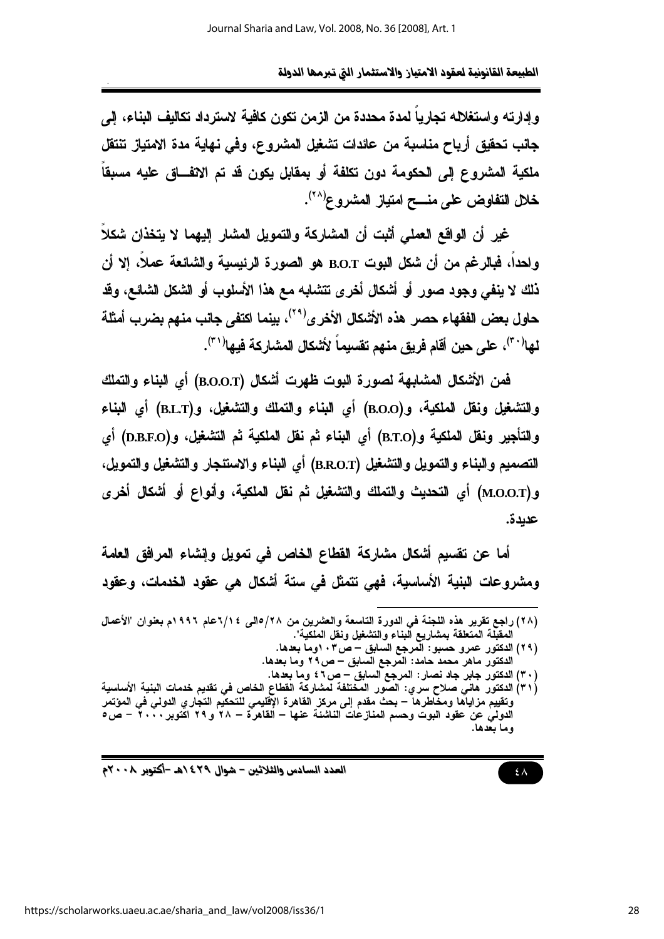وإدارته وإستغلاله تجاريا لمدة محددة من الزمن تكون كافية لاسترداد تكاليف البناء، إلى جانب تحقيق أرباح مناسبة من عائدات تشغيل المشروع، وفي نـهايـة مدة الامتياز تنتقل ملكية المشروع إلى الحكومة دون تكلفة أو بمقابل يكون قد تم الاتفـــاق عليه مسبقا خلل التفاوض على منسح امتياز المشروع<sup>(٢٨)</sup>.

غير أن الواقع العملي أثبت أن المشاركة والتمويل المشار إليهما لا يتخذان شكلاً واحدا، فبالرغم من أن شكل البوت B.O.T هو الصورة الرئيسية والشائعة عملا، إلا أن ذلك لا ينفي وجود صور أو أشكال أخرى تتشابه مع هذا الأسلوب أو الشكل الشائع، وقد حاول بعض الفقهاء حصر هذه الأشكال الأخرى<sup>(٢٩)</sup>، بينما اكتفى جانب منهم بضرب أمثلة لها<sup>(٣٠)</sup>، على حين أقام فريق منهم تقسيماً لأشكال المشاركة فيها<sup>(٣١</sup>).

فمن الأشكال المشابهة لصورة البوت ظهرت أشكال (B.O.O.T) أي البناء والتملك والتشغيل ونقل الملكية، و(B.O.O) أي البناء والتملك والتشغيل، و(B.L.T) أي البناء والتأجير ونقل الملكية و(B.T.O) أي البناء ثم نقل الملكية ثم التشغيل، و(D.B.F.O) أي التصميم والبناء والتمويل والتشغيل (B.R.O.T) أي البناء والاستئجار والتشغيل والتمويل، و(M.O.O.T) أي التحديث والتملك والتشغيل ثم نقل الملكية، وأنواع أو أشكال أخرى عديدة.

أما عن نقسيم أشكال مشاركة القطاع الخاص في تمويل وإنشاء المرافق العامة ومشروعات البنية الأساسية، فهي تتمثل في ستة أشكال هي عقود الخدمات، وعقود

- (٢٩) الدكتور عمرو حسبو: المرجع السابق ص٢٠٣وما بعدها. الدكتور ماهر محمد حامد: المرجع السابق – ص٢٩ وما بعدها.
	- (٣٠) الدكتور جابر جاد نصار : المرجع السابق ص٢ ٤ وما بعدها.
- (٣١) الدكتور. هاني صلاح سري: الصّور المختلفة لمشاركة الفطاع الخاص في تقديم خدمات البنية الأساسية وتقييم مزاياًها ومخّاطرهاً – بحث مقدم إلى مركز القاهرة الإّقليمي للتحكيّم التجاري الدولى فى المؤتمر الدولمُي عن عقود البوت وحسم المنازعات الناشئة عنها – القاهرة – ٢٨ و ٢٩ اكتوبر ٢٠٠٠ – ص٥ وما بعدها.

العدد السادس والثلاثين – شوال ٤٢٩ ٥هـ -أكتوبر ٢٠٠٨م

<sup>(</sup>٢٨) راجع تقرير هذه اللجنة في الدورة التاسعة والعشرين من ٢٨/١الى ١/٢٤عام ١٩٩٦م بعفوان "الأعمال المقبِّلة المتعلقة بمشاريع البناء والتشغيل ونقل الملكية".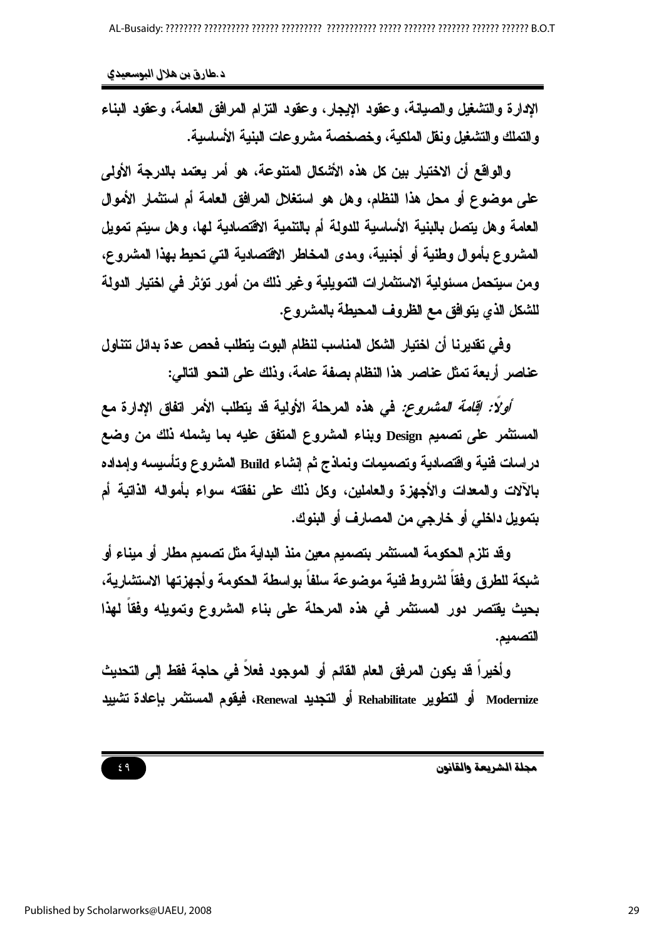د طارق بن هلال البوسعيدي

الإدارة والتشغيل والصيانة، وعقود الإيجار، وعقود التزام المرافق العامة، وعقود البناء والتملك والتشغيل ونفل الملكية، وخصخصة مشروعات البنية الأساسية.

والواقع أن الإختيار بين كل هذه الأشكال المتنوعة، هو أمر يعتمد بالدرجة الأولى على موضوع أو محل هذا النظام، وهل هو استغلال المرافق العامة أم استثمار الأموال العامة وهل يتصل بالبنية الأساسية للدولة أم بالتنمية الاقتصادية لها، وهل سبتم تمويل المشروع بأموال وطنية أو أجنبية، ومدى المخاطر الاقتصادية التي تحيط بهذا المشروع، ومن سيتحمل مسئولية الاستثمارات التمويلية وغير ذلك من أمور تؤثر في اختيار الدولة للشكل الذي يتوافق مع الظروف المحيطة بالمشروع.

وفي تقديرنا أن اختيار الشكل المناسب لنظام البوت يتطلب فحص عدة بدائل تتناول عناصر أربعة تمثل عناصر هذا النظام بصفة عامة، ونلك على النحو التالي:

*أولاً: إقامة المشروع:* في هذه المرحلة الأولية قد يتطلب الأمر اتفاق الإدارة مع المستثمر على تصميم Design وبناء المشروع المتفق عليه بما يشمله ذلك من وضع دراسات فنية واقتصادية وتصميمات ونماذج ثم إنشاء Build المشروع وتأسيسه وإمداده بِالآلات والمعدات والأجهزة والعاملين، وكل ذلك على نفقته سواء بِأمواله الذاتية أم بتمويل داخلي أو خارجي من المصارف أو البنوك.

وقد تلزم الحكومة المستثمر بتصميم معين منذ البداية مثل تصميم مطار أو ميناء أو شبكة للطرق وفقاً لشروط فنية موضوعة سلفاً بواسطة الحكومة وأجهزتها الاستشارية، بحيث يقتصر دور المستثمر في هذه المرحلة على بناء المشروع وتمويله وفقاً لهذا التصميم.

وأخيراً قد يكون المرفق العام القائم أو الموجود فعلاً في حاجة فقط إلى التحديث Modernize أو التطوير Rehabilitate أو التجديد Renewal، فيقوم المستثمر بإعادة تشبيد

مجلة الشريعة والقانون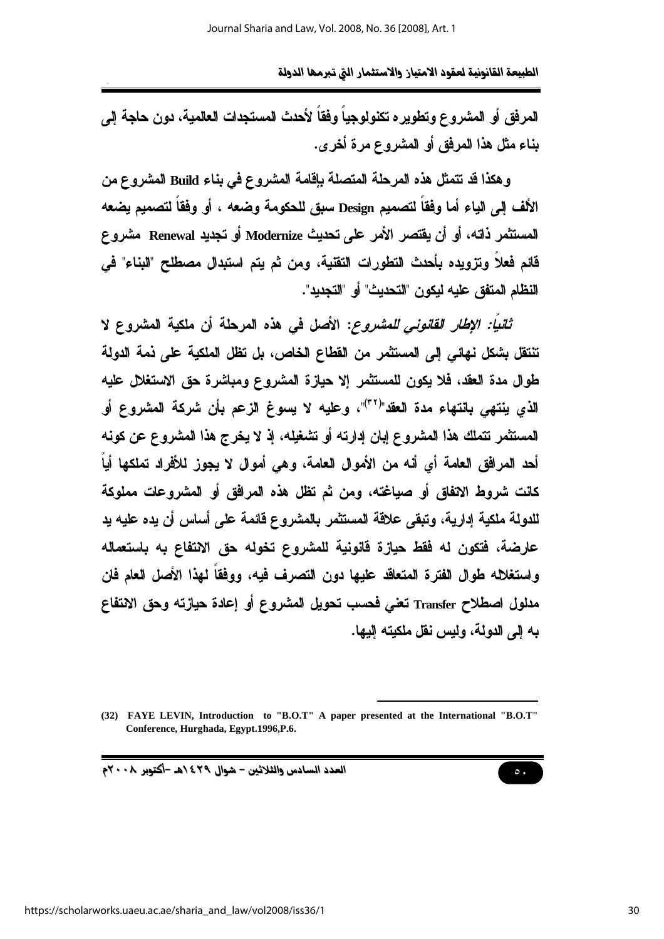المرفق أو المشروع وتطويره تكنولوجياً وفقاً لأحدث المستجدات العالمية، دون حاجة إلى بِناءِ مثل هذا المرفق أو المشروع مرة أخرى.

وهكذا قد تتمثل هذه المرحلة المتصلة بإقامة المشروع في بناء Build المشروع من الألف إلى الياء أما وفقاً لتصميم Design سبق للحكومة وضعه ، أو وفقاً لتصميم يضعه المستثمر ذاته، أو أن يفتصر الأمر على تحديث Modernize أو تجديد Renewal مشروع قائم فعلاً وتزويده بأحدث التطورات التقنية، ومن ثم يتم استبدال مصطلح "البناء" في النظام المتفق عليه لبكون "التحديث" أو "التجديد".

تُتَنِيًا: الإ*طار القانوني للمشروع*: الأصل في هذه المرحلة أن ملكية المشروع لا تنتقل بشكل نهائي إلى المستثمر من القطاع الخاص، بل تظل الملكية على ذمة الدولة طوال مدة العقد، فلا يكون للمستثمر إلا حيازة المشروع ومباشرة حق الاستغلال عليه الذي ينتهي بانتهاء مدة العقد"(٣٢)"، وعليه لا يسوغ الزعم بأن شركة المشروع أو المستثمر نتملك هذا المشروع إبان إدارته أو تشغيله، إذ لا يخرج هذا المشروع عن كونه أحد المرافق العامة أي أنه من الأموال العامة، وهي أموال لا يجوز للأفراد تملكها أياً كانت شروط الاتفاق أو صياغته، ومن ثم تظل هذه المرافق أو المشروعات مملوكة للدولة ملكية إدارية، وتبقى علاقة المستثمر بالمشروع قائمة على أساس أن يده عليه يد عارضة، فتكون له فقط حيازة قانونية للمشروع تخوله حق الانتفاع به باستعماله واستغلاله طوال الفترة المتعاقد عليها دون التصرف فيه، ووفقاً لهذا الأصل العام فان مدلول اصطلاح Transfer تعني فحسب تحويل المشروع أو إعادة حيازته وحق الانتفاع به إلى الدولة، وليس نقل ملكيته البها.

العدد السادس والثلاثين - شوال ٤٢٩ ٥هـ -أكتوبر ٢٠٠٨م

<sup>(32)</sup> FAYE LEVIN, Introduction to "B.O.T" A paper presented at the International "B.O.T" Conference, Hurghada, Egypt.1996,P.6.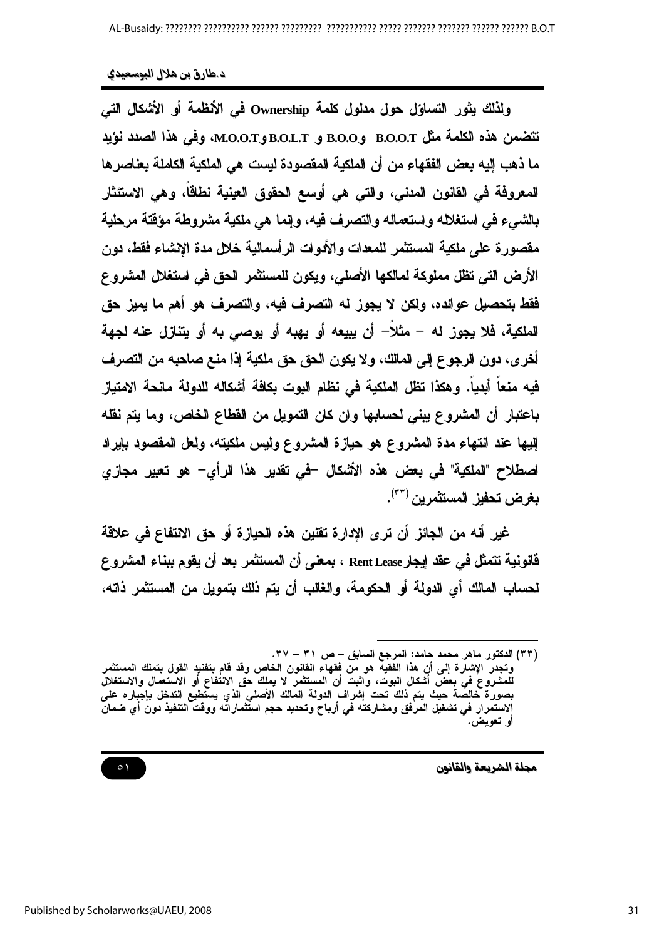ولذلك يثور التساوَل حول مدلول كلمة Ownership في الأنظمة أو الأشكال التي تتضمن هذه الكلمة مثل B.O.O.T وB.O.L.T و B.O.L.T وB.O.L.T.، وفي هذا الصدد نؤيد ما ذهب إليه بعض الفقهاء من أن الملكية المقصودة ليست هي الملكية الكاملة بعناصر ها المعروفة في القانون المدنى، والتي هي أوسع الحقوق العينية نطاقا، وهي الاستئثار بالشرع في استغلاله واستعماله والتصرف فيه، وإنما هي ملكية مشروطة مؤقتة مرحلية مقصورة على ملكية المستثمر للمعدات والأدوات الرأسمالية خلال مدة الانشاء فقط، دون الأرض التي تظل مملوكة لمالكها الأصلي، ويكون للمستثمر الحق في استغلال المشروع فقط بتحصيل عوائده، ولكن لا يجوز له التصرف فيه، والتصرف هو أهم ما يميز حق الملكية، فلا يجوز له – مثلا– أن يبيعه أو يهبه أو يوصى به أو يتنازل عنه لجهة أخر ي، دون الرجوع إلى المالك، ولا يكون الحق حق ملكية إذا منع صاحبه من التصرف فيه منعا أبديا. وهكذا تظل الملكية في نظام البوت بكافة أشكاله للدولة مانحة الامتياز باعتبار أن المشروع يبني لحسابها وان كان التمويل من القطاع الخاص، وما يتم نقله إليها عند انتهاء مدة المشروع هو حيازة المشروع وليس ملكيته، ولعل المقصود بإيراد اصطلاح "الملكية" في بعض هذه الأشكال –في تقدير هذا الرأي– هو تعيير مجازي بغرض تحفيز المستثمرين (٣٣).

غير أنه من الجائز أن ترى الإدارة تقتين هذه الحيازة أو حق الانتفاع في علاقة فانونية تتمثل في عقد إيجار Rent Lease ، بمعنى أن المستثمر بعد أن يقوم ببناء المشروع لحساب المالك أي الدولة أو الحكومة، والغالب أن يتم ذلك بتمويل من المستثمر ذاته،

 $\circ$ 

<sup>(</sup>٣٣) الدكتور ماهر محمد حامد: المرجع السابق – ص ٣١ – ٣٧. وتجدر الإشارة إلى أن هذا الفقيه هو من فقهاء القانون الخاص وقد قام بتفنيد القول بتملك المستثمر للمشروعَ في بعض أشكال البوت، وأثبت أن المستثمر لا يملك حق الانتفاع أو الاستعمال والاستغلال بصورة خالصةً حيث يتم ذلك تحت إشراف الدولة المالك الأصلي الذي يستطيع التدخل بإجباره على<br>الاستمرار في تشغيل المرفق ومشاركته في أرباح وتحديد حجم استثماراته ووقت التنفيذ دون أي ضمان او تعويض.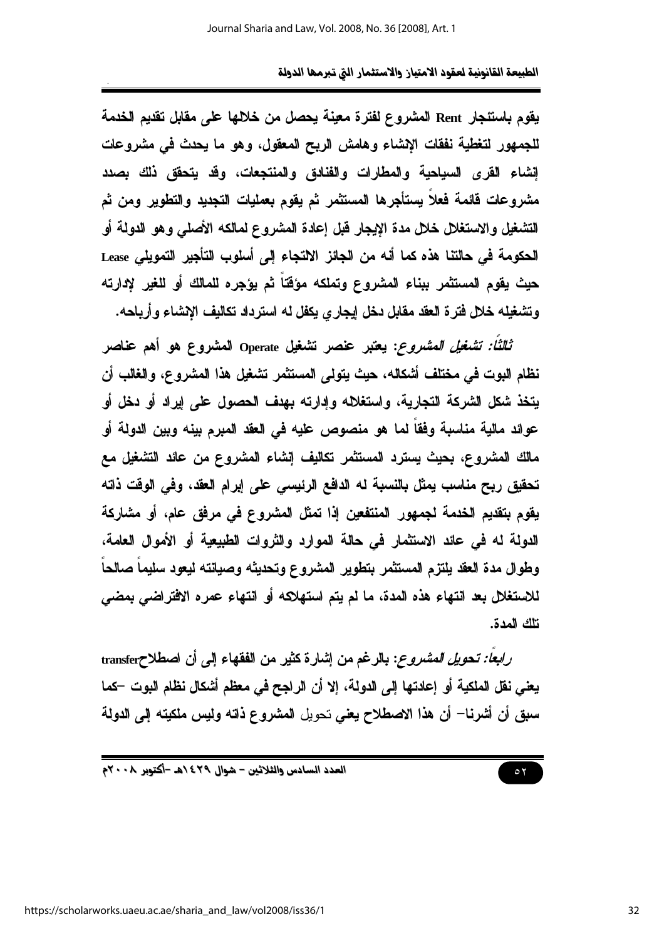يقوم باستئجار Rent المشروع لفترة معينة يحصل من خلالها على مقابل تقديم الخدمة للجمهور لتغطية نفقات الإنشاء وهامش الربح المعقول، وهو ما يحدث في مشروعات إنشاء القرى السياحية والمطارات والفنادق والمنتجعات، وقد يتحقق ذلك بصدد مشروعات قائمة فعلاً يستأجرها المستثمر ثم يقوم بعمليات التجديد والتطوير ومن ثم التشغيل والاستغلال خلال مدة الإيجار قبل إعادة المشروع لمالكه الأصلى وهو الدولمة أو الحكومة في حالتنا هذه كما أنه من الجائز الالتجاء إلى أسلوب التأجير التمويلي Lease حيث يقوم المستثمر ببناء المشروع وتملكه مؤقتاً ثم يؤجره للمالك أو للغير لإدارته وتشغيله خلال فترة العقد مقابل دخل إيجاري يكفل له استرداد تكاليف الإنشاء وأرياحه.

ث*الثًا: تشغيل المشروع*: يعتبر عنصر تشغيل Operate المشروع هو أهم عناصر نظام البوت في مختلف أشكاله، حيث يتولى المستثمر تشغيل هذا المشروع، والغالب أن يتخذ شكل الشركة التجارية، واستغلاله وإدارته بهدف الحصول على إيراد أو دخل أو عوائد مالية مناسبة وفقاً لما هو منصوص عليه فى العقد المبرم بينه وبين الدولة أو مالك المشروع، بحيث يسترد المستثمر تكاليف إنشاء المشروع من عائد التشغيل مع تحقيق ربح مناسب يمثل بالنسبة له الدافع الرئيسي على إبرام العقد، وفي الوقت ذاته يقوم بتقديم الخدمة لجمهور المنتفعين إذا تمثل المشروع في مرفق عام، أو مشاركة الدولة له في عائد الاستثمار في حالة الموارد والثروات الطبيعية أو الأموال العامة، وطوال مدة العقد يلتزم المستثمر بتطوير المشروع وتحديثه وصيانته ليعود سليماً صالحاً للاستغلال بعد انتهاء هذه المدة، ما لم يتم استهلاكه أو انتهاء عمره الافتراضى بمضى تلك المدة.

را*بعاً: تحويل المشروع*: بالرغم من إشارة كثير من الفقهاء إلى أن اصطلاحtransfer يعني نقل الملكية أو إعادتها إلى الدولة، إلا أن الراجح في معظم أشكال نظام البوت –كما سبق أن أشرنا— أن هذا الاصطلاح يعني تحويل المشروع ذاته وليس ملكيته إلى الدولة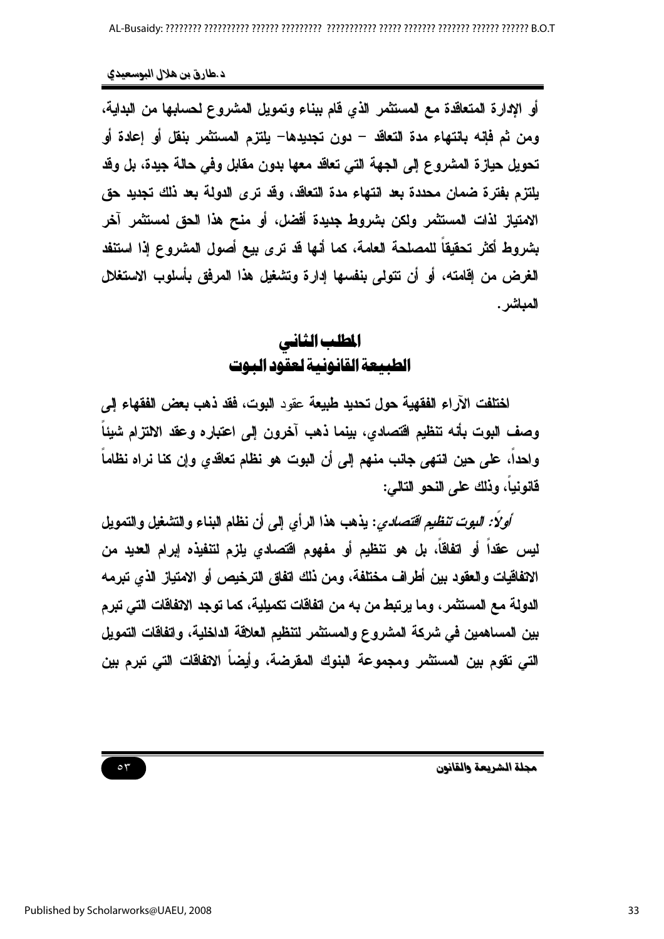أو الإدارة المتعاقدة مع المستثمر الذي قام ببناء وتمويل المشروع لحسابها من البداية، ومن ثم فإنه بانتهاء مدة التعاقد – دون تجديدها– يلتزم المستثمر بنقل أو إعادة أو تحويل حيازة المشروع إلى الجهة التي تعاقد معها بدون مقابل وفي حالة جيدة، بل وقد يلتزم بفترة ضمان محددة بعد انتهاء مدة التعاقد، وقد ترى الدولة بعد ذلك تجديد حق الامتياز لذات المستثمر ولكن بشروط جديدة أفضل، أو منح هذا الحق لمستثمر آخر بشروط أكثر تحقيقاً للمصلحة العامة، كما أنها قد ترى بيع أصول المشروع إذا استنفد الغرض من إقامته، أو أن تتولى بنفسها إدارة وتشغيل هذا المرفق بأسلوب الاستغلال المباشر .

### المطلب الثاني الطبيعة القانونية لعقود البوت

اختلفت الآراء الفقهية حول تحديد طبيعة عقود البوت، فقد ذهب بعض الفقهاء إلى وصف البوت بأنه تنظيم اقتصادى، بينما ذهب آخرون إلى اعتباره وعقد الالتزام شيئاً واحداً، على حين انتهى جانب منهم إلى أن البوت هو نظام تعاقدي وإن كنا نراه نظاماً فانونياً، ونلك على النحو التالي:

*أولاً: البوت تنظيم اقتصادي*: يذهب هذا الرأى إلى أن نظام البناء والتشغيل والتمويل ليس عقداً أو اتفاقاً، بل هو تنظيم أو مفهوم اقتصادى يلزم لتنفيذه إبرام العديد من الاتفاقيات والعقود بين أطراف مختلفة، ومن ذلك اتفاق الترخيص أو الامتياز الذي تبرمه الدولة مع المستثمر ، وما يرتبط من به من اتفاقات تكميلية، كما توجد الاتفاقات التي تبرم بين المساهمين في شركة المشروع والمستثمر لتنظيم العلاقة الداخلية، واتفاقات التمويل التي تقوم بين المستثمر ومجموعة البنوك المقرضة، وأيضاً الاتفاقات التى تبرم بين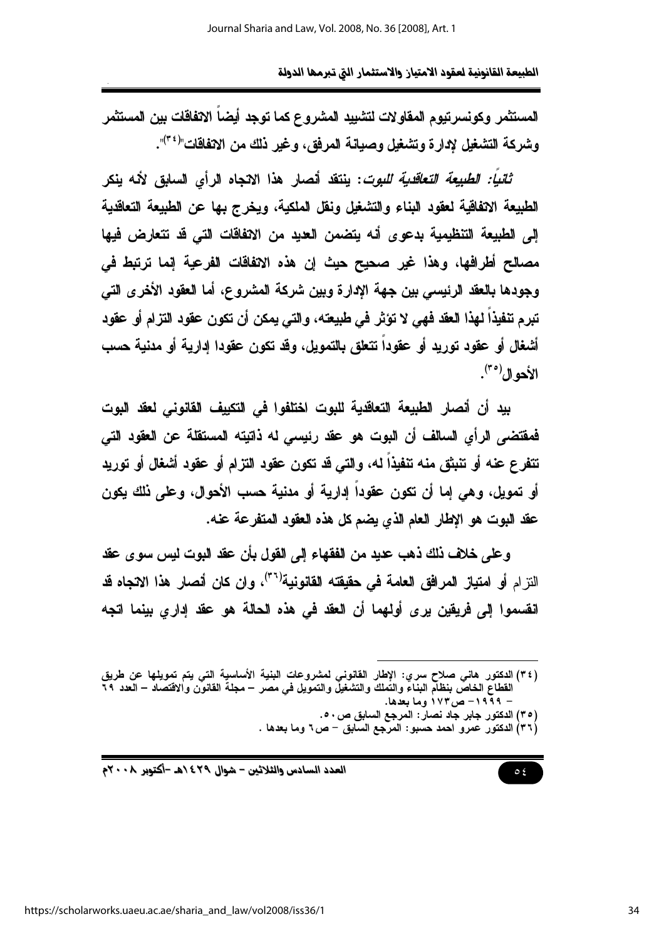المستثمر وكونسر تيوم المقاولات لتشبيد المشروع كما توجد أيضاً الاتفاقات بين المستثمر وشركة التشغيل لإدارة وتشغيل وصيانة المرفق، وغير ذلك من الاتفاقات"<sup>(٣٤</sup>)".

*ثانياً: الطبيعة التعاقدية للبوت*: ينتقد أنصار هذا الانجاه الرأى السلبق لأنه ينكر الطبيعة الاتفاقية لعقود البناء والتشغيل ونقل الملكية، ويخرج بها عن الطبيعة التعاقدية إلى الطبيعة التنظيمية بدعوى أنه يتضمن العديد من الانفاقات التي قد تتعارض فيها مصالح أطرافها، وهذا غير صحيح حيث إن هذه الاتفاقات الفرعية إنما ترتبط في وجودها بالعقد الرئيسي بين جهة الإدارة وبين شركة المشروع، أما العقود الأخرى التي تبرم تنفيذاً لهذا العقد فهي لا تؤثر في طبيعته، والتي يمكن أن تكون عقود التزام أو عقود أشغال أو عقود توريد أو عقوداً تتعلق بالتمويل، وقد تكون عقودا إدارية أو مدنية حسب الأحوال<sup>(٣٥)</sup>.

بيد أن أنصار الطبيعة التعاقدية للبوت اختلفوا في التكبيف القانوني لعقد البوت فمفتضى الرأى السالف أن البوت هو عقد رئيسى له ذاتيته المستقلة عن العقود التي تتفرع عنه أو تنبِتْق منه تنفيذاً له، والتي قد تكون عقود التزام أو عقود أشغال أو توريد أو تمويل، وهي إما أن تكون عقوداً إدارية أو مدنية حسب الأحوال، وعلى ذلك يكون عقد البوت هو الإطار العام الذي يضم كل هذه العقود المتفرعة عنه.

وعلى خلاف ذلك ذهب عديد من الفقهاء إلى القول بأن عقد البوت ليس سوى عقد النز ام أو امتياز المرافق العامة في حقيقته القانونية<sup>(٣٦)</sup>، وإن كان أنصار هذا الانجاه قد انقسموا إلى فريقين يرى أولهما أن العقد في هذه الحالة هو عقد إدارى بينما اتجه

(٣٥) الدكتور جابر جاد نصار: المرجع السابق ص٥٠.

 $\circ$  {

(٣٦) الدكتور عمرو احمد حسبو: المرجع السابق – ص٢ وما بعدها .

العدد السادس والثلاثين – شوال ٤٢٩ /هـ -أكتوبر ٢٠٠٨م

<sup>(</sup>٣٤) الدكتور هاني صلاح سري: الإطار القانوني لمشروعات البنية الأساسية التي يتم تمويلها عن طريق القطاعُ الخاصُّ بنظلَم البناءُ والنِّملكَ والتشغيلُ والنمويل في مصر – مجلَّة القانون والاقتصاد – العدد ٢٩ – ۱۹۹۹– ص۱۷۳ وما بعدها.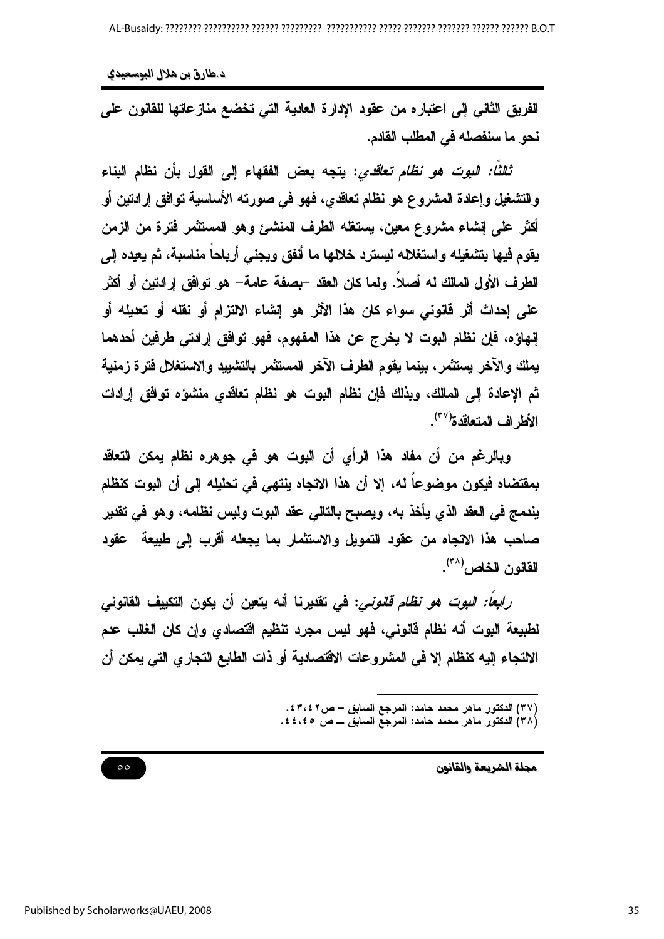د طارق بن هلال البوسعيدي

الفريق الثاني إلى اعتباره من عقود الإدارة العادية التي تخضع منازعاتها للقانون على نحو ما سنفصله في المطلب الفادم.

*ثالثاً: البوت هو نظام تعاقدي*: يتجه بعض الفقهاء إلى القول بأن نظام البناء والتشغيل وإعادة المشروع هو نظام تعاقدي، فهو في صورته الأساسية توافق إرادتين أو أكثر على إنشاء مشروع معين، يستغله الطرف المنشئ وهو المستثمر فترة من الزمن يقوم فيها بتشغيله واستغلاله ليسترد خلالها ما أنفق ويجنى أرباحاً مناسبة، ثم يعيده إلى الطرف الأول المالك له أصلاً. ولما كان العقد –بصفة عامة– هو توافق إرادتين أو أكثر على إحداث أثر فانوني سواء كان هذا الأثر هو إنشاء الالتزام أو نقله أو تعديله أو إنهاؤه، فإن نظام البوت لا يخرج عن هذا المفهوم، فهو توافق إرادتي طرفين أحدهما يملك والآخر يستثمر، بينما يقوم الطرف الآخر المستثمر بالتشبيد والاستغلال فترة زمنية ثم الإعادة إلى المالك، وبذلك فإن نظام البوت هو نظام تعاقدى منشؤه توافق إرادات الأطراف المتعاقدة' <sup>(٣٧</sup>).

وبالرغم من أن مفاد هذا الرأى أن البوت هو في جوهره نظام بمكن التعاقد بمفتضاه فيكون موضوعاً له، إلا أن هذا الاتجاه ينتهى في تحليله إلى أن البوت كنظام يندمج في العقد الذي يأخذ به، ويصبح بالتالي عقد البوت وليس نظامه، وهو في تقدير صاحب هذا الانجاه من عقود التمويل والاستثمار بما يجعله أقرب إلى طبيعة عقود القانون الخاص (٣٨).

*رابعاً: البوت هو نظام قانوني*: في تقديرنا أنه يتعين أن يكون التكييف القانوني لطبيعة البوت أنه نظام قانوني، فهو ليس مجرد تنظيم اقتصادي وإن كان الغالب عدم الالتجاء إليه كنظام إلا في المشروعات الاقتصادية أو ذات الطابع التجاري التي يمكن أن

> (٣٧) الدكتور ماهر محمد حامد: المرجع السابق – ص ٤٣،٤٢. (٣٨) الدكتور ماهر محمد حامد: المرجع السابق ـــ ص ٤٤،٤٥.

> > مجلة الشريعة والقانون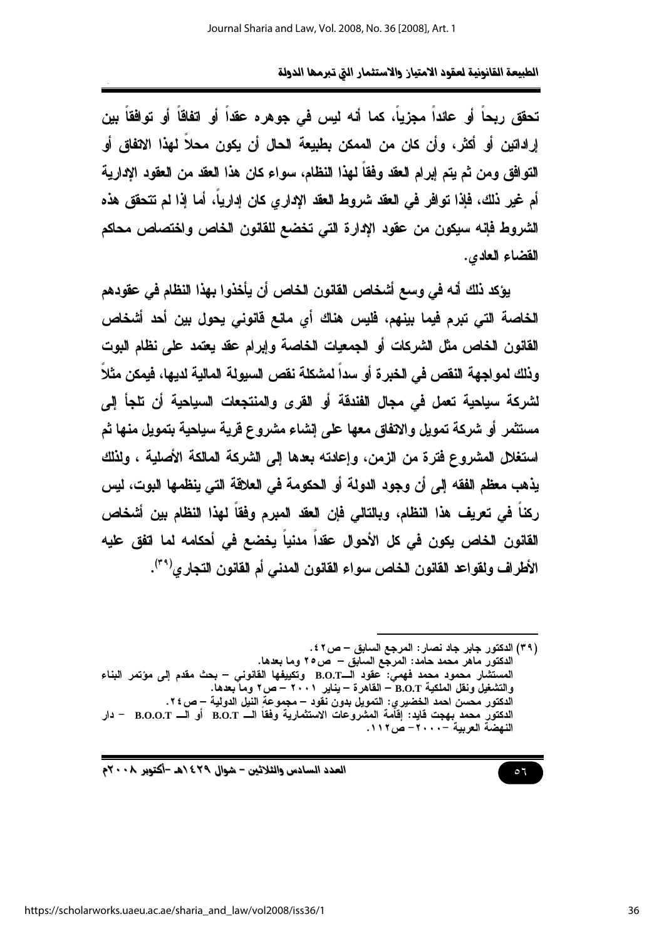الطبيعة القانونية لعقود الامتياز والاستثمار التي تبرمها الدولة

تحقق ربحاً أو عائداً مجزياً، كما أنه لسِ في جوهره عقداً أو اتفاقاً أو توافقاً بين إراداتين أو أكثر ، وأن كان من الممكن بطبيعة الحال أن يكون محلاً لهذا الانفاق أو التوافق ومن ثم يتم إبرام العقد وفقا لهذا النظام، سواء كان هذا العقد من العقود الإدارية أم غير ذلك، فإذا توافر في العقد شروط العقد الإداري كان إدارياً، أما إذا لم تتحقق هذه الشروط فإنه سيكون من عقود الإدارة التي تخضع للقانون الخاص واختصاص محاكم القضاء العادي.

يؤكد ذلك أنه في وسع أشخاص القانون الخاص أن يأخذوا بهذا النظام في عقودهم الخاصة التي تبرم فيما بينهم، فليس هناك أي مانع فانوني يحول بين أحد أشخاص القانون الخاص مثل الشركات أو الجمعيات الخاصة وإبرام عقد يعتمد على نظام البوت وذلك لمواجهة النقص في الخبر ة أو سداً لمشكلة نقص السبولة المالية لديها، فيمكن مثلاً لشركة سياحية تعمل في مجال الفندقة أو القرى والمنتجعات السياحية أن تلجأ إلى مستثمر أو شركة تمويل والاتفاق معها على إنشاء مشروع قرية سياحية بتمويل منها ثم استغلل المشروع فترة من الزمن، وإعادته بعدها إلى الشركة المالكة الأصلية ، ولذلك يذهب معظم الفقه إلى أن وجود الدولة أو الحكومة في العلاقة التي ينظمها البوت، ليس ركنا في تعريف هذا النظام، وبالتالي فإن العقد المبرم وفقا لهذا النظام بين أشخاص القانون الخاص يكون في كل الأحوال عقداً مدنياً يخضع في أحكامه لما اتفق عليه الأطراف ولقواعد القانون الخاص سواء القانون المدني أم القانون التجاري<sup>(٣٩)</sup>.

 $\circ$   $\mathcal{I}$ 

العدد السادس والثلاثين - شوال ٢٩٤/هـ -أكتوبر ٢٠٠٨م

<sup>(</sup>٣٩) الدكتور جابر جاد نصار : المرجع السابق – ص ٢ ٤ . الدكتور ماهر محمد حامد: المرجع السابق – ص٢٥ وما بعدها. المستشار محمود محمد فهمي: عقود الـB.O.T وتكييفها الفانوني – بحث مقدم إلى مؤتمر البناء والتشغيل ونقل الملكية B.O.T – القاهرة – يناير ٢٠٠١ – ص٢ وما بعدها. الدكتور محسن احمد الخضير ي: التمويل بدون نقود – مجموعةِ النيل الدولية – ص ٢٤. الدكتور محمد بـهجت قايد: إقاَّمة المشروعات الاستثمارية وفقاً الــــ B.O.T أو الــــ B.O.O.T – دار النهضة العربية –٢٠٠٠- ص١١٢.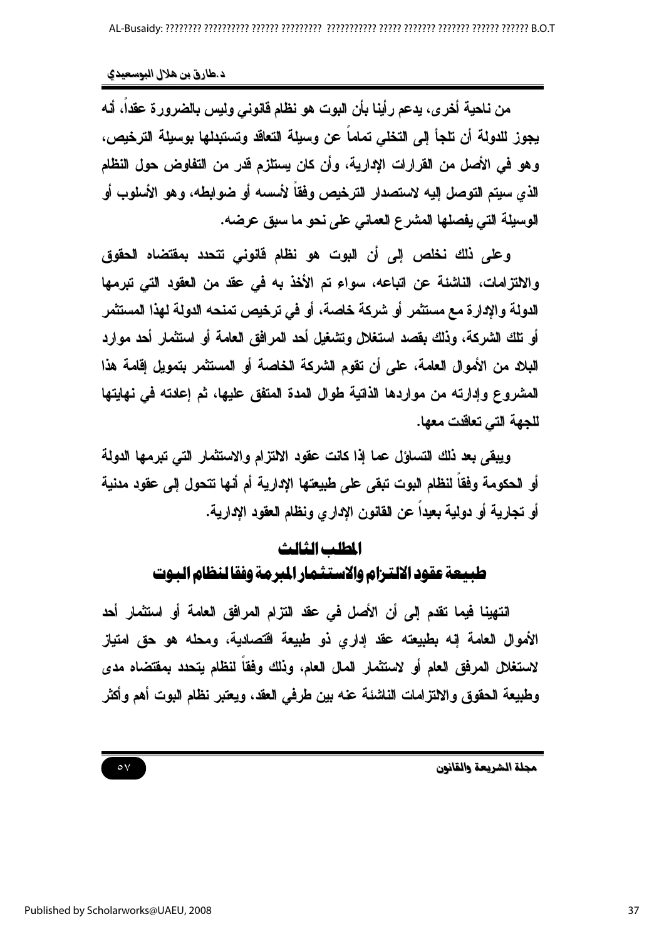من ناحية أخرى، يدعم رأينا بأن البوت هو نظام فانوني وليس بالضرورة عقداً، أنه يجوز للدولة أن تلجأ إلى التخلي تماماً عن وسيلة التعاقد وتستبدلها بوسيلة الترخيص، وهو في الأصل من القرارات الإدارية، وأن كان يستلزم قدر من التفاوض حول النظام الذي سيتم التوصل إليه لاستصدار الترخيص وفقاً لأسسه أو ضوابطه، وهو الأسلوب أو الوسيلة التي يفصلها المشرع العماني على نحو ما سبق عرضه.

وعلى ذلك نخلص إلى أن البوت هو نظام فانونى تتحدد بمفتضاه الحقوق والالتزامات، الناشئة عن اتباعه، سواء تم الأخذ به في عقد من العقود التي تبرمها الدولة والإدارة مع مستثمر أو شركة خاصة، أو في ترخيص تمنحه الدولة لهذا المستثمر أو تلك الشركة، وذلك بقصد استغلال وتشغيل أحد المرافق العامة أو استثمار أحد موارد البلاد من الأموال العامة، على أن تقوم الشركة الخاصة أو المستثمر بتمويل إقامة هذا المشروع وإدارته من مواردها الذاتية طوال المدة المتفق عليها، ثم إعادته في نهايتها للجهة التي تعاقدت معها.

ويبقى بعد ذلك التساؤل عما إذا كانت عقود الالتزام والاستثمار التي تبرمها الدولة أو الحكومة وفقاً لنظام البوت تبقى على طبيعتها الإدارية أم أنها تتحول إلى عقود مدنية أو تجارية أو دولية بعيداً عن القانون الإداري ونظام العقود الإدارية.

# المطلب الثالث طبيعة عقود الالترام والاستثمار المرمة وفقا لنظام البوت

انتهينا فيما تقدم إلى أن الأصل في عقد التزام المرافق العامة أو استثمار أحد الأموال العامة إنه بطبيعته عقد إداري ذو طبيعة اقتصادية، ومحله هو حق امتياز لاستغلال المرفق العام أو لاستثمار المال العام، وذلك وفقاً لنظام يتحدد بمفتضاه مدى وطبيعة الحقوق والالتزامات الناشئة عنه بين طرفي العقد، ويعتبر نظام البوت أهم وأكثر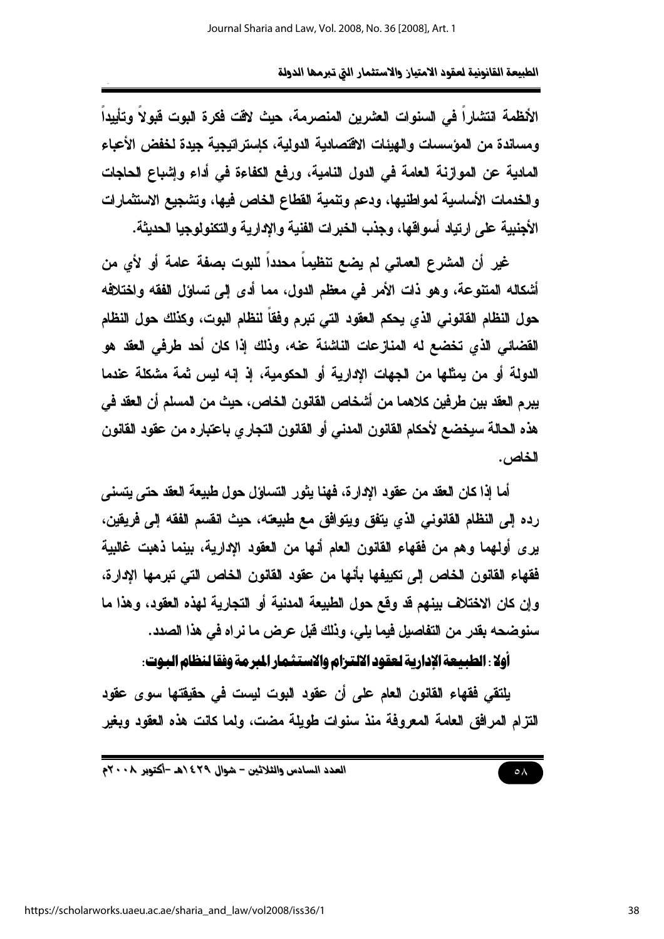الأنظمة انتشاراً في السنوات العثيرين المنصرمة، حيث لاقت فكرة البوت قبولاً وتأييداً ومساندة من المؤسسات والهيئات الاقتصادية الدولية، كإستر اتيجية جيدة لخفض الأعباء المادية عن الموازنة العامة في الدول النامية، ورفع الكفاءة في أداء وإشباع الحاجات والخدمات الأساسية لمواطنيها، ودعم وتنمية القطاع الخاص فيها، وتشجيع الاستثمارات الأجنبية على ارتياد أسواقها، وجذب الخبرات الفنية والادارية والتكنولوجيا الحديثة.

غير أن المشرع العماني لم يضع تنظيماً محدداً للبوت بصفة عامة أو لأي من أشكاله المتنوعة، وهو ذات الأمر في معظم الدول، مما أدى إلى تساؤل الفقه واختلافه حول النظام القانوني الذي يحكم العقود التي تبرم وفقاً لنظام البوت، وكذلك حول النظام القضائي الذي تخضع له المنازعات الناشئة عنه، وذلك إذا كان أحد طرفي العقد هو الدولة أو من يمثِّلها من الجهات الادارية أو الحكومية، إذ إنه ليس ثمة مشكلة عندما يبرم العقد بين طرفين كلاهما من أشخاص القانون الخاص، حيث من المسلم أن العقد في هذه الحالة سيخضع لأحكام القانون المدنى أو القانون التجاري باعتباره من عقود القانون الخاص.

أما إذا كان العقد من عقود الإدارة، فهنا يثور التساؤل حول طبيعة العقد حتى يتسنى رده إلى النظام القانوني الذي يتفق ويتوافق مع طبيعته، حيث انقسم الفقه إلى فريقين، يرى أولهما وهم من فقهاء القانون العام أنها من العقود الإدارية، بينما ذهبت غالبية فقهاء القانون الخاص إلى تكييفها بأنها من عقود القانون الخاص التي تبرمها الإدارة، وإن كان الاختلاف بينهم قد وقع حول الطبيعة المدنية أو التجارية لهذه العقود، وهذا ما سنوضحه بقدر من التفاصيل فيما يلي، وذلك فبل عرض ما نراه في هذا الصدد.

أولا : الطبيعة الإدارية لعقود الالترام والاستثمار المرمة وفقا لنظام البوت:

يلتقى فقهاء القانون العام على أن عقود البوت ليست في حقيقتها سوى عقود التزام المرافق العامة المعروفة منذ سنوات طويلة مضت، ولما كانت هذه العقود ويغير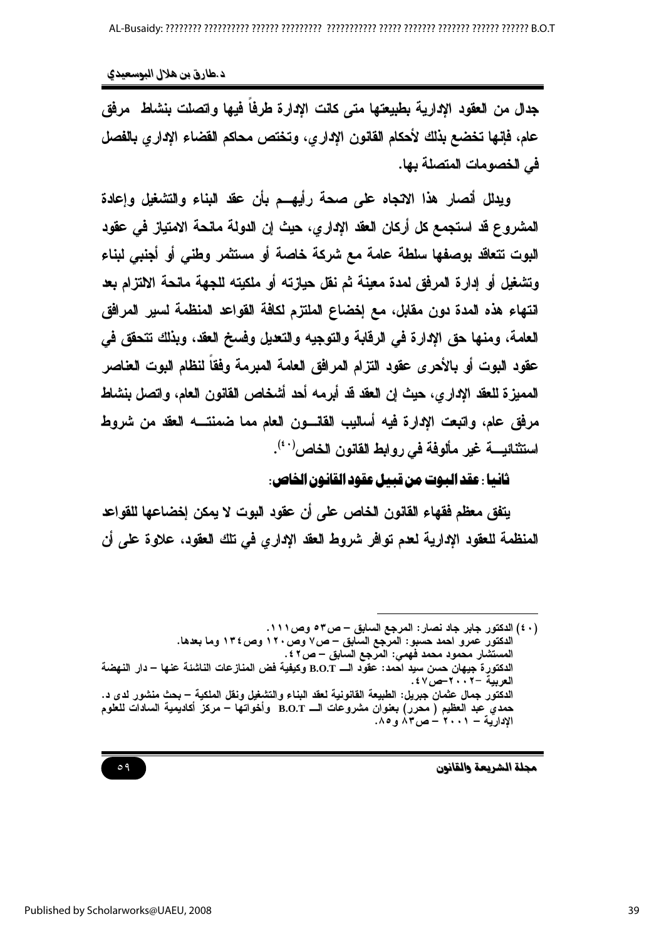د .طارق بن هلال البوسعيدي

جدل من العقود الإدارية بطبيعتها متى كانت الإدارة طرفاً فيها واتصلت بنشاط ً مرفق عام، فإنها تخضع بذلك لأحكام القانون الإدارى، وتختص محاكم القضاء الإدارى بالفصل في الخصومات المتصلة بها.

ويدلل أنصار هذا الانجاه على صحة رأيهــم بأن عقد البناء والتشغيل وإعادة المشروع قد استجمع كل أركان العقد الإداري، حيث إن الدولة مانحة الامتياز في عقود البوت تتعاقد بوصفها سلطة عامة مع شركة خاصة أو مستثمر وطنى أو أجنبي لبناء وتشغيل أو إدارة المرفق لمدة معينة ثم نفل حيازته أو ملكيته للجهة مانحة الالتزام بعد انتهاء هذه المدة دون مقابل، مع إخضاع الملتزم لكافة القواعد المنظمة لسبر المرافق العامة، ومنها حق الإدارة في الرقابة والتوجيه والتعليل وفسخ العقد، وبذلك تتحقق في عقود البوت أو بالأحرى عقود التزام المرافق العامة المبرمة وفقاً لنظام البوت العناصر المميزة للعقد الإدار ي، حيث إن العقد قد أبرمه أحد أشخاص القانون العام، واتصل بنشاط مرفق عام، واتبعت الإدارة فيه أساليب القانسون العام مما ضمنتـــه العقد من شروط استثنائيــــــــــة غير مألوفة في روابط القانون الخاص<sup>(٤٠)</sup>.

#### ثانها : عقد البوت من قيمل عقود القانون الخاص:

يتفق معظم فقهاء القانون الخاص على أن عقود البوت لا يمكن إخضاعها للقواعد المنظمة للعقود الإدارية لعدم توافر شروط العقد الإداري في تلك العقود، علاوة على أن

<sup>(</sup>٤٠) الدكتور جابر جاد نصار : المرجع السابق – ص٣٥ وص١١١. الدكتور عمرو احمد حسبو: المرجع السابق – ص٧ وص١٢٠ وص١٣٤ وما بعدها. المستشار محمود محمد فهمي: المرجع السابق – ص ٢ ٤ . الدكتورِ ة جيهان حسن سيد احمد: عقوّد الــــ B.O.T وكيفية فض المنازعات الناشئة عنها – دار النهضة العربية -٢٠٠٢حص١٤٧. الدكتور جمال عثمان جبريل: الطبيعة القانونية لعقد البناء والتشغيل ونقل الملكية – بحث منشور لدى د. حمدي عبد العظيم ( محرر) بعفوان مشروعات الـــ B.O.T وأخواتها – مركز أكاديمية السادات للعلوم الإدارية – ۲۰۰۱ – ص۸۳ و ۸۵.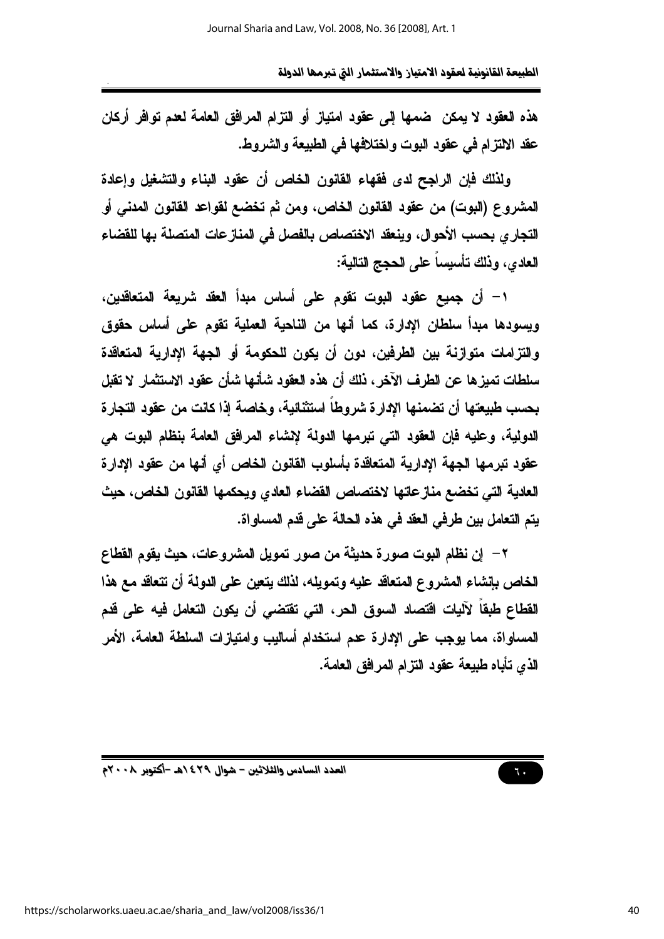الطبيعة القانونية لعقود الامتياز والاستثمار التي تبرمها الدولة

هذه العقود لا يمكن ضمها إلى عقود امتياز أو التزام المرافق العامة لعدم توافر أركان عقد الالتزام في عقود البوت واختلافها في الطبيعة والشروط.

ولذلك فإن الراجح لدى فقهاء القانون الخاص أن عقود البناء والتشغيل وإعادة المشروع (البوت) من عقود القانون الخاص، ومن ثم تخضع لقواعد القانون المدنى أو التجاري بحسب الأحوال، وينعقد الاختصاص بالفصل في المنازعات المتصلة بها للفضاء العادي، وذلك تأسيساً على الحجج التالية:

١– أن جميع عقود البوت تقوم على أساس مبدأ العقد شريعة المتعاقدين، ويسودها مبدأ سلطان الإدارة، كما أنها من الناحية العملية تقوم على أساس حقوق والتزامات متوازنة بين الطرفين، دون أن يكون للحكومة أو الجهة الإدارية المتعاقدة سلطات تميزها عن الطرف الآخر ، ذلك أن هذه العقود شأنها شأن عقود الاستثمار لا تقبل بحسب طبيعتها أن تضمنها الإدار ة شروطاً استثنائية، وخاصة إذا كانت من عقود التجار ة الدولية، وعليه فإن العقود التي تبرمها الدولة لإنشاء المرافق العامة بنظام البوت هي عقود تبرمها الجهة الإدارية المتعاقدة بأسلوب القانون الخاص أي أنها من عقود الإدارة العادية التي تخضع منازعاتها لاختصاص القضاء العادي ويحكمها القانون الخاص، حيث يتم التعامل بين طرفي العقد في هذه الحالة على قدم المساواة.

٢ – إن نظام البوت صورة حديثة من صور تمويل المشروعات، حيث يقوم القطاع الخاص بإنشاء المشروع المتعاقد عليه وتمويله، لذلك يتعين على الدولة أن تتعاقد مع هذا القطاع طبقاً لآليات اقتصاد السوق الحر، التي تقتضي أن يكون التعامل فيه على قدم المساواة، مما يوجب على الإدارة عدم استخدام أساليب وامتيازات السلطة العامة، الأمر الذي تأباه طبيعة عقود التزام المرافق العامة.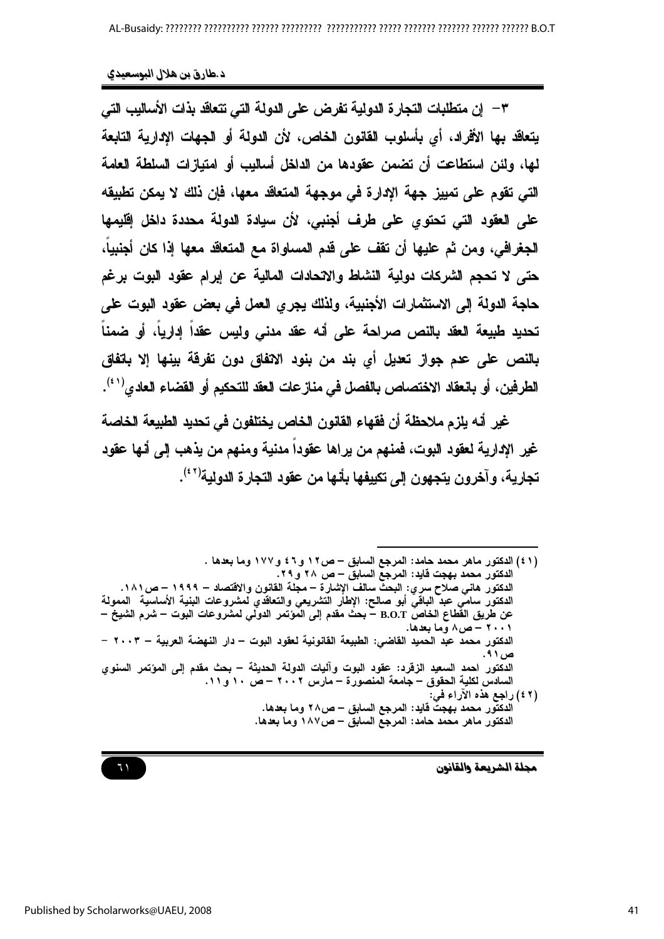٣ – إن متطلبات التجارة الدولية تفرض على الدولة التي تتعاقد بذات الأساليب التي يتعاقد بها الأفراد، أي بأسلوب القانون الخاص، لأن الدولة أو الجهات الإدارية التابعة لها، ولئن استطاعت أن تضمن عقودها من الدلخل أساليب أو امتيازات السلطة العامة التي تقوم على تمييز جهة الإدارة في موجهة المتعاقد معها، فإن ذلك لا يمكن تطبيقه على العقود التي تحتوي على طرف أجنبي، لأن سيادة الدولة محددة داخل إقليمها الجغرافي، ومن ثم عليها أن تقف على قدم المساواة مع المتعاقد معها إذا كان أجنبيا، حتى لا تحجم الشركات دولية النشاط والانحادات المالية عن إبرام عقود البوت برغم حاجة الدولة إلى الاستثمارات الأجنبية، ولذلك يجرى العمل في بعض عقود البوت على تحديد طبيعة العقد بالنص صراحة على أنه عقد مدنى وليس عقدا إداريا، أو ضمنا بالنص على عدم جواز تعديل أي بند من بنود الاتفاق دون تفرقة بينها إلا باتفاق الطرفين، أو بانعقاد الاختصاص بالفصل في مناز عات العقد للتحكيم أو القضاء العادي<sup>(٤١)</sup>.

غير أنه يلزم ملاحظة أن فقهاء القانون الخاص يختلفون في تحديد الطبيعة الخاصة غير الإدارية لعقود البوت، فمنهم من يراها عقوداً مدنية ومنهم من يذهب إلى أنها عقود تجارية، وآخرون يتجهون إلى تكييفها بأنها من عقود التجارة الدولية'<sup>(٤٢)</sup>.

(٤١) الدكتور ماهر محمد حامد: المرجع السابق – ص١٢ و ٤٦ و ١٧٧ وما بعدها . الدكتور محمد بهجت قايد: المرجع السابق – ص ٢٨ و ٢٩. الدكتور هاني صلاح سري: البحث سالف الإشارة – مجلة القانون والاقتصاد – ١٩٩٩ – ص ١٨١. الدكتور سامي عبد الباقي أبو صالح: الإطار التشريعي والتعاقدي لمشروعات البنية الأساسية الممولة عن طريق القطاع الخاصُ B.O.T – بحث مقدم إلى المَوْتَمر الدولي لمشروعات البوت – شرم الشيخ – ۲۰۰۱ – ص۸ وما بعدها. الدكتور محمد عبد الحميد القاضي: الطبيعة القانونية لعقود البوت – دار النهضة العربية – ٢٠٠٣ – ص ۹۱. الدكتور احمد السعيد الزقرد: عقود البوت وآليات الدولة الحديثة – بحث مقدم إلى المؤتمر السنوي السادس لكلية الحقوق – جامعة المنصورة – مارس ٢٠٠٢ – ص ١٠ و ١١. (٢ ٤) راجع هذه الأراء في: الدكتور محمد بهجت قايد: المرجع السابق – ص٢٨ وما بعدها. الدكتور ماهر محمد حامد: المرجع السابق – ص١٨٧ وما بعدها.

مجلة الشريعة والقانون

 $71$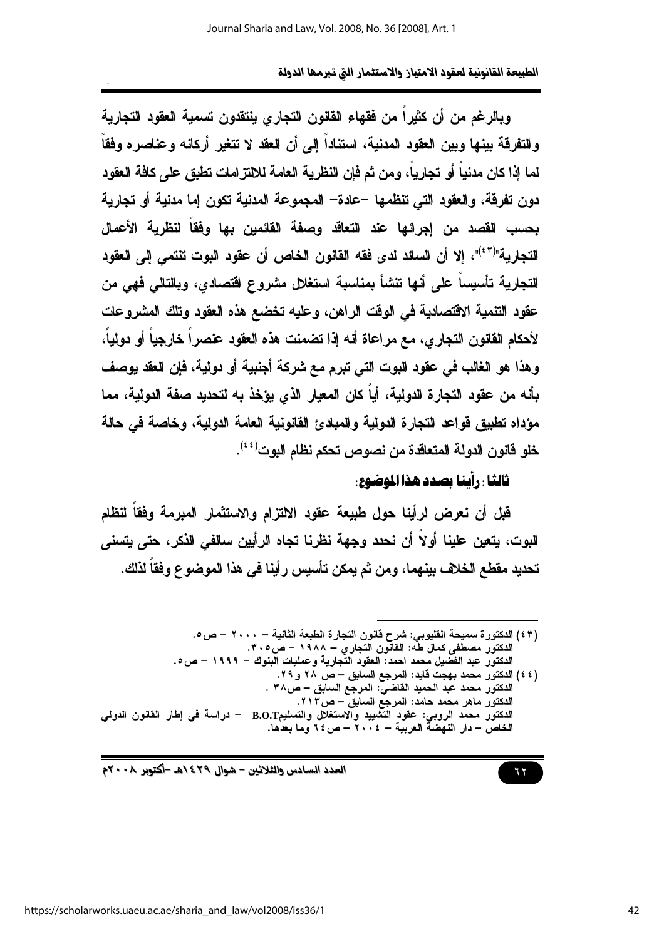ويالرغم من أن كثيراً من فقهاء القانون التجاري ينتقدون تسمية العقود التجارية والتفرقة بينها وبين العقود المدنية، استناداً إلى أن العقد لا تتغير أركانه وعناصره وفقاً لما إذا كان مدنياً أو تجارياً، ومن ثم فإن النظرية العامة للالتزامات تطبق على كافة العقود دون تفرقة، والعقود التي تنظمها –عادة– المجموعة المدنبة تكون إما مدنبة أو تجاربة بحسب القصد من إجرائها عند التعاقد وصفة القائمين بها وفقاً لنظرية الأعمال التجارية"("<sup>٤</sup>"، إلا أن السائد لدى فقه القانون الخاص أن عقود البوت تنتمى إلى العقود التجارية تأسيساً على أنها تنشأ بمناسبة استغلل مشروع اقتصادي، وبالتالي فهي من عقود التنمية الاقتصادية في الوقت الراهن، وعليه تخضع هذه العقود وتلك المشروعات لأحكام القانون التجارى، مع مراعاة أنه إذا تضمنت هذه العقود عنصراً خارجياً أو دولياً، وهذا هو الغالب في عقود البوت التي تبرم مع شركة أجنبية أو دولية، فإن العقد يوصف بأنه من عقود التجارة الدولية، أياً كان المعيار الذي يؤخذ به لتحديد صفة الدولية، مما مؤداه تطبيق قواعد التجارة الدولية والمبادئ القانونية العامة الدولية، وخاصة في حالة خلو فانون الدولة المتعاقدة من نصوص تحكم نظام اليوت<sup>(٤٤)</sup>.

### ثالثا : رأينا بصدد هذا الموضوع:

قبل أن نعرض لرأينا حول طبيعة عقود الالتزام والاستثمار المبرمة وفقاً لنظام البوت، يتعين علينا أولاً أن نحدد وجهة نظرنا تجاه الرأيين سالفي الذكر، حتى يتسنى تحديد مفطع الخلاف بينهما، ومن ثم يمكن تأسيس رأينا في هذا الموضوع وفقاً لذلك.

 $77$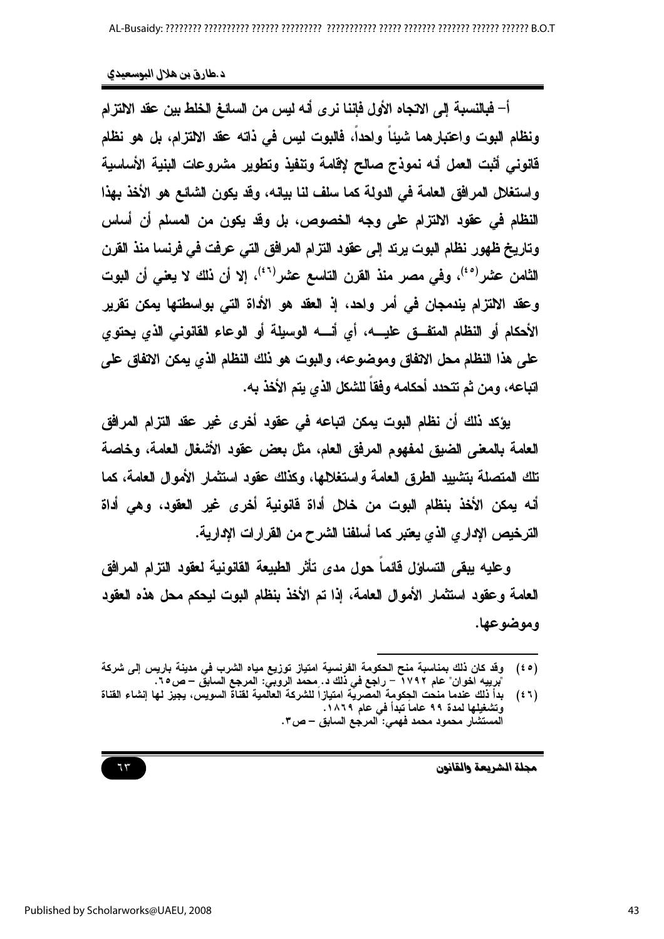أ– فبالنسبة إلى الاتجاه الأول فإننا نرى أنه ليس من السائغ الخلط بين عقد الالتزام ونظام البوت واعتبارهما شيئا واحدا، فالبوت ليس في ذاته عقد الالتزام، بل هو نظام قانوني أثبت العمل أنه نموذج صالح لإقامة وتنفيذ وتطوير مشروعات البنية الأساسية واستغلال المرافق العامة في الدولة كما سلف لنا بيانه، وقد يكون الشائع هو الأخذ بهذا النظام في عقود الالتزام على وجه الخصوص، بل وقد يكون من المسلم أن أساس وتاريخ ظهور نظام البوت يرتد إلى عقود التزام المرافق التي عرفت في فرنسا منذ القرن الثّامن عثىر<sup>(٤٠)</sup>، وفي مصر منذ القرن التاسع عثىر<sup>(٤٦)</sup>، إلا أن نلك لا يع*ني* أن البوت وعقد الالتزام بندمجان في أمر واحد، إذ العقد هو الأداة التي بواسطتها بمكن تقرير الأحكام أو النظام المتفــق عليــــه، أي أنــــه الوسيلة أو الوعاء القانوني الذي يحتوي على هذا النظام محل الاتفاق وموضوعه، والبوت هو ذلك النظام الذي يمكن الاتفاق على اتباعه، ومن ثم تتحدد أحكامه وفقاً للشكل الذي يتم الأخذ به.

بؤكد ذلك أن نظام البوت يمكن اتباعه في عقود أخرى غير عقد التزام المرافق العامة بالمعنى الضيق لمفهوم المرفق العام، مثل بعض عقود الأشغال العامة، وخاصة تلك المتصلة بتشبيد الطرق العامة واستغلامها، وكذلك عقود استثمار الأموال العامة، كما أنه يمكن الأخذ بنظام البوت من خلال أداة فانونية أخرى غير العقود، وهي أداة الترخيص الإداري الذي يعتبر كما أسلفنا الشرح من القرارات الإدارية.

وعليه ببقى التساؤل فائما حول مدى تأثر الطبيعة القانونية لعقود التزام المرافق العامة وعقود استثمار الأموال العامة، إذا تم الأخذ بنظام البوت ليحكم محل هذه العقود وموضوعها.

مجلة الشريعة والقانون

وقد كان ذلك بمناسبة منح الحكومة الفرنسية امتياز توزيع مياه الشرب في مدينة باريس إلى شركة  $(50)$ "برييه آخوان" عام ٢٧٩٢ – راجع في ذلك د. محمد الروبي: المرجع السابق – ص٢٥.<br>بدأ ذلك عندما منحت الحِكومة المصرية امتيازاً للشركة العالمية لقناة السويس، يجيز لها إنشاء القناة

 $(51)$ وتشغيلها لمدة ٩٩ عاما تبدأ في عام ١٨٦٩. المستشار محمود محمد فهمي: المرجع السابق – ص٣.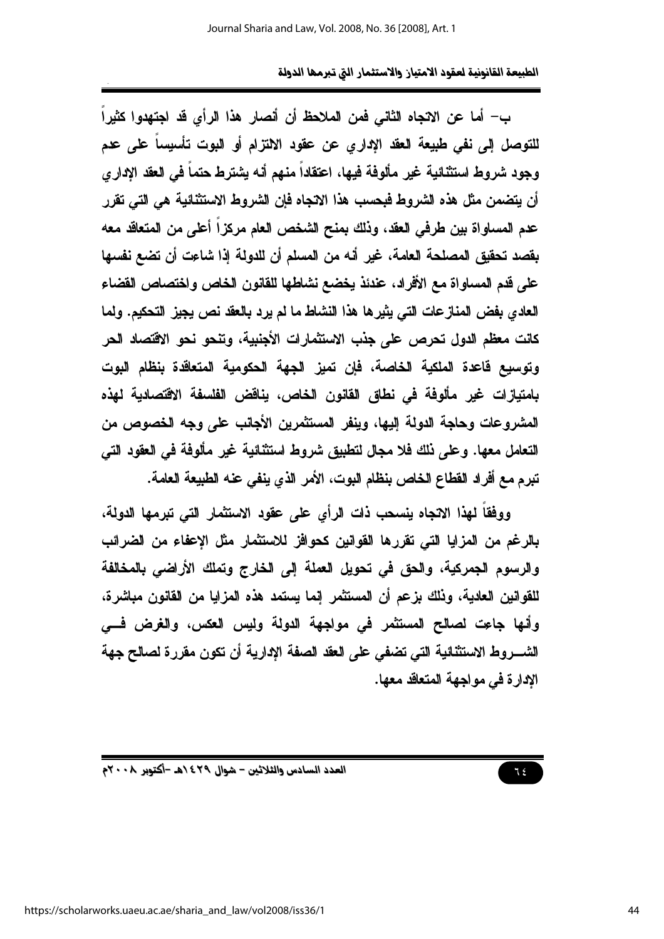ب– أما عن الاتجاه الثاني فمن الملاحظ أن أنصار هذا الرأى قد اجتهدوا كثيراً للتوصل إلى نفي طبيعة العقد الإداري عن عقود الالتزام أو البوت تأسيساً على عدم وجود شروط استثنائية غير مألوفة فيها، اعتقاداً منهم أنه يشترط حتماً في العقد الإداري أن يتضمن مثل هذه الشروط فبحسب هذا الاتجاه فإن الشروط الاستثنائية هي التي تقرر عدم المساواة بين طرفي العقد، وذلك بمنح الشخص العام مركزاً أعلى من المتعاقد معه بقصد تحقيق المصلحة العامة، غير أنه من المسلم أن للدولة إذا شاعت أن تضع نفسها على قدم المساواة مع الأفراد، عندئذ يخضع نشاطها للقانون الخاص واختصاص القضاء العادي بفض المنازعات التي يثيرها هذا النشاط ما لم يرد بالعقد نص يجيز التحكيم. ولما كانت معظم الدول تحرص على جذب الاستثمارات الأجنبية، وتنحو نحو الاقتصاد الحر وتوسيع فاعدة الملكية الخاصة، فإن تميز الجهة الحكومية المتعاقدة بنظام البوت بامتيازات غير مألوفة في نطاق القانون الخاص، يناقض الفلسفة الاقتصادية لهذه المشر وعات وحاجة الدولة البها، وينفر المستثمرين الأجانب على وجه الخصوص من التعامل معها. وعلى ذلك فلا مجال لتطبيق شروط استثنائية غير مألوفة في العقود التي تبرم مع أفراد القطاع الخاص بنظام البوت، الأمر الذي ينفي عنه الطبيعة العامة.

ووفقاً لهذا الانجاه ينسحب ذات الرأى على عقود الاستثمار التي تبرمها الدولة، بالرغم من المزايا التي تقررها القوانين كحوافز للاستثمار مثل الإعفاء من الضرائب والرسوم الجمركية، والحق في تحويل العملة إلى الخارج وتملك الأراضي بالمخالفة للقوانين العادية، وذلك بزعم أن المستثمر إنما يستمد هذه المزايا من القانون مباشرة، وأنها جاعت لصالح المستثمر في مواجهة الدولة وليس العكس، والغرض فسي الشـــروط الاستثنائية التي تضفي على العقد الصفة الإدارية أن تكون مقررة لصالح جهة الإدارة في مواجهة المتعاقد معها.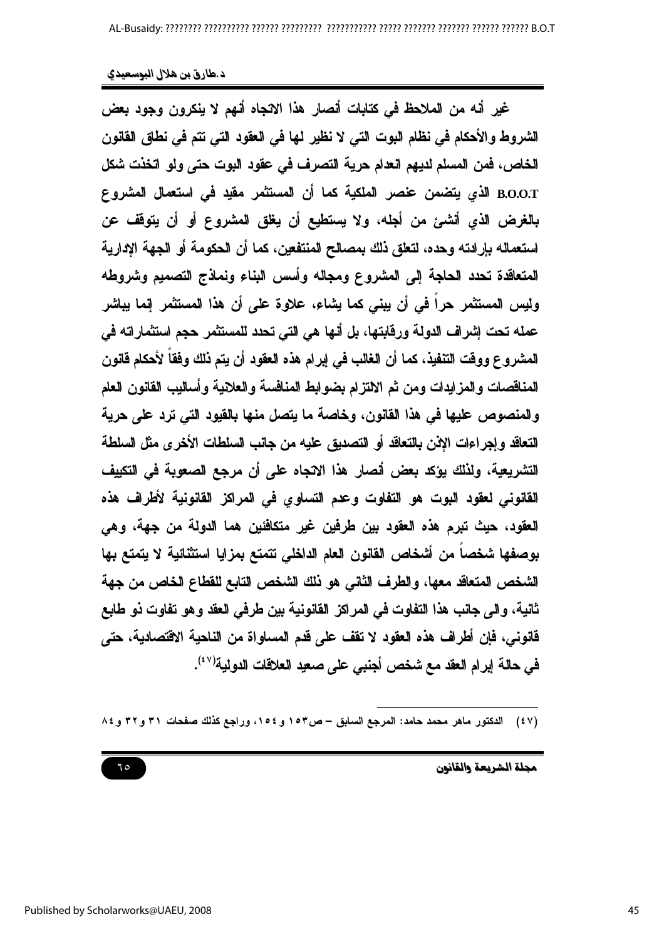غير أنه من الملاحظ في كتابات أنصار هذا الانجاه أنهم لا ينكرون وجود بعض الشروط والأحكام في نظام البوت التي لا نظير لها في العقود التي تتم في نطاق القانون الخاص، فمن المسلم لديهم العدام حرية التصرف في عقود البوت حتى ولو اتخذت شكل B.O.O.T الذي يتضمن عنصر الملكية كما أن المستثمر مقيد في استعمال المشروع بالغرض الذي أنشئ من أجله، ولا يستطيع أن يغلق المشروع أو أن يتوقف عن استعماله بإرادته وحده، لتعلق ذلك بمصالح المنتفعين، كما أن الحكومة أو الجهة الإدارية المتعاقدة تحدد الحاجة إلى المشروع ومجاله وأسس البناء ونماذج التصميم وشروطه وليس المستثمر حراً في أن يبنى كما يشاء، علاوة على أن هذا المستثمر إنما يباشر عمله تحت إشراف الدولة ورفابتها، بل أنها هي التي تحدد للمستثمر حجم استثماراته في المشروع ووفت التنفيذ، كما أن الغالب في إبرام هذه العقود أن يتم ذلك وفقاً لأحكام قانون المناقصات والمزايدات ومن ثم الالتزام بضوابط المنافسة والعلانية وأساليب القانون العام والمنصوص عليها في هذا القانون، وخاصة ما يتصل منها بالقيود التي ترد على حرية التعاقد وإجراءات الإذن بالتعاقد أو التصديق عليه من جانب السلطات الأخرى مثل السلطة التشريعية، ولذلك يؤكد بعض أنصار هذا الاتجاه على أن مرجع الصعوية في التكييف القانوني لعقود البوت هو التفاوت وعدم التساوي في المراكز القانونية لأطراف هذه العقود، حيث تبرم هذه العقود بين طرفين غير متكافئين هما الدولة من جهة، وهي بوصفها شخصاً من أشخاص القانون العام الداخلي نتمتع بمزايا استثنائية لا يتمتع بها الشخص المتعاقد معها، والطرف الثاني هو ذلك الشخص التابع للقطاع الخاص من جهة ثانية، والى جانب هذا التفاوت في المراكز القانونية بين طرفي العقد وهو تفاوت ذو طابع فانوني، فإن أطراف هذه العقود لا تقف على قدم المساواة من الناحية الاقتصادية، حتى في حالة إبرام العقد مع شخص أجنبي على صعيد العلاقات الدولية'<sup>(٤٧)</sup>.

(٤٧) الدكتور ماهر محمد حامد: المرجع السابق – ص١٥٣ و ١٥٤، وراجع كذلك صفحات ٣١ و٣٢ و ٨٤

مجلة الشريعة والقانون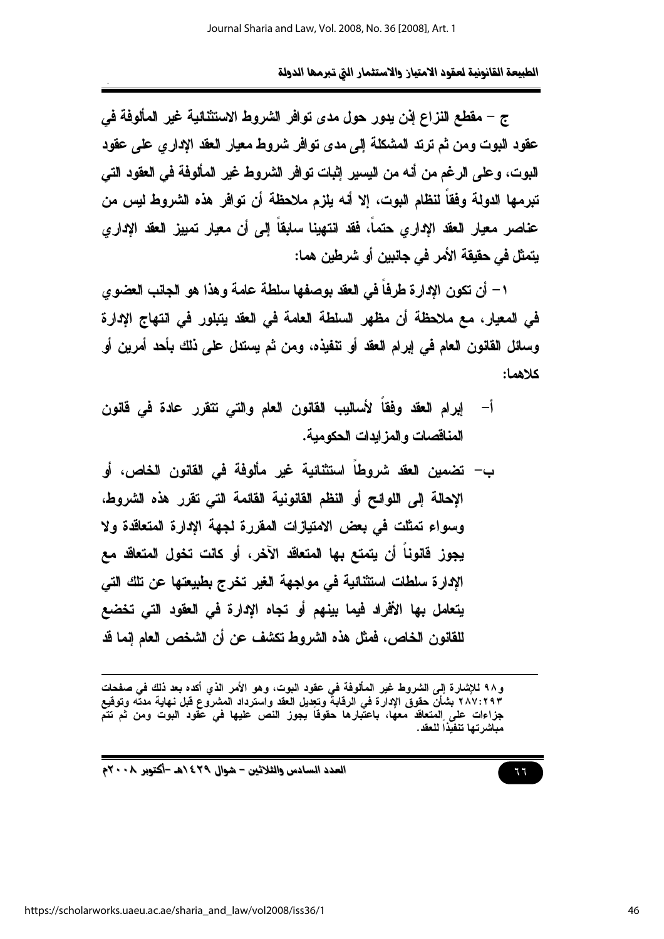ج – مقطع النزاع إنن يدور حول مدى توافر الشروط الاستثنائية غير المألوفة في عقود البوت ومن ثم ترتد المشكلة إلى مدى توافر شروط معيار العقد الإدارى على عقود البوت، وعلى الرغم من أنه من اليسير إثبات توافر الشروط غير المألوفة في العقود التي تير مها الدولة وفقاً لنظام اليوت، الا أنه بلزم ملاحظة أن توافر هذه الشروط ليس من عناصر معيار العقد الإدارى حتماً، فقد انتهينا سابقاً إلى أن معيار تمييز العقد الإدارى يتمثل في حقيقة الأمر في جانبين أو شرطين هما:

١– أن تكون الإدارة طرفاً في العقد بوصفها سلطة عامة وهذا هو الجانب العضوي في المعيار، مع ملاحظة أن مظهر السلطة العامة في العقد يتبلور في انتهاج الإدارة وسائل القانون العام في إبرام العقد أو تنفيذه، ومن ثم يستدل على ذلك بأحد أمرين أو كلاهما:

- أ– إبرام العقد وفقاً لأساليب القانون العام والتي نتقرر عادة في قانون المناقصات والمزايدات الحكومبة.
- ب— تضمين العقد شروطاً استثنائية غير مألوفة في القانون الخاص، أو الإحالة إلى اللوائح أو النظم القانونية القائمة التي تقرر هذه الشروط، وسواء تمثلت في بعض الامتيازات المقررة لجهة الإدارة المتعاقدة ولا يجوز. فَانوناً أن يتمتع بها المتعاقد الآخر، أو كانت تخول المتعاقد مع الادارة سلطات استثنائية في مواجهة الغير تخرج بطبيعتها عن تلك التي يتعامل بها الأفراد فيما بينهم أو تجاه الإدارة في العقود التي تخضع للقانون الخاص، فمثل هذه الشروط تكشف عن أن الشخص العام إنما قد

و٩٨ للإشارة إلى الشروط غير المألوفة في عقود البوت، وهو الأمر الذي أكده بعد ذلك في صفحات ٢٨٧:٢٩٣ بشأنّ حقوق الإدارة فى الرقابةَ وتعديل العقد واسترداد المشروع قبل نهاية مدته وتوقيع جزاءات على المتعاقد معها، باعتَبارها حقوقا يجوز النص عليها في عقود البوت ومن ثم تتمَّ مباشرتها تنفيذاً للعقد.

العدد السادس والثلاثين – شوال ٤٢٩ ١هـ -أكتوبر ٢٠٠٨م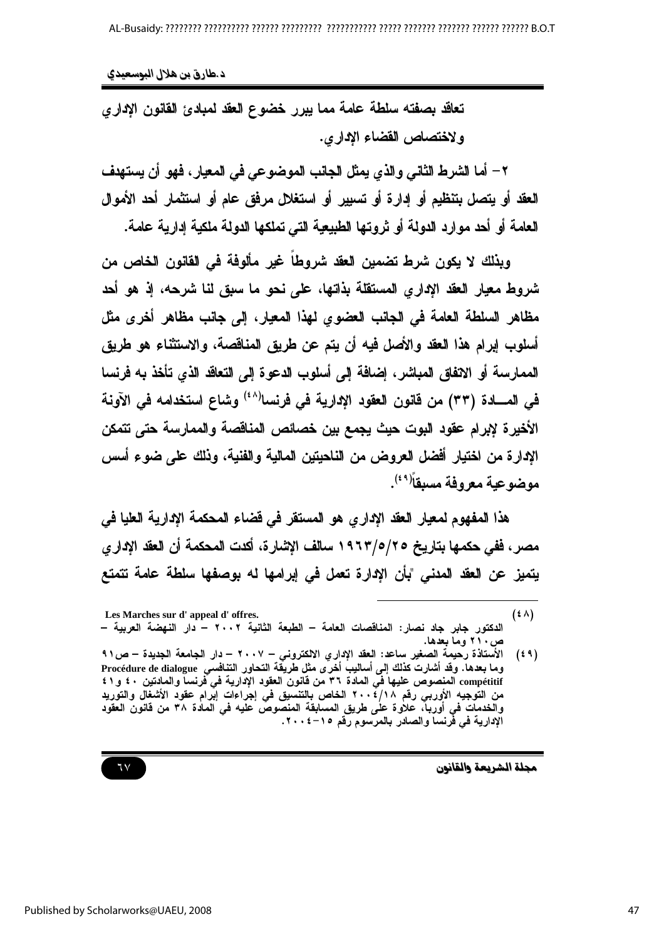تعاقد بصفته سلطة عامة مما يبرر خضوع العقد لمبادئ القانون الإدارى ولاختصاص القضاء الإداري.

٢ – أما الشرط الثاني والذي يمثل الجانب الموضوعي في المعيار ، فهو أن يستهدف العقد أو يتصل بتنظيم أو إدارة أو تسيير أو استغلال مرفق عام أو استثمار أحد الأموال العامة أو أحد موارد الدولة أو ثروتها الطبيعية التي تملكها الدولة ملكية إدارية عامة.

وبذلك لا يكون شرط تضمين العقد شروطاً غير مألوفة في القانون الخاص من شروط معيار العقد الإداري المستقلة بذاتها، على نحو ما سبق لنا شرحه، إذ هو أحد مظاهر السلطة العامة في الجانب العضوى لهذا المعيار، إلى جانب مظاهر أخرى مثل أسلوب إبرام هذا العقد والأصل فيه أن يتم عن طريق المناقصة، والاستثناء هو طريق الممارسة أو الاتفاق المباشر ، إضافة إلى أسلوب الدعوة إلى التعاقد الذي تأخذ به فرنسا في المسادة (٣٣) من قانون العقود الإدارية في فرنسا<sup>(٤٨)</sup> وشاع استخدامه في الآونة الأخيرة لإبرام عقود البوت حيث يجمع بين خصائص المناقصة والممارسة حتى تتمكن الإدارة من اختيار أفضل العروض من الناحيتين المالية والفنية، وذلك على ضوع أسس موضوعية معروفة مسبقاً<sup>(٤٩)</sup>.

هذا المفهوم لمعيار العقد الإداري هو المستقر في قضاء المحكمة الإدارية العليا في مصر ، ففي حكمها بتاريخ ١٩٦٣/٥/٢٥ سالف الإشارة، أكدت المحكمة أن العقد الإدار ي يتميز عن العقد المدنى "بأن الإدارة تعمل في إبرامها له بوصفها سلطة عامة تتمتع

مجلة الشريعة والقانون

 $(5 \wedge)$ Les Marches sur d'appeal d'offres. الدكتور جابر جاد نصار: المناقصات العامة – الطبعة الثانية ٢٠٠٢ – دار النهضة العربية – ص ۲۱۰ وما بعدها.

الأستاذة رحيمة الصغير ساعد: العقد الإداري الالكتروني – ٢٠٠٧ – دار الجامعة الجديدة – ص٩١  $(59)$ مستحدث رئيس .<br>وما بعدها. وقد أشارت كذلك إلى أساليب أخّرى مثل طّريقة التحاور التنافسي Procédure de dialogue compétitif المنصوص عليها فَمِّ المادة ٣٦ من فَانونُ العقود الإدارية في فرنساً والمادنين ٤٠ و٤١ من التوجيه الأوربي رقم ٢٠٠٤/١٨ الخاص بالتنسيق في إجراءات إبرام عقود الأشغال والتوريد والخدمات في أورباً، علاوة على طريق المسابقة المنصوصُ عليه في المآدة ٣٨ من قانون العقود الإدارية في فَرنسا والصادر بالمرسوم رقم ١٥–٢٠٠٤.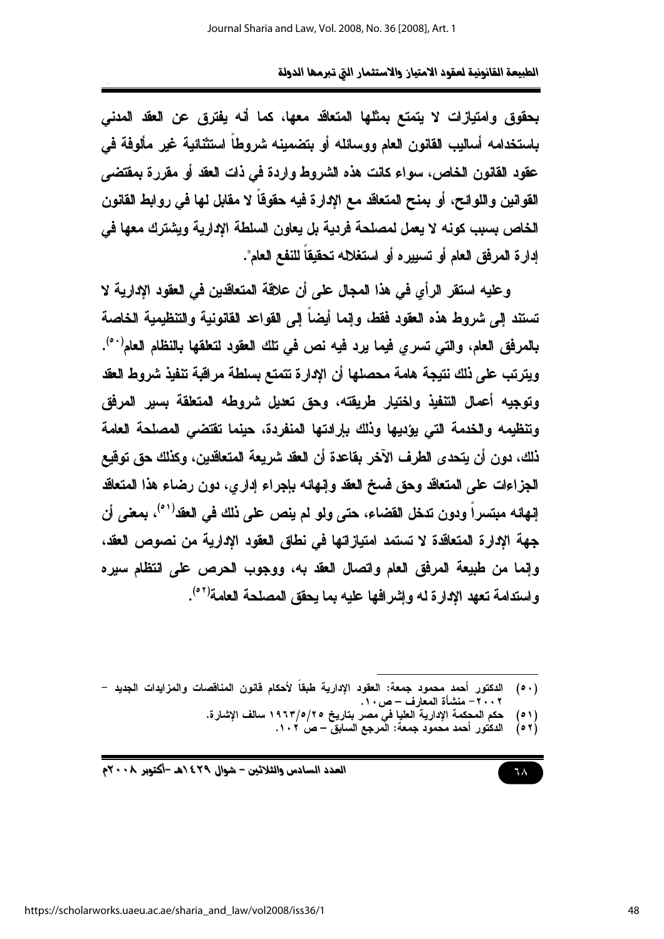بحقوق وامتيازات لا يتمتع بمثلها المتعاقد معها، كما أنه يفترق عن العقد المدنى باستخدامه أساليب القانون العام ووسائله أو بتضمينه شروطاً استثنائية غير مألوفة في عقود القانون الخاص، سواء كانت هذه الشروط واردة فمى ذات العقد أو مقررة بمقتضى القوانين واللوائح، أو بمنح المتعاقد مع الإدارة فيه حقوقا لا مقابل لها في روابط القانون الخاص بسبب كونه لا يعمل لمصلحة فردية بل يعاون السلطة الإدارية ويشترك معها في إدارة المرفق العام أو تسييره أو استغلاله تحقيقاً للنفع العام".

وعليه استقر الرأي في هذا المجال على أن علاقة المتعاقدين في العقود الإدارية لا تستند إلى شروط هذه العقود فقط، وإنما أيضا إلى القواعد القانونية والتنظيمية الخاصة بالمرفق العام، والتي تسري فيما يرد فيه نص في تلك العقود لتعلقها بالنظام العام<sup>(٥٠)</sup>. ويترتب على نلك نتيجة هامة محصلها أن الإدارة تتمتع بسلطة مراقبة تنفيذ شروط العقد وتوجيه أعمال التنفيذ واختيار طريقته، وحق تعديل شروطه المتعلقة بسير المرفق وتنظيمه والخدمة التي يؤديها وذلك بإرادتها المنفردة، حينما تقتضي المصلحة العامة نلك، دون أن يتحدى الطرف الآخر بقاعدة أن العقد شريعة المتعاقدين، وكذلك حق توقيع الجزاءات على المتعاقد وحق فسخ العقد وإنهائه بإجراء إداري، دون رضاء هذا المتعاقد إنهائه مبتسراً ودون تدخل القضاء، حتى ولو لم ينص على نلك في العقد<sup>(٥١)</sup>، بمعنى أن جهة الإدارة المتعاقدة لا تستمد امتيازاتها في نطاق العقود الإدارية من نصوص العقد، وإنما من طبيعة المرفق العام واتصال العقد به، ووجوب الحرص على انتظام سيره واستدامة تعهد الإدارة لـه وإشرافها عليه بما يحقق المصلحة العامة<sup>(٥٢)</sup>.

l دكتور أحمد محمود جمعة: العقود الإدارية طبقا لأحكام فانون المناقصات والمزايدات الجديد –  $(0.)$ ٢٠٠٢ – منشأة المعارف – ص ١٠.

- (٥١) حكم المحكمة الإدارية العليا في مصر بتاريخ ٢٥/٥/٢٥ اسالف الإشارة.
	- دكتور أحمد محمود جمعة: المرجع السابق ص ١٠٢.  $(0 7)$

٦٨

العدد السادس والثلاثين – شوال ٢٩٤٢هـ -أكتوبر ٢٠٠٨م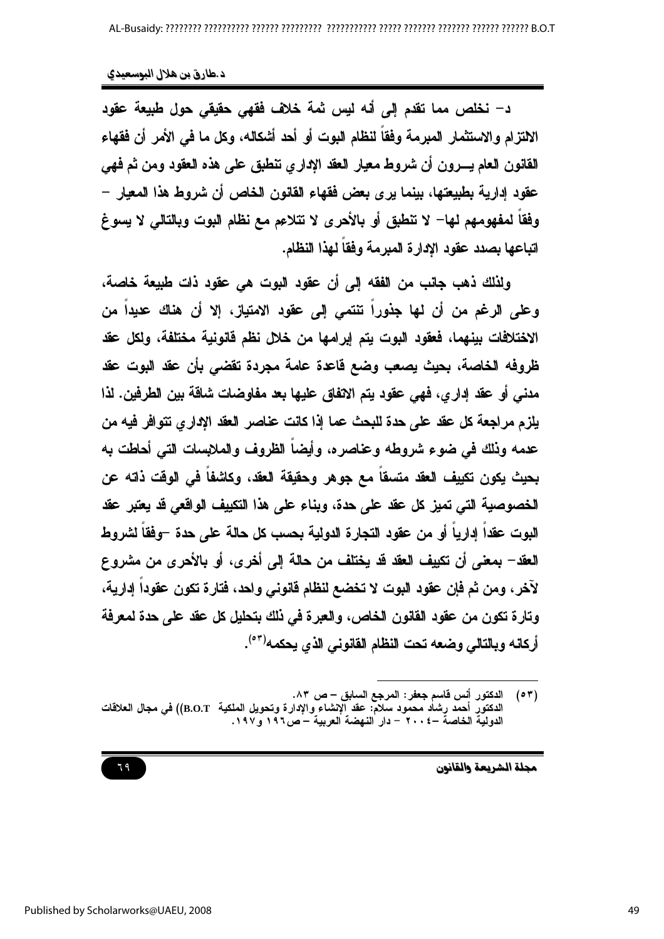د- نخلص مما تقدم إلى أنه ليس ثمة خلاف فقهى حقيقى حول طبيعة عقود الالتزام والاستثمار المبرمة وفقاً لنظام البوت أو أحد أشكاله، وكل ما في الأمر أن فقهاء القانون العام يسرون أن شروط معيار العقد الاداري تنطبق على هذه العقود ومن ثم فهي عقود إدارية بطبيعتها، بينما يرى بعض فقهاء القانون الخاص أن شروط هذا المعيار – وفقاً لمفهومهم لها– لا تنطبق أو بالأحرى لا تتلاعم مع نظام البوت وبالتالي لا يسوغ اتباعها بصدد عقود الادارة المبرمة وفقاً لهذا النظام.

ولذلك ذهب جانب من الفقه إلى أن عقود البوت هي عقود ذات طبيعة خاصة، وعلى الرغم من أن لها جذورا تنتمي إلى عقود الامتياز، إلا أن هناك عديدا من الاختلافات بينهما، فعقود البوت يتم إبرامها من خلال نظم فانونية مختلفة، ولكل عقد ظروفه الخاصة، بحيث يصعب وضع قاعدة عامة مجردة تقضى بأن عقد البوت عقد مدنى أو عقد إدار ي، فهي عقود يتم الاتفاق عليها بعد مفاوضات شاقة بين الطرفين. لذا يلزم مراجعة كل عقد على حدة للبحث عما إذا كانت عناصر العقد الإداري نتوافر فيه من عدمه وذلك في ضوع شروطه وعناصره، وأيضاً الظروف والملابسات التي أحاطت به بحيث يكون تكبيف العقد متسقاً مع جوهر وحقيقة العقد، وكاشفاً في الوقت ذاته عن الخصوصية التي تميز كل عقد على حدة، وبناء على هذا التكييف الواقعي قد يعتبر عقد البوت عقداً إدارياً أو من عقود التجارة الدولية بحسب كل حالة على حدة –وفقاً لشروط العقد— بمعنى أن تكييف العقد قد يختلف من حالة إلى أخرى، أو بالأحرى من مشروع لآخر ، ومن ثم فإن عقود البوت لا تخضع لنظام فانوني واحد ، فتارة تكون عقوداً إدارية، وتارة تكون من عقود القانون الخاص، والعبرة في ذلك بتحليل كل عقد على حدة لمعرفة أركانه وبالتالي وضعه تحت النظام الفانوني الذي يحكمه<sup>(٥٣)</sup>.

مجلة الشريعة والقانون

#### 79

 $(0 7)$ الدكتور أنس فاسم جعفر : المرجع السابق – ص ٨٣. الدكتور أحمد رشاد محمود سلامّ: عقد الإنشاء والإدارة وتحويل الملكية B.O.T)) في مجال الـعلاقات الدولية الخاصة –٢٠٠٤ – دار النهضة العربية – ص١٩٢ و١٩٧.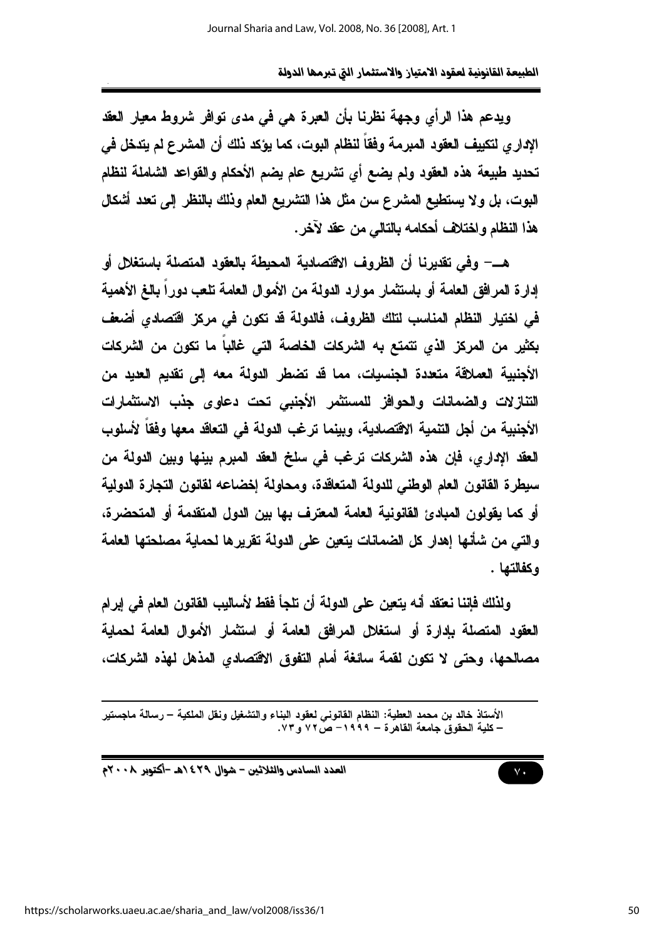ويدعم هذا الرأى وجهة نظرنا بأن العرة هي في مدى توافر شروط معيار العقد الإدار ي لتكييف العقود المبرمة وفقاً لنظام البوت، كما يؤكد نلك أن المشرع لم يتدخل في تحديد طبيعة هذه العقود ولم يضع أي تشريع عام يضم الأحكام والقواعد الشاملة لنظام اليوت، بل ولا يستطيع المشرع سن مثل هذا التشريع العام وذلك بالنظر إلى تعدد أشكال هذا النظام واختلاف أحكامه بالتالم من عقد لآخر.

هــــ وفي تقديرنا أن الظروف الاقتصادية المحيطة بالعقود المتصلة باستغلل أو إدارة المرافق العامة أو باستثمار موارد الدولة من الأموال العامة تلعب دوراً بالغ الأهمية في لختيار النظام المناسب لتلك الظروف، فالدولة قد تكون في مركز اقتصادي أضعف بكثير من المركز الذي نتمتع به الشركات الخاصة التي غالباً ما تكون من الشركات الأجنبية العملاقة متعددة الجنسيات، مما قد تضطر الدولة معه إلى تقديم العديد من التنازلات والضمانات والحوافز للمستثمر الأجنبي تحت دعاوى جذب الاستثمارات الأجنبية من أجل التنمية الاقتصادية، وبينما ترغب الدولة في التعاقد معها وفقاً لأسلوب العقد الإداري، فإن هذه الشركات ترغب في سلخ العقد المبرم بينها وبين الدولة من سيطرة القانون العام الوطني للدولة المتعاقدة، ومحاولة إخضاعه لقانون التجارة الدولية أو كما يقولون المبادئ القانونية العامة المعترف بها بين الدول المتقدمة أو المتحضرة، والتي من شأنها إهدار كل الضمانات يتعين على الدولة تقريرها لحماية مصلحتها العامة وكفالتها .

ولذلك فإننا نعتقد أنه يتعين على الدولة أن تلجأ فقط لأساليب القانون العام في إبرام العقود المتصلة بإدارة أو استغلال المرافق العامة أو استثمار الأموال العامة لحماية مصالحها، وحتى لا تكون لقمة سائغة أمام التفوق الاقتصادي المذهل لهذه الشركات،



الأستاذ خالد بن محمد العطية: النظام القانوني لعقود البناء والتشغيل ونقل الملكية – رسالة ماجستير – كلية الحقوق جامعة القاهر ة – ١٩٩٩– ص٣٧ و ٧٣.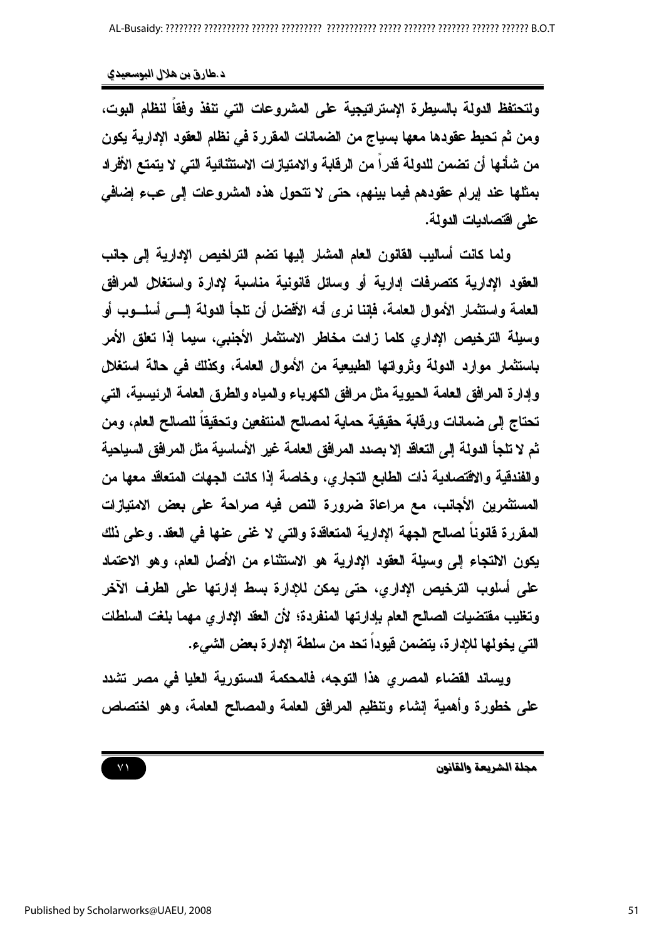ولتحتفظ الدولة بالسبطرة الإستراتيجية على المشروعات التي تنفذ وفقاً لنظام البوت، ومن ثم تحيط عقودها معها بسياج من الضمانات المقررة في نظام العقود الإدارية يكون من شأنها أن تضمن للدولة قدراً من الرقابة والامتيازات الاستثنائية التي لا يتمتع الأفراد بمثلها عند إبرام عقودهم فيما بينهم، حتى لا تتحول هذه المشروعات إلى عبء إضافي على اقتصاديات الدولة.

ولما كانت أساليب القانون العام المشار إليها تضم التراخيص الإدارية إلى جانب العقود الإدارية كتصرفات إدارية أو وسائل فانونية مناسبة لإدارة واستغلل المرافق العامة واستثمار الأموال العامة، فاننا نرى أنه الأفضل أن تلجأ الدولة السي أسلسوب أو وسيلة الترخيص الإداري كلما زادت مخاطر الاستثمار الأجنبي، سيما إذا تعلق الأمر باستثمار موارد الدولة وثرواتها الطبيعية من الأموال العامة، وكذلك في حالة استغلل وإدارة المرافق العامة الحيوية مثل مرافق الكهرباء والمياه والطرق العامة الرئيسية، التي تحتاج إلى ضمانات ورقابة حقيقية حماية لمصالح المنتفعين وتحقيقا للصالح العام، ومن ثم لا تلجأ الدولة إلى التعاقد إلا بصدد المرافق العامة غير الأساسية مثل المرافق السياحية والفندقية والاقتصادية ذات الطابع التجارى، وخاصة إذا كانت الجهات المتعاقد معها من المستثمرين الأجانب، مع مراعاة ضرورة النص فيه صراحة على بعض الامتيازات المقررة قانوناً لصالح الجهة الإدارية المتعاقدة والتي لا غني عنها في العقد. وعلى نلك يكون الالتجاع إلى وسيلة العقود الإدارية هو الاستثناء من الأصل العام، وهو الاعتماد على أسلوب الترخيص الإدارى، حتى يمكن للإدارة بسط إدارتها على الطرف الآخر وتغليب مفتضيات الصالح العام بإدارتها المنفردة؛ لأن العقد الإداري مهما بلغت السلطات التي يخولها للإدارة، يتضمن فيوداً تحد من سلطة الإدارة بعض الشيء.

ويساند القضاع المصرى هذا التوجه، فالمحكمة الدستورية العليا في مصر تشدد على خطورة وأهمية إنشاء وتنظيم المرافق العامة والمصالح العامة، وهو اختصاص

 $Y<sub>1</sub>$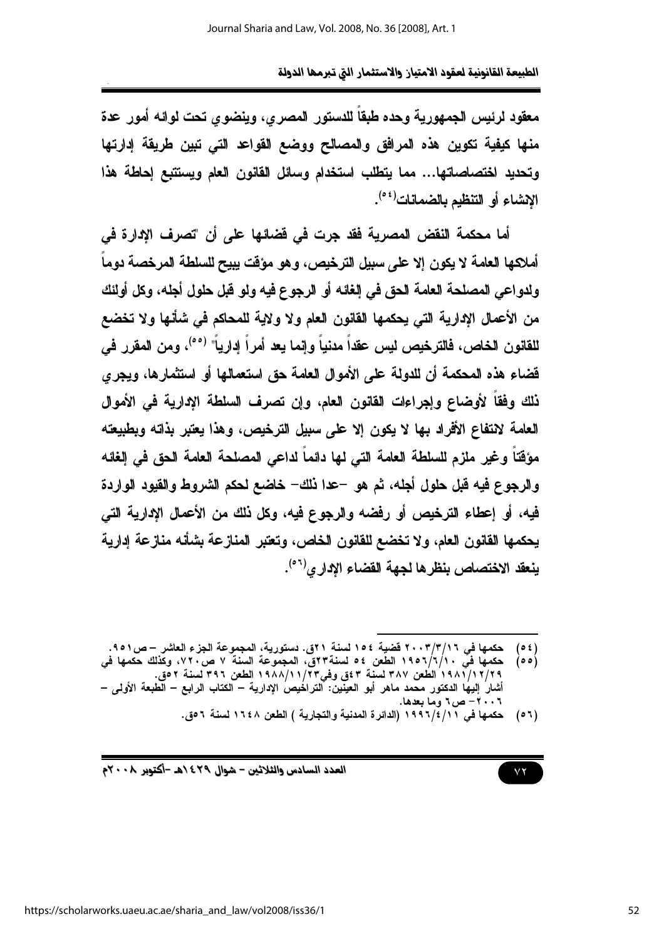معقود لرئيس الجمهورية وحده طبقاً للدستور المصرى، وينضوى تحت لوائه أمور عدة منها كيفية تكوين هذه المرافق والمصالح ووضع القواعد التى تبين طريقة إدارتها وتحديد اختصاصاتها... مما يتطلب استخدام وسائل القانون العام ويستتبع إحاطة هذا الانشاء أو التنظيم بالضمانات<sup>(06)</sup>.

أما محكمة النقض المصرية فقد جرت في فضائها على أن "تصرف الإدارة في أملاكها العامة لا يكون إلا على سبيل الترخيص، وهو مؤقت يبيح للسلطة المرخصة دوما ولدواعي المصلحة العامة الحق في إلغائه أو الرجوع فيه ولو قبل حلول أجله، وكل أولئك من الأعمال الإدارية التي يحكمها القانون العام ولا ولاية للمحاكم في شأنها ولا تخضع للقانون الخاص، فالترخيص ليس عقداً مدنياً وإنما يعد أمراً إدارياً" <sup>(٥٥)</sup>، ومن المقرر في فضاء هذه المحكمة أن للدولة على الأموال العامة حق استعمالها أو استثمارها، ويجرى ذلك وفقاً لأوضاع وإجراءات القانون العام، وإن تصرف السلطة الإدارية في الأموال العامة لانتفاع الأفراد بها لا يكون إلا على سبيل الترخيص، وهذا يعتبر بذاته وبطبيعته مؤقتاً وغير ملزم للسلطة العامة التي لها دائماً لداعي المصلحة العامة الحق في إلغائه والرجوع فيه قبل حلول أجله، ثم هو -عدا ذلك- خاضع لحكم الشروط والقيود الواردة فيه، أو إعطاء الترخيص أو رفضه والرجوع فيه، وكل ذلك من الأعمال الإدارية التي يحكمها القانون العام، ولا تخضع للقانون الخاص، وتعتبر المنازعة بشأنه منازعة إدارية بنعقد الاختصاص بنظر ها لجهة القضاء الادار ي<sup>(٥٦)</sup>.

العدد السادس والثلاثين - شوال ٢٩٤/هـ -أكتوبر ٢٠٠٨م

 $\vee \vee$ 

حكمها في ٢٠٠٣/٣/١٦ قضية ١٥٤ لسنة ٢١ق. دستورية، المجموعة الجزء العاشر –ص٥٥١.  $(e<sub>t</sub>)$ 

حكمها فيَّ ١٩٥٦/٦/١٠ الطعن ٥٤ لسنة٣٣ق، المجموعة السنة ٧ ص٢٠٧، وكذلك حكمها في  $(00)$ ٢٩/١/أ١٩٨/ ألطعن ٣٨٧ لسنة ٤٣ ق وفي٢٣/١١/أ١٩٨٨ الطعن ٣٩٦ لسنة ٥٢. أشار إليها الدكتور محمد ماهر أبو العينين: التراخيص الإدارية – الكتاب الرابع – الطبعة الأولى – ٠٠٦ - ص٢ وما بعدها.

<sup>(</sup>٥٦) حكمها في ١٩٩٦/٤/١٩٩١ (الدائرة المدنية والتجارية ) الطعن ١٦٤٨ لسنة ٥٦ق.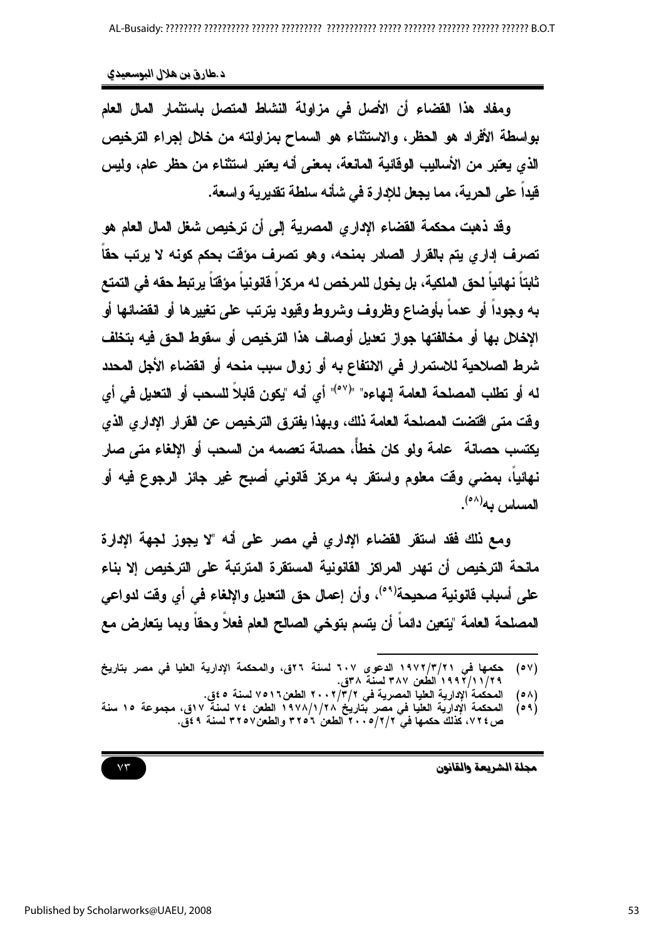ومفاد هذا القضاء أن الأصل في مزاولة النشاط المتصل باستثمار المال العام بواسطة الأفراد هو الحظر، والاستثناء هو السماح بمزاولته من خلال إجراء الترخيص الذي يعتبر من الأساليب الوقائية المانعة، بمعنى أنه يعتبر استثناء من حظر عام، وليس فيداً على الحرية، مما يجعل للإدارة في شأنه سلطة تقديرية واسعة.

وقد ذهبت محكمة القضاء الإداري المصرية إلى أن ترخيص شغل المال العام هو تصرف إداري يتم بالقرار الصادر بمنحه، وهو تصرف مؤقت بحكم كونه لا يرتب حقاً ثابتاً نـهائياً لحق الملكية، بل يخول للمرخص لـه مركزاً فانونياً مؤقتاً يرتبط حقه في التمتع به وجودا أو عدما بأوضاع وظروف وشروط وقيود يترتب على تغييرها أو انقضائها أو الإخلال بها أو مخالفتها جواز تعليل أوصاف هذا الترخيص أو سقوط الحق فيه بتخلف شرط الصلاحية للاستمرار في الانتفاع به أو زوال سبب منحه أو انقضاء الأجل المحدد له أو تطلب المصلحة العامة إنهاءه" "(°°)" أي أنه "يكون قابلاً للسحب أو التعديل في أي وفت متى افتضت المصلحة العامة ذلك، ويهذا يفترق الترخيص عن القرار الإداري الذي يكتسب حصانة عامة ولو كان خطأً، حصانة تعصمه من السحب أو الالغاء متى صار نـهائياً، بمضـي وقت مـعلوم واستقر بـه مركز قانونـي أصبح غير جائز الرجوع فيه أو المساس به<sup>(٥٨)</sup>.

ومع ذلك فقد استقر القضاء الإداري في مصر على أنه "لا يجوز لجهة الإدارة مانحة الترخيص أن تهدر المراكز القانونية المستقرة المترتبة على الترخيص إلا بناء على أسباب فانونية صحيحة<sup>(٥٩)</sup>، وأن إعمال حق التعليل والإلغاء في أي وفّت لدواعي المصلحة العامة "يتعين دائما أن يتسم بتوخى الصالح العام فعلا وحقا وبما يتعارض مع

مجلة الشريعة والقانون

 $Y\mathcal{T}$ 

حكمها في ١٩٧٢/٣/٢١ الدعوى ٦٠٧ لسنة ٢٢ق، والمحكمة الإدارية العليا في مصر بتاريخ  $(0 \vee)$ ٢٩/١١/ ١٩٩٣ الطُعن ٣٨٧ لسنة ٣٨، ق.

 $(0 \wedge)$ 

١ / / / / / / / / / / / الطفل ١ / / الطفل ٢ ، / / / ٢ / / ٢ الطعن١٧٥١٢ لسنة ٤٥ق.<br>المحكمة الإدارية العليا المصرية في ٢ / ٢ / / / / / / / / / / 1 الطعن ٧ / لسنة ٧ اق، مجموعة ١٥ سنة<br>ص ٧ / ٧ ، كذلك حكمها في ٢ / / / ٢ / ٥ ، ٣  $(0.9)$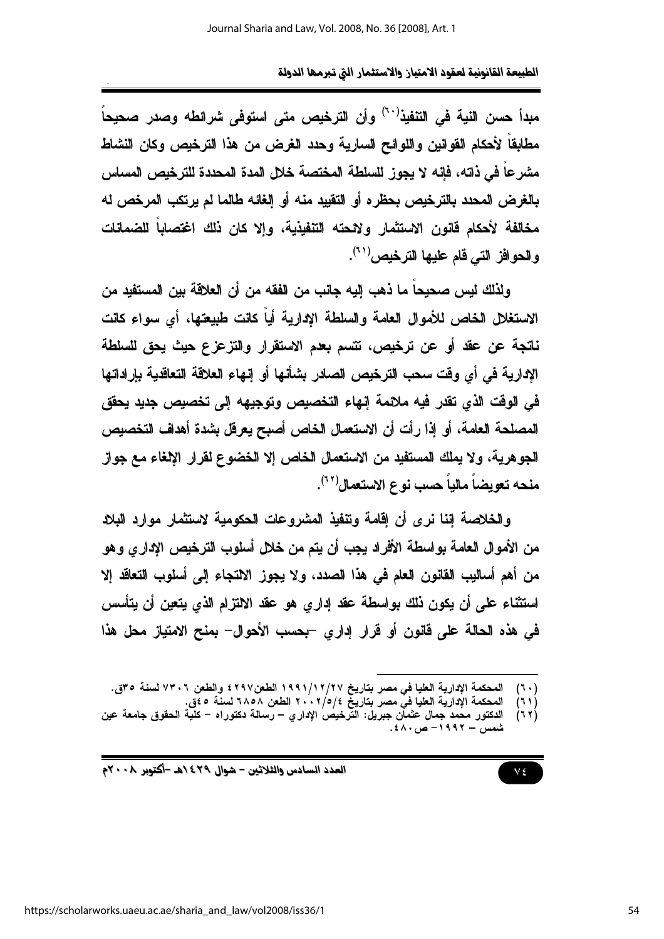مبدأ حسن النية في التنفيذ<sup>(٦٠)</sup> وأن الترخيص متى استوفى شرائطه وصدر صحيحاً مطابقا لأحكام القوانين واللوائح السارية وحدد الغرض من هذا الترخيص وكان النشاط مشر عاً في ذاته، فإنه لا يجوز اللسلطة المختصة خلال المدة المحددة للتر خبص المساس بالغرض المحدد بالتر خبص بحظر ه أو التقبيد منه أو الغائه طالما لم بر تكب المر خص له مخالفة لأحكام قانون الاستثمار ولائحته التنفيذية، والا كان ذلك اغتصاباً للضمانات والحوافز التي قام عليها الترخيص'<sup>٢١</sup>'.

ولذلك ليس صحيحا ما ذهب إليه جانب من الفقه من أن العلاقة بين المستفيد من الاستغلال الخاص للأموال العامة والسلطة الإدارية أياً كانت طبيعتها، أي سواء كانت ناتجة عن عقد أو عن ترخيص، تتسم بعدم الاستقرار والتزعزع حيث يحق للسلطة الادارية في أي وقت سحب الترخيص الصادر بشأنها أو إنهاء العلاقة التعاقدية بإراداتها في الوقت الذي تقدر فيه ملائمة إنهاء التخصيص وتوجيهه إلى تخصيص جديد يحقق المصلحة العامة، أو إذا رأت أن الاستعمال الخاص أصبح يعرفل بشدة أهداف التخصيص الجوهرية، ولا يملك المستفيد من الاستعمال الخاص إلا الخضوع لقرار الإلغاء مع جواز منحه تعويضاً مالياً حسب نوع الاستعمال<sup>(٦٢)</sup>.

والخلاصة اننا نرى أن اقامة وتنفيذ المشروعات الحكومية لاستثمار موارد البلاد من الأموال العامة بواسطة الأفراد يجب أن يتم من خلال أسلوب الترخيص الإداري وهو من أهم أساليب القانون العام في هذا الصدد، ولا يجوز الالتجاء إلى أسلوب التعاقد إلا استثناء على أن يكون ذلك بواسطة عقد إداري هو عقد الالتزام الذي يتعين أن يتأسس في هذه الحالة على قانون أو قرار إداري -بحسب الأحوال- بمنح الامتياز محل هذا

المحكمة الإدارية العليا في مصر بتاريخ ١٩٩١/١٢/٢٧ الطعن١٩٩٧ والطعن ٧٣٠٦ لسنة ٣٥].  $(5 \cdot)$ 

المحكمة الإدارية العليا فيّ مصر بتاريخٌ ٢/٥/٤ ٢٠٠ الطعن ٦٨٥٨ لسنة ٤٥٥.  $(11)$ الدكتور محمد جمال عثمان جبريل: التَّرخيص الإداري – رسالة دكتوراه – كلية الحقوق جامعة عين  $(77)$ شمس – ۱۹۹۲ – ص۶۸۰.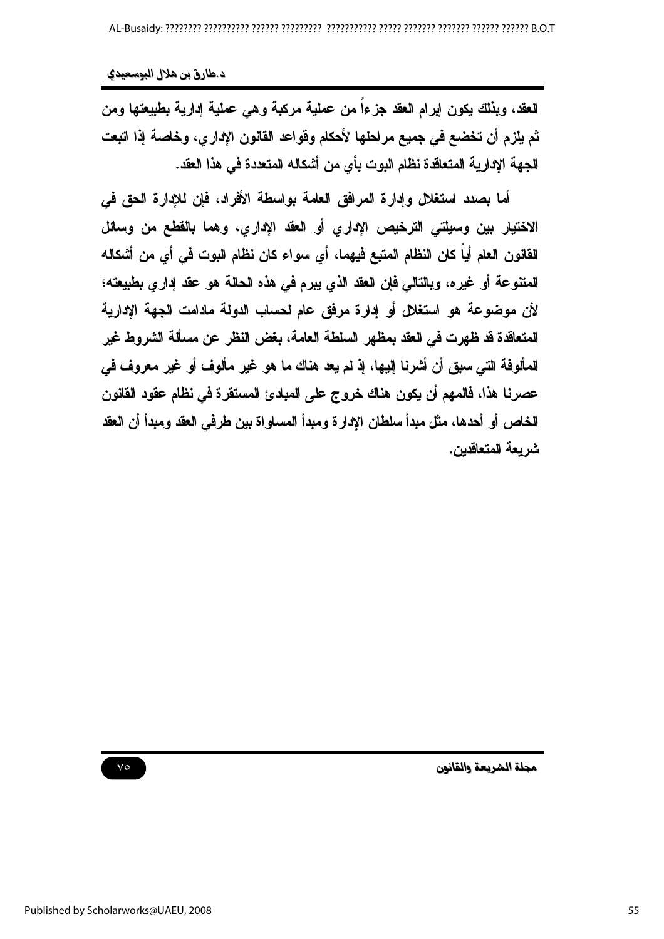العقد، ويذلك يكون إبرام العقد جزءاً من عملية مركبة وهي عملية إدارية بطبيعتها ومن ثم يلزم أن تخضع في جميع مراحلها لأحكام وقواعد القانون الإداري، وخاصة إذا اتبعت الجهة الإدارية المتعاقدة نظام البوت بأي من أشكاله المتعددة في هذا العقد.

أما بصدد استغلال وإدارة المرافق العامة بواسطة الأفراد، فإن للإدارة الحق في الاختيار بين وسيلتي الترخيص الإداري أو العقد الإداري، وهما بالقطع من وسائل القانون العام أياً كان النظام المتبع فيهما، أي سواء كان نظام البوت في أي من أشكاله المتنوعة أو غيره، وبالتالي فإن العقد الذي يبرم في هذه الحالة هو عقد إداري بطبيعته؛ لأن موضوعة هو استغلل أو إدارة مرفق عام لحساب الدولة مادامت الجهة الإدارية المتعاقدة قد ظهرت في العقد بمظهر السلطة العامة، بغض النظر عن مسألة الشروط غير المألوفة التي سبق أن أشرنا إليها، إذ لم يعد هناك ما هو غير مألوف أو غير معروف في عصرنا هذا، فالمهم أن يكون هناك خروج على المبادئ المستقرة في نظام عقود القانون الخاص أو أحدها، مثل مبدأ سلطان الإدارة ومبدأ المساواة بين طرفي العقد ومبدأ أن العقد شر يعة المتعاقدين.

مجلة الشريعة والقانون

 $\vee \circ$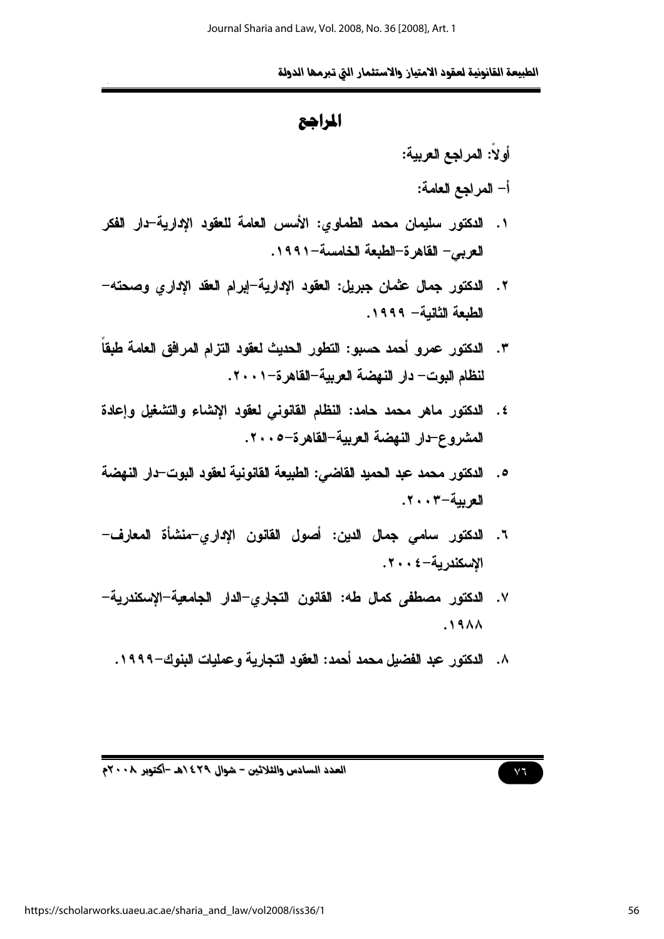```
المراهع
```
- أولاً: المراجع العربية: أ– المراجع العامة:
- ١. الدكتور سليمان محمد الطماوي: الأسس العامة للعقود الإدارية-دار الفكر العربي - القاهر ة-الطبعة الخامسة-١٩٩١.
- ٢. الدكتور جمال عثمان جبريل: العقود الإدارية-إبرام العقد الإدارى وصحته-الطبعة الثانبة - ١٩٩٩.
- لنظام البوت— دار النهضة العريبة–القاهرة–٢٠٠١.
- ٤. الدكتور ماهر محمد حامد: النظام القانوني لعقود الإشاء والتشغيل وإعادة المشروع-دار النهضة العربية-القاهرة-٢٠٠٥.
- 0. الدكتور محمد عبد الحميد القاضي: الطبيعة القانونية لعقود البوت-دار النهضة الع بية-٣٠٠٣.
- ٦. الدكتور سامي جمال الدين: أصول القانون الإداري–منشأة المعارف– الاسكندرية-٤٠٠٤.
- ٧. الدكتور مصطفى كمال طه: القانون التجاري–الدار الجامعية–الإسكندرية–  $.19AA$ 
	- ٨. الدكتور عبد الفضيل محمد أحمد: العقود التجارية وعمليات البنوك-١٩٩٩.

 $\vee$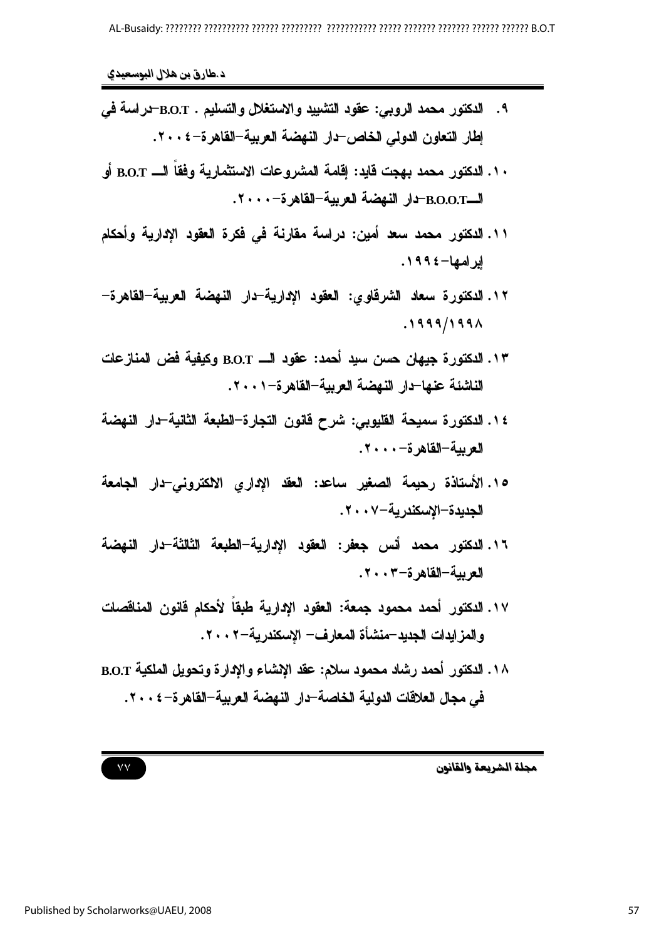- ٩. الدكتور محمد الروبي: عقود التشييد والاستغلال والتسليع . B.O.T-دراسة في إطار التعاون الدولي الخاص-دار النهضة العربية-القاهرة-٢٠٠٤.
- . ١. الدكتور محمد بهجت قايد: إقامة المشروعات الاستثمارية وفقاً الـــ B.O.T أو الـB.O.O.T-دار النهضة العربية-القاهرة-٢٠٠٠.
- ١١. الدكتور محمد سعد أمين: دراسة مقارنة في فكرة العقود الإدارية وأحكام ابر امها-١٩٩٤.
- ١٢. الدكتورة سعاد الشرقاوى: العقود الإدارية-دار النهضة العربية-القاهرة- $.1999/199 \AA$
- ١٣. الدكتورة جيهان حسن سيد أحمد: عقود الـــ B.O.T وكيفية فض المنازعات الناشئة عنها-دار النهضة العربية-القاهر ة-٠٠١.
- ١٤. الدكتورة سميحة القليوبي: شرح فانون التجارة–الطبعة الثانية–دار النهضة العربية-القاهر ة- ٢٠٠٠.
- 10. الأستاذة رحيمة الصغير ساعد: العقد الإداري الاكتروني-دار الجامعة الجديدة–الإسكندرية–٢٠٠٧.
- ١٦. الدكتور محمد أنس جعفر: العقود الادارية-الطبعة الثالثة-دار النهضة الع ببة-القاهر ة-٣٠٠٣.
- ١٧. الدكتور أحمد محمود جمعة: العقود الإدارية طبقاً لأحكام قانون المناقصات والمزايدات الجديد-منشأة المعارف- الاسكندرية-٢٠٠٢.
- ١٨. الدكتور أحمد رشاد محمود سلام: عقد الإنشاء والإدارة وتحويل الملكية B.O.T في مجال العلاقات الدولية الخاصة–دار النهضة العربية–القاهرة–٢٠٠٤.

مجلة الشريعة والقانون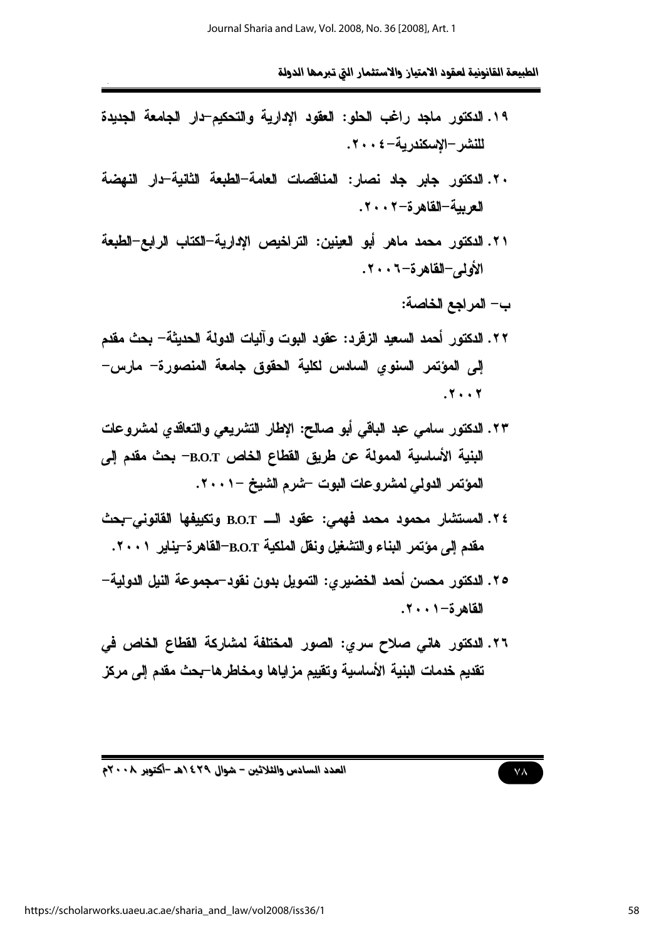العدد السادس والثلاثين – شوال ٤٢٩ ١هـ -أكتوبر ٢٠٠٨م

https://scholarworks.uaeu.ac.ae/sharia and law/vol2008/iss36/1

الطبيعة القانونية لعقود الامتياز والاستثمار التي تبرمها الدولة

- ١٩. الدكتور ماجد راغب الحلو: العقود الادارية والتحكيم-دار الجامعة الجديدة للنشر-الاسكندرية-٤٠٠٤.
- ٢٠. الدكتور جابر جاد نصار: المناقصات العامة-الطبعة الثانية-دار النهضة الع بية-القاهر ة-٢٠٠٢.
- ٢١. الدكتور محمد ماهر أبو العينين: التراخيص الإدارية-الكتاب الرابع-الطبعة الأولى-القاهرة-٦٠٠٢.
	- ب- المراجع الخاصة:
- ٢٢. الدكتور أحمد السعيد الزفرد: عقود البوت وآليات الدولة الحديثة– بحث مقدم إلى المؤتمر السنوى السادس لكلية الحقوق جامعة المنصورة- مارس- $.7.7$
- ٢٣. الدكتور سامي عبد الباقي أبو صالح: الإطار التشريعي والتعاقدي لمشروعات البنية الأساسية الممولة عن طريق القطاع الخاص B.O.T– بحث مقدم إلى المؤتمر الدولي لمشروعات البوت -شرم الشيخ -٠٠١.
- ٢٤. المستشار محمود محمد فهمي: عقود الـــ B.O.T وتكييفها القانوني-بحث مقدم إلى مؤتمر البناء والتشغيل ونفل الملكية B.O.T-القاهرة-يناير ٢٠٠١.
- ٢٥. الدكتور محسن أحمد الخضير ي: التمويل بدون نقود–مجموعة النيل الدولية– القاهر ة-١٠٠١.
- ٢٦. الدكتور هاني صلاح سرى: الصور المختلفة لمشاركة القطاع الخاص في تقديم خدمات البنية الأساسية وتقييم مزاياها ومخاطرها–بحث مقدم إلى مركز

 $V\Lambda$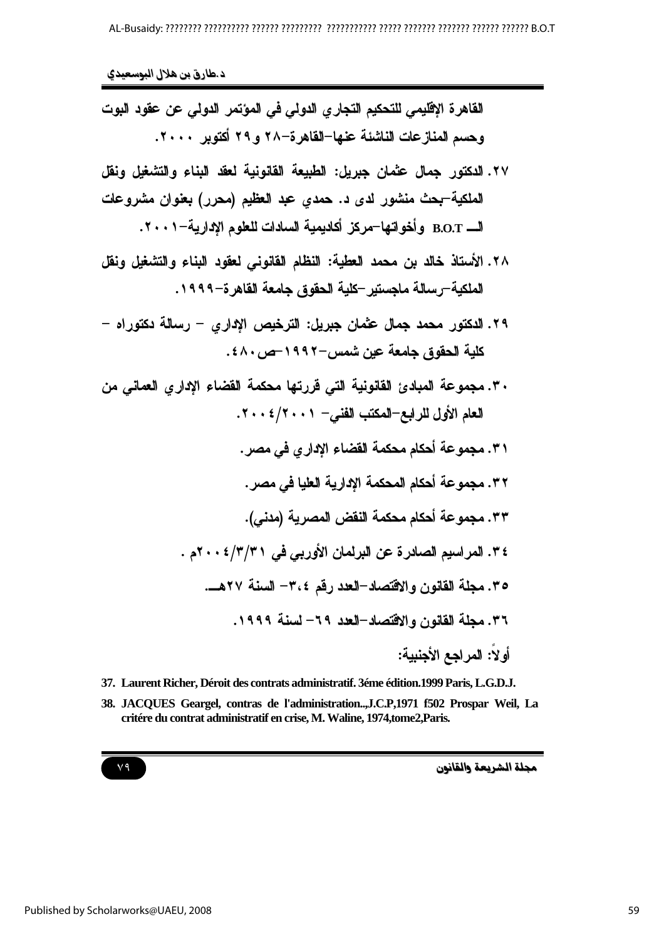القاهرة الإڤليمي للتحكيم التجاري الدولي في المؤتمر الدولي عن عقود البوت وحسم المنازعات الناشئة عنها-القاهرة-٢٨ و ٢٩ أكتوير ٢٠٠٠.

- ٢٧. الدكتور حمال عثمان حيريل: الطبيعة القانونية لعقد البناع والتشغيل ونقل الملكية-بحث منشور لدى د. حمدى عبد العظيم (محرر) بعنوان مشروعات الـــــــ B.O.T و أخو اتها—مر كز \_ أكادبمبة السادات للعلوم الإدار بـة—٢٠٠١.
- ٢٨. الأستاذ خالد بن محمد العطية: النظام القانوني لعقود البناء والتشغيل ونقل الملكية–رسالة ماجستير –كلية الحقوق جامعة القاهر ة–١٩٩٩.
- ٢٩. الدكتور محمد جمال عثمان جبريل: الترخيص الإدار ي رسالة دكتوراه -كلية الحقوق جامعة عين شمس-١٩٩٢-ص ٤٨٠.
- ٣٠. مجموعة المبادئ القانونية التي قررتها محكمة القضاء الاداري العماني من العام الأول للرابع-المكتب الفني- ٠٠١/١٠٠١.
	- ٣١. مجموعة أحكام محكمة القضاع الادار ي في مصر .
	- ٣٢. مجموعة أحكام المحكمة الإدارية العليا في مصر .
	- ٣٣. مجموعة أحكام محكمة النقض المصرية (مدني).
	- ٣٤. المراسيم الصادرة عن البرلمان الأوربي في ٣١/٣/١٠٠٤م . ٣٥. مجلة القانون والاقتصاد-العدد رقم ٣،٤- السنة ٢٧هـ. ٣٦. مجلة القانون والاقتصاد-العدد ٦٩- لسنة ١٩٩٩. أه لاً: المراجع الأجنبية:
- 37. Laurent Richer, Déroit des contrats administratif. 3éme édition. 1999 Paris, L.G.D.J. 38. JACQUES Geargel, contras de l'administration...,J.C.P,1971 f502 Prospar Weil, La critére du contrat administratif en crise, M. Waline, 1974, tome2, Paris.